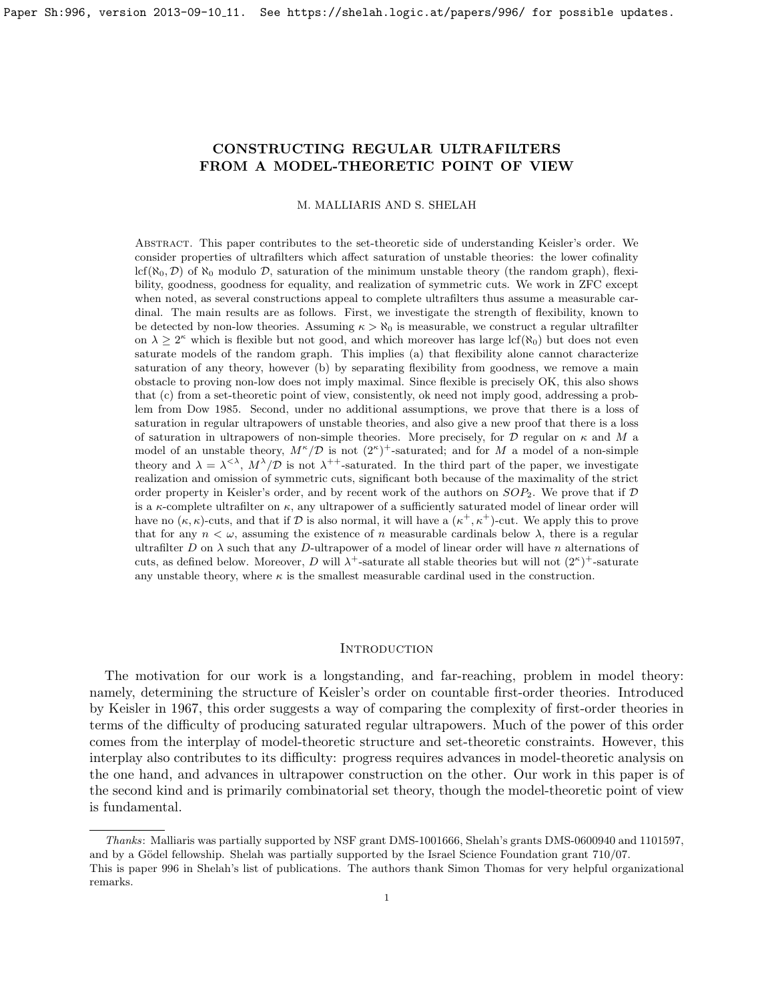# <span id="page-0-1"></span>CONSTRUCTING REGULAR ULTRAFILTERS FROM A MODEL-THEORETIC POINT OF VIEW

M. MALLIARIS AND S. SHELAH

Abstract. This paper contributes to the set-theoretic side of understanding Keisler's order. We consider properties of ultrafilters which affect saturation of unstable theories: the lower cofinality lcf( $\aleph_0, \mathcal{D}$ ) of  $\aleph_0$  modulo  $\mathcal{D}$ , saturation of the minimum unstable theory (the random graph), flexibility, goodness, goodness for equality, and realization of symmetric cuts. We work in ZFC except when noted, as several constructions appeal to complete ultrafilters thus assume a measurable cardinal. The main results are as follows. First, we investigate the strength of flexibility, known to be detected by non-low theories. Assuming  $\kappa > \aleph_0$  is measurable, we construct a regular ultrafilter on  $\lambda \geq 2^{\kappa}$  which is flexible but not good, and which moreover has large lcf( $\aleph_0$ ) but does not even saturate models of the random graph. This implies (a) that flexibility alone cannot characterize saturation of any theory, however (b) by separating flexibility from goodness, we remove a main obstacle to proving non-low does not imply maximal. Since flexible is precisely OK, this also shows that (c) from a set-theoretic point of view, consistently, ok need not imply good, addressing a problem from Dow 1985. Second, under no additional assumptions, we prove that there is a loss of saturation in regular ultrapowers of unstable theories, and also give a new proof that there is a loss of saturation in ultrapowers of non-simple theories. More precisely, for  $\mathcal D$  regular on  $\kappa$  and  $M$  a model of an unstable theory,  $M^{\kappa}/\mathcal{D}$  is not  $(2^{\kappa})^+$ -saturated; and for M a model of a non-simple theory and  $\lambda = \lambda^{<\lambda}$ ,  $M^{\lambda}/\mathcal{D}$  is not  $\lambda^{++}$ -saturated. In the third part of the paper, we investigate realization and omission of symmetric cuts, significant both because of the maximality of the strict order property in Keisler's order, and by recent work of the authors on  $SOP_2$ . We prove that if  $D$ is a  $\kappa$ -complete ultrafilter on  $\kappa$ , any ultrapower of a sufficiently saturated model of linear order will have no  $(\kappa, \kappa)$ -cuts, and that if D is also normal, it will have a  $(\kappa^+, \kappa^+)$ -cut. We apply this to prove that for any  $n < \omega$ , assuming the existence of n measurable cardinals below  $\lambda$ , there is a regular ultrafilter D on  $\lambda$  such that any D-ultrapower of a model of linear order will have n alternations of cuts, as defined below. Moreover, D will  $\lambda^+$ -saturate all stable theories but will not  $(2^{\kappa})^+$ -saturate any unstable theory, where  $\kappa$  is the smallest measurable cardinal used in the construction.

#### <span id="page-0-0"></span>**INTRODUCTION**

The motivation for our work is a longstanding, and far-reaching, problem in model theory: namely, determining the structure of Keisler's order on countable first-order theories. Introduced by Keisler in 1967, this order suggests a way of comparing the complexity of first-order theories in terms of the difficulty of producing saturated regular ultrapowers. Much of the power of this order comes from the interplay of model-theoretic structure and set-theoretic constraints. However, this interplay also contributes to its difficulty: progress requires advances in model-theoretic analysis on the one hand, and advances in ultrapower construction on the other. Our work in this paper is of the second kind and is primarily combinatorial set theory, though the model-theoretic point of view is fundamental.

Thanks: Malliaris was partially supported by NSF grant DMS-1001666, Shelah's grants DMS-0600940 and 1101597, and by a Gödel fellowship. Shelah was partially supported by the Israel Science Foundation grant 710/07. This is paper 996 in Shelah's list of publications. The authors thank Simon Thomas for very helpful organizational remarks.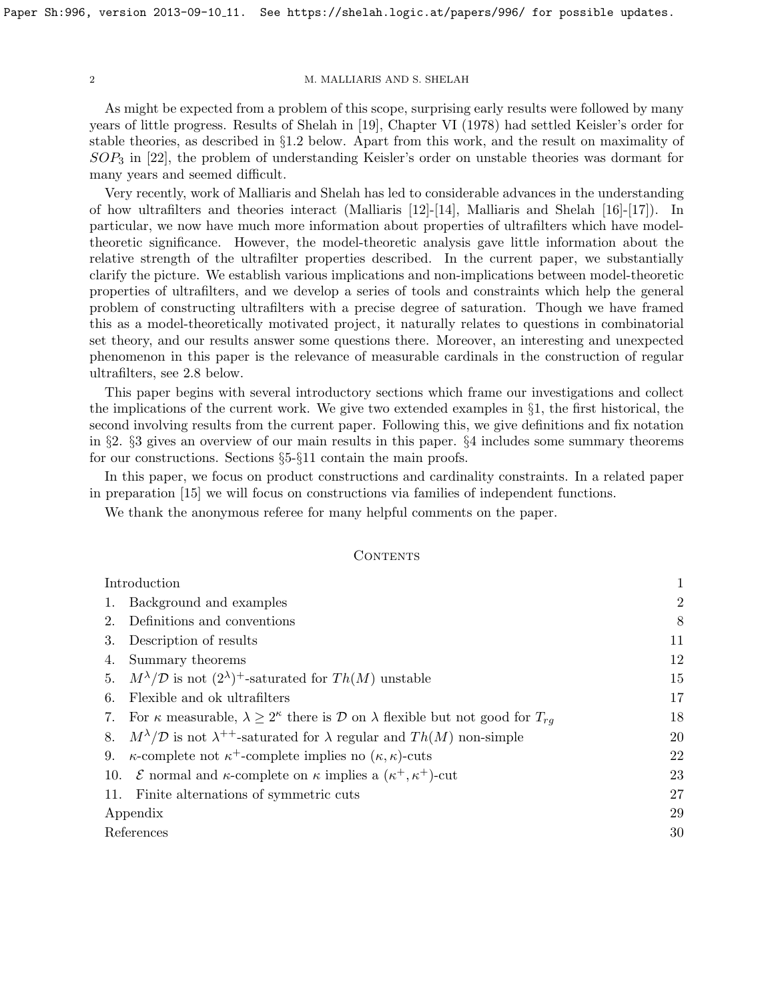As might be expected from a problem of this scope, surprising early results were followed by many years of little progress. Results of Shelah in [\[19\]](#page-30-0), Chapter VI (1978) had settled Keisler's order for stable theories, as described in §[1.2](#page-4-0) below. Apart from this work, and the result on maximality of  $SOP_3$  in [\[22\]](#page-30-1), the problem of understanding Keisler's order on unstable theories was dormant for many years and seemed difficult.

Very recently, work of Malliaris and Shelah has led to considerable advances in the understanding of how ultrafilters and theories interact (Malliaris [\[12\]](#page-30-2)-[\[14\]](#page-30-3), Malliaris and Shelah [\[16\]](#page-30-4)-[\[17\]](#page-30-5)). In particular, we now have much more information about properties of ultrafilters which have modeltheoretic significance. However, the model-theoretic analysis gave little information about the relative strength of the ultrafilter properties described. In the current paper, we substantially clarify the picture. We establish various implications and non-implications between model-theoretic properties of ultrafilters, and we develop a series of tools and constraints which help the general problem of constructing ultrafilters with a precise degree of saturation. Though we have framed this as a model-theoretically motivated project, it naturally relates to questions in combinatorial set theory, and our results answer some questions there. Moreover, an interesting and unexpected phenomenon in this paper is the relevance of measurable cardinals in the construction of regular ultrafilters, see [2.8](#page-9-0) below.

This paper begins with several introductory sections which frame our investigations and collect the implications of the current work. We give two extended examples in §[1,](#page-2-0) the first historical, the second involving results from the current paper. Following this, we give definitions and fix notation in §[2.](#page-8-0) §[3](#page-11-0) gives an overview of our main results in this paper. §[4](#page-12-0) includes some summary theorems for our constructions. Sections §[5-](#page-14-0)§[11](#page-26-0) contain the main proofs.

In this paper, we focus on product constructions and cardinality constraints. In a related paper in preparation [\[15\]](#page-30-6) we will focus on constructions via families of independent functions.

We thank the anonymous referee for many helpful comments on the paper.

## <span id="page-1-0"></span>CONTENTS

| Introduction |                                                                                                               |                |
|--------------|---------------------------------------------------------------------------------------------------------------|----------------|
|              | Background and examples                                                                                       | $\overline{2}$ |
| 2.           | Definitions and conventions                                                                                   | 8              |
| 3.           | Description of results                                                                                        | 11             |
| 4.           | Summary theorems                                                                                              | 12             |
|              | 5. $M^{\lambda}/\mathcal{D}$ is not $(2^{\lambda})^+$ -saturated for $Th(M)$ unstable                         | 15             |
| 6.           | Flexible and ok ultrafilters                                                                                  | 17             |
| 7.           | For $\kappa$ measurable, $\lambda \geq 2^{\kappa}$ there is D on $\lambda$ flexible but not good for $T_{rq}$ | 18             |
|              | 8. $M^{\lambda}/\mathcal{D}$ is not $\lambda^{++}$ -saturated for $\lambda$ regular and $Th(M)$ non-simple    | 20             |
| 9.           | $\kappa$ -complete not $\kappa^+$ -complete implies no $(\kappa, \kappa)$ -cuts                               | 22             |
|              | 10. <i>E</i> normal and $\kappa$ -complete on $\kappa$ implies a $(\kappa^+, \kappa^+)$ -cut                  | 23             |
|              | 11. Finite alternations of symmetric cuts                                                                     | 27             |
| Appendix     |                                                                                                               |                |
| References   |                                                                                                               | 30             |
|              |                                                                                                               |                |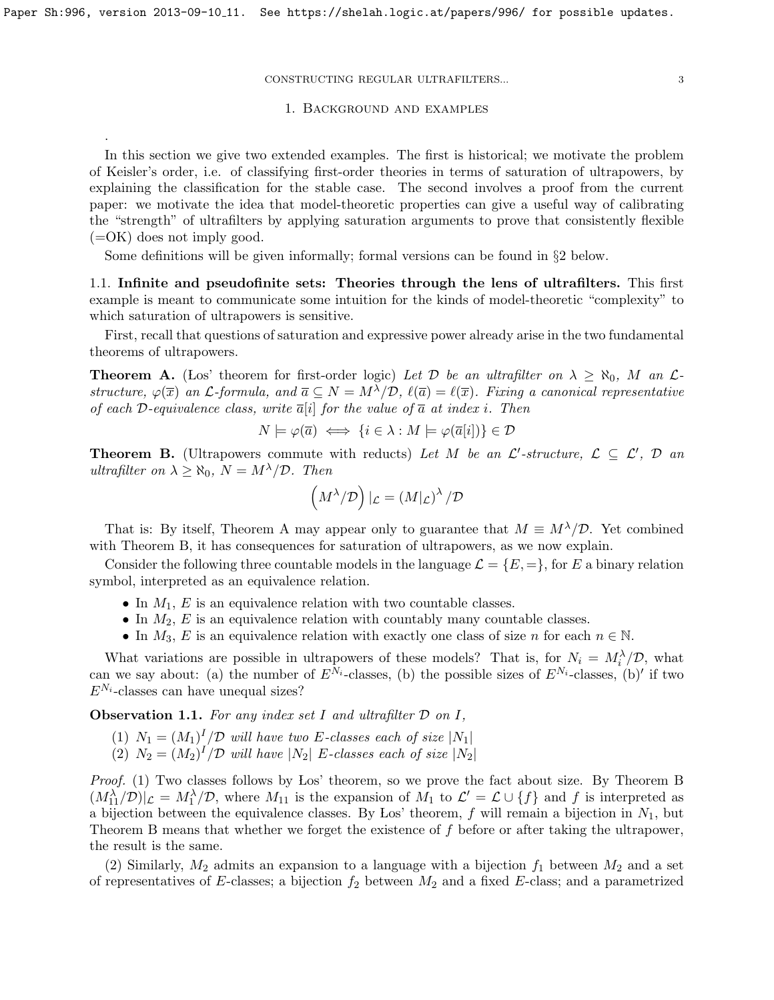<span id="page-2-0"></span>.

#### CONSTRUCTING REGULAR ULTRAFILTERS... 3

#### 1. Background and examples

In this section we give two extended examples. The first is historical; we motivate the problem of Keisler's order, i.e. of classifying first-order theories in terms of saturation of ultrapowers, by explaining the classification for the stable case. The second involves a proof from the current paper: we motivate the idea that model-theoretic properties can give a useful way of calibrating the "strength" of ultrafilters by applying saturation arguments to prove that consistently flexible  $(=\mathrm{OK})$  does not imply good.

Some definitions will be given informally; formal versions can be found in §[2](#page-8-0) below.

<span id="page-2-3"></span>1.1. Infinite and pseudofinite sets: Theories through the lens of ultrafilters. This first example is meant to communicate some intuition for the kinds of model-theoretic "complexity" to which saturation of ultrapowers is sensitive.

First, recall that questions of saturation and expressive power already arise in the two fundamental theorems of ultrapowers.

<span id="page-2-1"></span>**Theorem A.** (Los' theorem for first-order logic) Let D be an ultrafilter on  $\lambda \geq \aleph_0$ , M an Lstructure,  $\varphi(\overline{x})$  an  $\mathcal{L}$ -formula, and  $\overline{a} \subseteq N = M^{\lambda}/\mathcal{D}$ ,  $\ell(\overline{a}) = \ell(\overline{x})$ . Fixing a canonical representative of each D-equivalence class, write  $\overline{a}[i]$  for the value of  $\overline{a}$  at index i. Then

$$
N \models \varphi(\overline{a}) \iff \{i \in \lambda : M \models \varphi(\overline{a}[i])\} \in \mathcal{D}
$$

<span id="page-2-2"></span>**Theorem B.** (Ultrapowers commute with reducts) Let M be an  $\mathcal{L}'$ -structure,  $\mathcal{L} \subseteq \mathcal{L}'$ , D an ultrafilter on  $\lambda \geq \aleph_0$ ,  $N = M^{\lambda}/\mathcal{D}$ . Then

$$
\left(M^{\lambda}/\mathcal{D}\right)|_{\mathcal{L}} = \left(M|_{\mathcal{L}}\right)^{\lambda}/\mathcal{D}
$$

That is: By itself, Theorem [A](#page-2-1) may appear only to guarantee that  $M \equiv M^{\lambda}/\mathcal{D}$ . Yet combined with Theorem [B,](#page-2-2) it has consequences for saturation of ultrapowers, as we now explain.

Consider the following three countable models in the language  $\mathcal{L} = \{E, =\}$ , for E a binary relation symbol, interpreted as an equivalence relation.

- In  $M_1$ , E is an equivalence relation with two countable classes.
- In  $M_2$ , E is an equivalence relation with countably many countable classes.
- In  $M_3$ , E is an equivalence relation with exactly one class of size n for each  $n \in \mathbb{N}$ .

What variations are possible in ultrapowers of these models? That is, for  $N_i = M_i^{\lambda}/\mathcal{D}$ , what can we say about: (a) the number of  $E^{N_i}$ -classes, (b) the possible sizes of  $E^{N_i}$ -classes, (b)' if two  $E^{N_i}$ -classes can have unequal sizes?

**Observation 1.1.** For any index set I and ultrafilter  $D$  on I,

- (1)  $N_1 = (M_1)^I / \mathcal{D}$  will have two E-classes each of size  $|N_1|$
- (2)  $N_2 = (M_2)^I / \mathcal{D}$  will have  $|N_2|$  E-classes each of size  $|N_2|$

Proof. (1) Two classes follows by Los' theorem, so we prove the fact about size. [B](#page-2-2)y Theorem B  $(M_{11}^{\lambda}/\mathcal{D})|_{\mathcal{L}} = M_1^{\lambda}/\mathcal{D}$ , where  $M_{11}$  is the expansion of  $M_1$  to  $\mathcal{L}' = \mathcal{L} \cup \{f\}$  and f is interpreted as a bijection between the equivalence classes. By Los' theorem,  $f$  will remain a bijection in  $N_1$ , but Theorem [B](#page-2-2) means that whether we forget the existence of f before or after taking the ultrapower, the result is the same.

(2) Similarly,  $M_2$  admits an expansion to a language with a bijection  $f_1$  between  $M_2$  and a set of representatives of E-classes; a bijection  $f_2$  between  $M_2$  and a fixed E-class; and a parametrized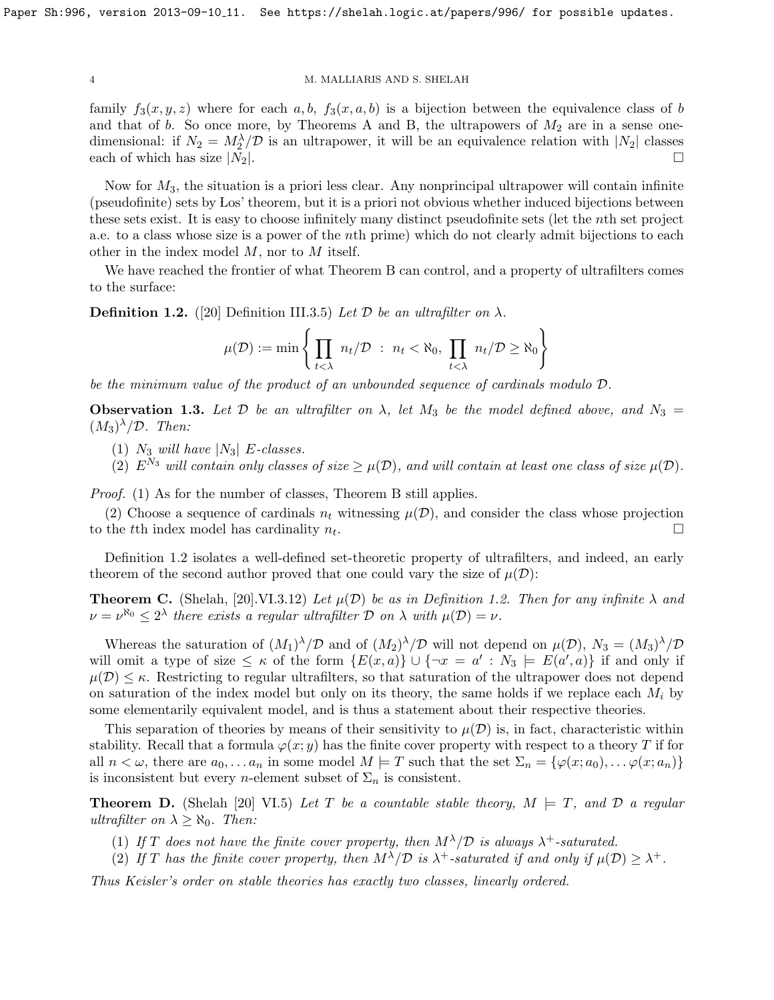family  $f_3(x, y, z)$  where for each a, b,  $f_3(x, a, b)$  is a bijection between the equivalence class of b and that of b. So once more, by Theorems [A](#page-2-1) and [B,](#page-2-2) the ultrapowers of  $M_2$  are in a sense onedimensional: if  $N_2 = M_2^{\lambda}/\mathcal{D}$  is an ultrapower, it will be an equivalence relation with  $|N_2|$  classes each of which has size  $|N_2|$ .

Now for  $M_3$ , the situation is a priori less clear. Any nonprincipal ultrapower will contain infinite (pseudofinite) sets by Los' theorem, but it is a priori not obvious whether induced bijections between these sets exist. It is easy to choose infinitely many distinct pseudofinite sets (let the nth set project a.e. to a class whose size is a power of the nth prime) which do not clearly admit bijections to each other in the index model M, nor to M itself.

We have reached the frontier of what Theorem [B](#page-2-2) can control, and a property of ultrafilters comes to the surface:

<span id="page-3-0"></span>**Definition 1.2.** ([\[20\]](#page-30-7) Definition III.3.5) Let  $D$  be an ultrafilter on  $\lambda$ .

$$
\mu(\mathcal{D}) := \min \left\{ \prod_{t < \lambda} n_t / \mathcal{D} \ : \ n_t < \aleph_0, \ \prod_{t < \lambda} n_t / \mathcal{D} \ge \aleph_0 \right\}
$$

be the minimum value of the product of an unbounded sequence of cardinals modulo D.

**Observation 1.3.** Let D be an ultrafilter on  $\lambda$ , let  $M_3$  be the model defined above, and  $N_3 =$  $(M_3)^{\lambda}/\mathcal{D}$ . Then:

(1)  $N_3$  will have  $|N_3|$  E-classes.

(2)  $E^{N_3}$  will contain only classes of size  $\geq \mu(\mathcal{D})$ , and will contain at least one class of size  $\mu(\mathcal{D})$ .

Proof. (1) As for the number of classes, Theorem [B](#page-2-2) still applies.

(2) Choose a sequence of cardinals  $n_t$  witnessing  $\mu(\mathcal{D})$ , and consider the class whose projection to the t<sup>th</sup> index model has cardinality  $n_t$ . . В последните поставите на примерение и примерение и примерение и примерение и примерение и примерение и при<br>В примерение и примерение и примерение и примерение и примерение и примерение и примерение и примерение и прим

Definition [1.2](#page-3-0) isolates a well-defined set-theoretic property of ultrafilters, and indeed, an early theorem of the second author proved that one could vary the size of  $\mu(\mathcal{D})$ :

**Theorem C.** (Shelah, [\[20\]](#page-30-7).VI.3.12) Let  $\mu(\mathcal{D})$  be as in Definition [1.2.](#page-3-0) Then for any infinite  $\lambda$  and  $\nu = \nu^{\aleph_0} \leq 2^{\lambda}$  there exists a regular ultrafilter D on  $\lambda$  with  $\mu(\mathcal{D}) = \nu$ .

Whereas the saturation of  $(M_1)^{\lambda}/\mathcal{D}$  and of  $(M_2)^{\lambda}/\mathcal{D}$  will not depend on  $\mu(\mathcal{D})$ ,  $N_3 = (M_3)^{\lambda}/\mathcal{D}$ will omit a type of size  $\leq \kappa$  of the form  $\{E(x,a)\}\cup \{\neg x=a': N_3 \models E(a',a)\}\$ if and only if  $\mu(\mathcal{D}) \leq \kappa$ . Restricting to regular ultrafilters, so that saturation of the ultrapower does not depend on saturation of the index model but only on its theory, the same holds if we replace each  $M_i$  by some elementarily equivalent model, and is thus a statement about their respective theories.

This separation of theories by means of their sensitivity to  $\mu(\mathcal{D})$  is, in fact, characteristic within stability. Recall that a formula  $\varphi(x; y)$  has the finite cover property with respect to a theory T if for all  $n < \omega$ , there are  $a_0, \ldots a_n$  in some model  $M \models T$  such that the set  $\Sigma_n = {\varphi(x; a_0), \ldots \varphi(x; a_n)}$ is inconsistent but every *n*-element subset of  $\Sigma_n$  is consistent.

<span id="page-3-1"></span>**Theorem D.** (Shelah [\[20\]](#page-30-7) VI.5) Let T be a countable stable theory,  $M \models T$ , and D a regular ultrafilter on  $\lambda \geq \aleph_0$ . Then:

- (1) If T does not have the finite cover property, then  $M^{\lambda}/\mathcal{D}$  is always  $\lambda^{+}$ -saturated.
- (2) If T has the finite cover property, then  $M^{\lambda}/\mathcal{D}$  is  $\lambda^{+}$ -saturated if and only if  $\mu(\mathcal{D}) \geq \lambda^{+}$ .

Thus Keisler's order on stable theories has exactly two classes, linearly ordered.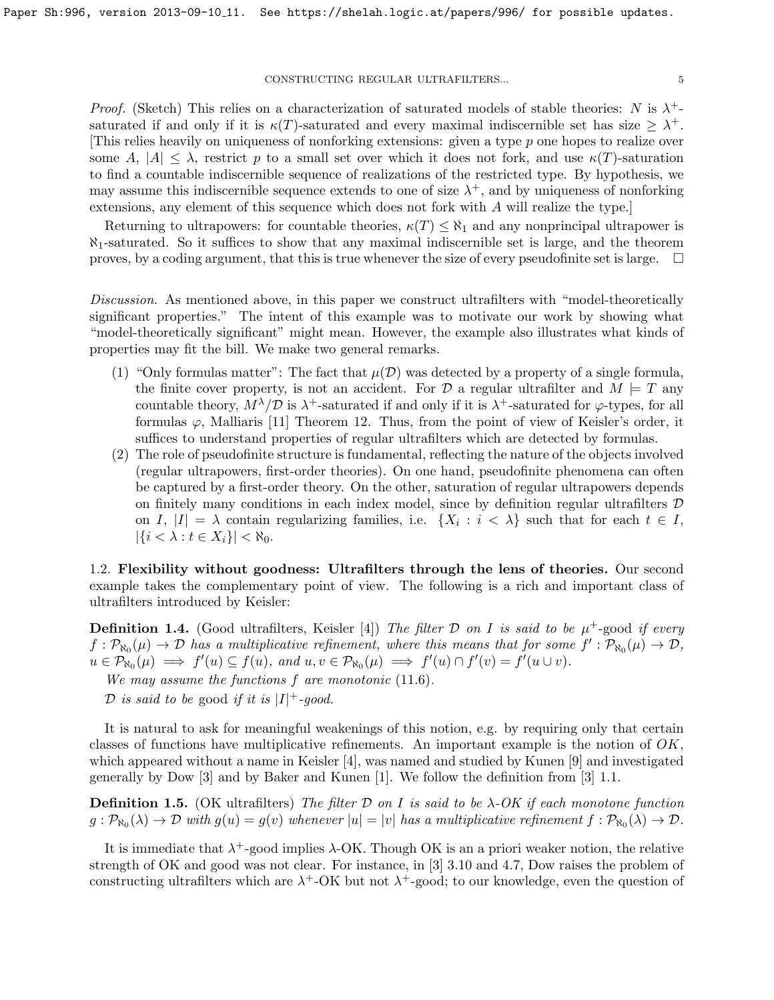Proof. (Sketch) This relies on a characterization of saturated models of stable theories: N is  $\lambda^+$ saturated if and only if it is  $\kappa(T)$ -saturated and every maximal indiscernible set has size  $\geq \lambda^+$ . This relies heavily on uniqueness of nonforking extensions: given a type  $p$  one hopes to realize over some A,  $|A| \leq \lambda$ , restrict p to a small set over which it does not fork, and use  $\kappa(T)$ -saturation to find a countable indiscernible sequence of realizations of the restricted type. By hypothesis, we may assume this indiscernible sequence extends to one of size  $\lambda^+$ , and by uniqueness of nonforking extensions, any element of this sequence which does not fork with A will realize the type.]

Returning to ultrapowers: for countable theories,  $\kappa(T) \leq \aleph_1$  and any nonprincipal ultrapower is  $\aleph_1$ -saturated. So it suffices to show that any maximal indiscernible set is large, and the theorem proves, by a coding argument, that this is true whenever the size of every pseudofinite set is large.  $\Box$ 

Discussion. As mentioned above, in this paper we construct ultrafilters with "model-theoretically significant properties." The intent of this example was to motivate our work by showing what "model-theoretically significant" might mean. However, the example also illustrates what kinds of properties may fit the bill. We make two general remarks.

- (1) "Only formulas matter": The fact that  $\mu(\mathcal{D})$  was detected by a property of a single formula, the finite cover property, is not an accident. For  $\mathcal{D}$  a regular ultrafilter and  $M \models T$  any countable theory,  $M^{\lambda}/\mathcal{D}$  is  $\lambda^+$ -saturated if and only if it is  $\lambda^+$ -saturated for  $\varphi$ -types, for all formulas  $\varphi$ , Malliaris [\[11\]](#page-30-8) Theorem 12. Thus, from the point of view of Keisler's order, it suffices to understand properties of regular ultrafilters which are detected by formulas.
- (2) The role of pseudofinite structure is fundamental, reflecting the nature of the objects involved (regular ultrapowers, first-order theories). On one hand, pseudofinite phenomena can often be captured by a first-order theory. On the other, saturation of regular ultrapowers depends on finitely many conditions in each index model, since by definition regular ultrafilters  $\mathcal D$ on I,  $|I| = \lambda$  contain regularizing families, i.e.  $\{X_i : i < \lambda\}$  such that for each  $t \in I$ ,  $|\{i < \lambda : t \in X_i\}| < \aleph_0.$

<span id="page-4-0"></span>1.2. Flexibility without goodness: Ultrafilters through the lens of theories. Our second example takes the complementary point of view. The following is a rich and important class of ultrafilters introduced by Keisler:

<span id="page-4-1"></span>**Definition 1.4.** (Good ultrafilters, Keisler [\[4\]](#page-30-9)) The filter  $D$  on I is said to be  $\mu^+$ -good if every  $f: \mathcal{P}_{\aleph_0}(\mu) \to \mathcal{D}$  has a multiplicative refinement, where this means that for some  $f': \mathcal{P}_{\aleph_0}(\mu) \to \mathcal{D}$ ,  $u \in \mathcal{P}_{\aleph_0}(\mu) \implies f'(u) \subseteq f(u), \text{ and } u, v \in \mathcal{P}_{\aleph_0}(\mu) \implies f'(u) \cap f'(v) = f'(u \cup v).$ 

We may assume the functions  $f$  are monotonic  $(11.6)$  $(11.6)$ .

D is said to be good if it is  $|I|$ <sup>+</sup>-good.

It is natural to ask for meaningful weakenings of this notion, e.g. by requiring only that certain classes of functions have multiplicative refinements. An important example is the notion of  $OK$ , which appeared without a name in Keisler [\[4\]](#page-30-9), was named and studied by Kunen [\[9\]](#page-30-10) and investigated generally by Dow [\[3\]](#page-30-11) and by Baker and Kunen [\[1\]](#page-30-12). We follow the definition from [\[3\]](#page-30-11) 1.1.

**Definition 1.5.** (OK ultrafilters) The filter D on I is said to be  $\lambda$ -OK if each monotone function  $g: \mathcal{P}_{\aleph_0}(\lambda) \to \mathcal{D}$  with  $g(u) = g(v)$  whenever  $|u| = |v|$  has a multiplicative refinement  $f: \mathcal{P}_{\aleph_0}(\lambda) \to \mathcal{D}$ .

It is immediate that  $\lambda^+$ -good implies  $\lambda$ -OK. Though OK is an a priori weaker notion, the relative strength of OK and good was not clear. For instance, in [\[3\]](#page-30-11) 3.10 and 4.7, Dow raises the problem of constructing ultrafilters which are  $\lambda^+$ -OK but not  $\lambda^+$ -good; to our knowledge, even the question of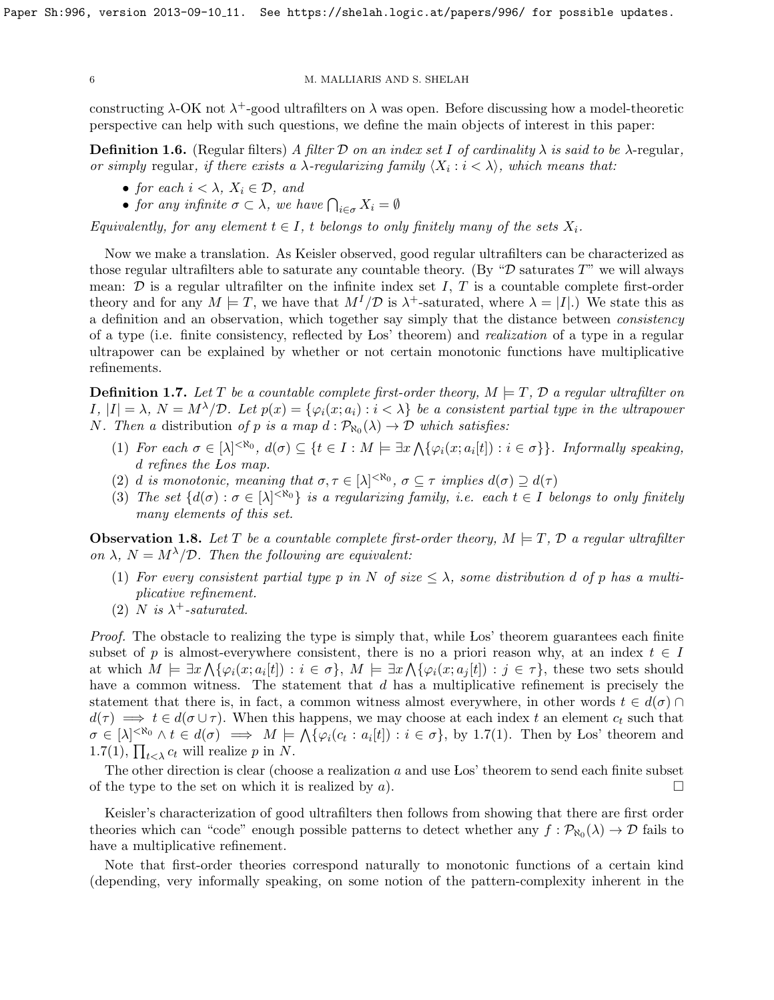constructing  $\lambda$ -OK not  $\lambda^+$ -good ultrafilters on  $\lambda$  was open. Before discussing how a model-theoretic perspective can help with such questions, we define the main objects of interest in this paper:

<span id="page-5-1"></span>**Definition 1.6.** (Regular filters) A filter D on an index set I of cardinality  $\lambda$  is said to be  $\lambda$ -regular, or simply regular, if there exists a  $\lambda$ -regularizing family  $\langle X_i : i < \lambda \rangle$ , which means that:

- for each  $i < \lambda$ ,  $X_i \in \mathcal{D}$ , and
- for any infinite  $\sigma \subset \lambda$ , we have  $\bigcap_{i \in \sigma} X_i = \emptyset$

Equivalently, for any element  $t \in I$ , t belongs to only finitely many of the sets  $X_i$ .

Now we make a translation. As Keisler observed, good regular ultrafilters can be characterized as those regular ultrafilters able to saturate any countable theory. (By " $\mathcal D$  saturates T" we will always mean:  $\mathcal D$  is a regular ultrafilter on the infinite index set I, T is a countable complete first-order theory and for any  $M \models T$ , we have that  $M^{I}/\mathcal{D}$  is  $\lambda^{+}$ -saturated, where  $\lambda = |I|$ .) We state this as a definition and an observation, which together say simply that the distance between consistency of a type (i.e. finite consistency, reflected by Los' theorem) and realization of a type in a regular ultrapower can be explained by whether or not certain monotonic functions have multiplicative refinements.

<span id="page-5-0"></span>**Definition 1.7.** Let T be a countable complete first-order theory,  $M \models T$ , D a regular ultrafilter on  $I, |I| = \lambda, N = M^{\lambda}/\mathcal{D}.$  Let  $p(x) = {\varphi_i(x; a_i) : i < \lambda}$  be a consistent partial type in the ultrapower *N*. Then a distribution of p is a map  $d : \mathcal{P}_{\aleph_0}(\lambda) \to \mathcal{D}$  which satisfies:

- (1) For each  $\sigma \in [\lambda]^{< \aleph_0}$ ,  $d(\sigma) \subseteq \{t \in I : M \models \exists x \bigwedge \{\varphi_i(x; a_i[t]) : i \in \sigma\}\}\$ . Informally speaking, d refines the Los map.
- (2) d is monotonic, meaning that  $\sigma, \tau \in [\lambda]^{< \aleph_0}$ ,  $\sigma \subseteq \tau$  implies  $d(\sigma) \supseteq d(\tau)$
- (3) The set  $\{d(\sigma): \sigma \in [\lambda]^{< \aleph_0}\}$  is a regularizing family, i.e. each  $t \in I$  belongs to only finitely many elements of this set.

**Observation 1.8.** Let T be a countable complete first-order theory,  $M \models T$ ,  $\mathcal{D}$  a regular ultrafilter on  $\lambda$ ,  $N = M^{\lambda}/\mathcal{D}$ . Then the following are equivalent:

- (1) For every consistent partial type p in N of size  $\leq \lambda$ , some distribution d of p has a multiplicative refinement.
- (2) N is  $\lambda^+$ -saturated.

Proof. The obstacle to realizing the type is simply that, while Los' theorem guarantees each finite subset of p is almost-everywhere consistent, there is no a priori reason why, at an index  $t \in I$ at which  $M \models \exists x \bigwedge \{\varphi_i(x; a_i[t]) : i \in \sigma\}, M \models \exists x \bigwedge \{\varphi_i(x; a_j[t]) : j \in \tau\},\$  these two sets should have a common witness. The statement that d has a multiplicative refinement is precisely the statement that there is, in fact, a common witness almost everywhere, in other words  $t \in d(\sigma) \cap$  $d(\tau) \implies t \in d(\sigma \cup \tau)$ . When this happens, we may choose at each index t an element  $c_t$  such that  $\sigma \in [\lambda]^{< \aleph_0} \wedge t \in d(\sigma) \implies M \models \bigwedge \{\varphi_i(c_t : a_i[t]) : i \in \sigma\}, \text{ by } 1.7(1). \text{ Then by Los' theorem and}$  $\sigma \in [\lambda]^{< \aleph_0} \wedge t \in d(\sigma) \implies M \models \bigwedge \{\varphi_i(c_t : a_i[t]) : i \in \sigma\}, \text{ by } 1.7(1). \text{ Then by Los' theorem and}$  $\sigma \in [\lambda]^{< \aleph_0} \wedge t \in d(\sigma) \implies M \models \bigwedge \{\varphi_i(c_t : a_i[t]) : i \in \sigma\}, \text{ by } 1.7(1). \text{ Then by Los' theorem and}$ [1.7\(](#page-5-0)1),  $\prod_{t \leq \lambda} c_t$  will realize p in N.

The other direction is clear (choose a realization  $a$  and use Los' theorem to send each finite subset of the type to the set on which it is realized by a).

Keisler's characterization of good ultrafilters then follows from showing that there are first order theories which can "code" enough possible patterns to detect whether any  $f: \mathcal{P}_{\aleph_0}(\lambda) \to \mathcal{D}$  fails to have a multiplicative refinement.

Note that first-order theories correspond naturally to monotonic functions of a certain kind (depending, very informally speaking, on some notion of the pattern-complexity inherent in the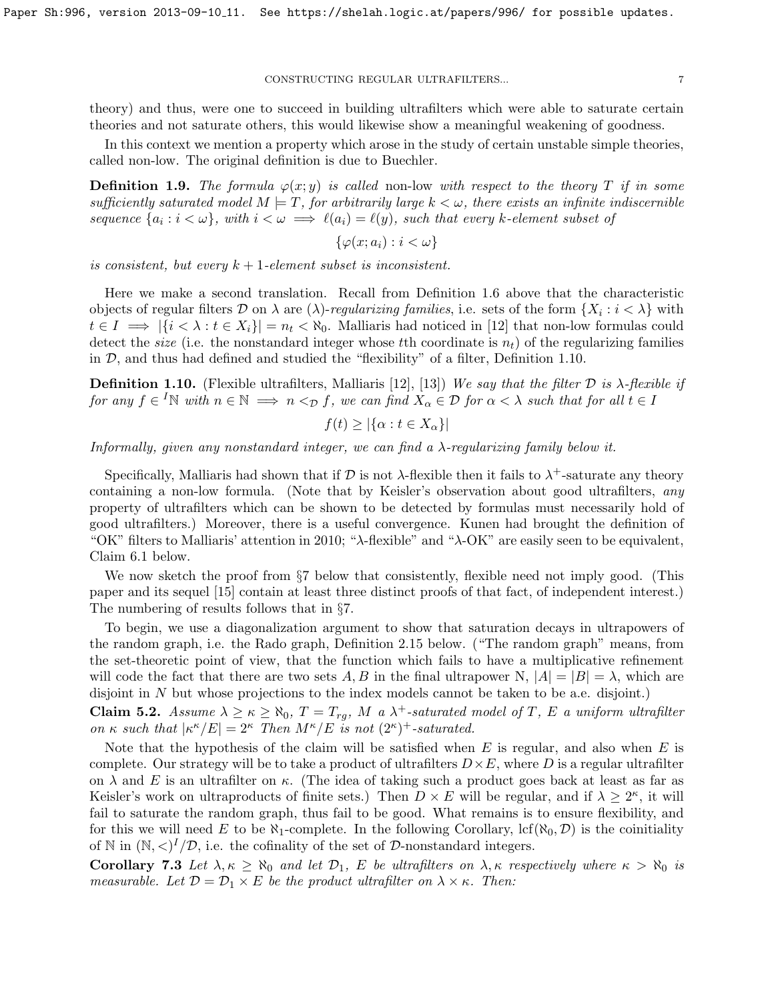theory) and thus, were one to succeed in building ultrafilters which were able to saturate certain theories and not saturate others, this would likewise show a meaningful weakening of goodness.

In this context we mention a property which arose in the study of certain unstable simple theories, called non-low. The original definition is due to Buechler.

**Definition 1.9.** The formula  $\varphi(x; y)$  is called non-low with respect to the theory T if in some sufficiently saturated model  $M \models T$ , for arbitrarily large  $k < \omega$ , there exists an infinite indiscernible sequence  $\{a_i : i < \omega\}$ , with  $i < \omega \implies \ell(a_i) = \ell(y)$ , such that every k-element subset of

$$
\{\varphi(x;a_i): i < \omega\}
$$

is consistent, but every  $k+1$ -element subset is inconsistent.

Here we make a second translation. Recall from Definition [1.6](#page-5-1) above that the characteristic objects of regular filters D on  $\lambda$  are  $(\lambda)$ -regularizing families, i.e. sets of the form  $\{X_i : i < \lambda\}$  with  $t \in I \implies |\{i \in \lambda : t \in X_i\}| = n_t \lt \aleph_0$ . Malliaris had noticed in [\[12\]](#page-30-2) that non-low formulas could detect the *size* (i.e. the nonstandard integer whose the coordinate is  $n_t$ ) of the regularizing families in  $\mathcal{D}$ , and thus had defined and studied the "flexibility" of a filter, Definition [1.10.](#page-6-0)

<span id="page-6-0"></span>**Definition 1.10.** (Flexible ultrafilters, Malliaris [\[12\]](#page-30-2), [\[13\]](#page-30-13)) We say that the filter  $D$  is  $\lambda$ -flexible if for any  $f \in {}^I\mathbb{N}$  with  $n \in \mathbb{N} \implies n <_{\mathcal{D}} f$ , we can find  $X_\alpha \in \mathcal{D}$  for  $\alpha < \lambda$  such that for all  $t \in I$ 

$$
f(t) \ge |\{\alpha : t \in X_{\alpha}\}|
$$

Informally, given any nonstandard integer, we can find a  $\lambda$ -regularizing family below it.

Specifically, Malliaris had shown that if  $D$  is not  $\lambda$ -flexible then it fails to  $\lambda^+$ -saturate any theory containing a non-low formula. (Note that by Keisler's observation about good ultrafilters, any property of ultrafilters which can be shown to be detected by formulas must necessarily hold of good ultrafilters.) Moreover, there is a useful convergence. Kunen had brought the definition of "OK" filters to Malliaris' attention in 2010; "λ-flexible" and "λ-OK" are easily seen to be equivalent, Claim [6.1](#page-17-2) below.

We now sketch the proof from §[7](#page-17-1) below that consistently, flexible need not imply good. (This paper and its sequel [\[15\]](#page-30-6) contain at least three distinct proofs of that fact, of independent interest.) The numbering of results follows that in §[7.](#page-17-1)

To begin, we use a diagonalization argument to show that saturation decays in ultrapowers of the random graph, i.e. the Rado graph, Definition [2.15](#page-10-0) below. ("The random graph" means, from the set-theoretic point of view, that the function which fails to have a multiplicative refinement will code the fact that there are two sets A, B in the final ultrapower N,  $|A| = |B| = \lambda$ , which are disjoint in N but whose projections to the index models cannot be taken to be a.e. disjoint.)

**Claim [5.2.](#page-14-1)** Assume  $\lambda \geq \kappa \geq \aleph_0$ ,  $T = T_{rg}$ , M a  $\lambda^+$ -saturated model of T, E a uniform ultrafilter on  $\kappa$  such that  $|\kappa^{\kappa}/E| = 2^{\kappa}$  Then  $M^{\kappa}/E$  is not  $(2^{\kappa})^+$ -saturated.

Note that the hypothesis of the claim will be satisfied when  $E$  is regular, and also when  $E$  is complete. Our strategy will be to take a product of ultrafilters  $D \times E$ , where D is a regular ultrafilter on  $\lambda$  and E is an ultrafilter on  $\kappa$ . (The idea of taking such a product goes back at least as far as Keisler's work on ultraproducts of finite sets.) Then  $D \times E$  will be regular, and if  $\lambda \geq 2^{\kappa}$ , it will fail to saturate the random graph, thus fail to be good. What remains is to ensure flexibility, and for this we will need E to be  $\aleph_1$ -complete. In the following Corollary, lcf( $\aleph_0, \mathcal{D}$ ) is the coinitiality of N in  $(N, \langle)^I/\mathcal{D}$ , i.e. the cofinality of the set of  $\mathcal{D}$ -nonstandard integers.

Corollary [7.3](#page-18-0) Let  $\lambda, \kappa \ge \aleph_0$  and let  $\mathcal{D}_1$ , E be ultrafilters on  $\lambda, \kappa$  respectively where  $\kappa > \aleph_0$  is measurable. Let  $\mathcal{D} = \mathcal{D}_1 \times E$  be the product ultrafilter on  $\lambda \times \kappa$ . Then: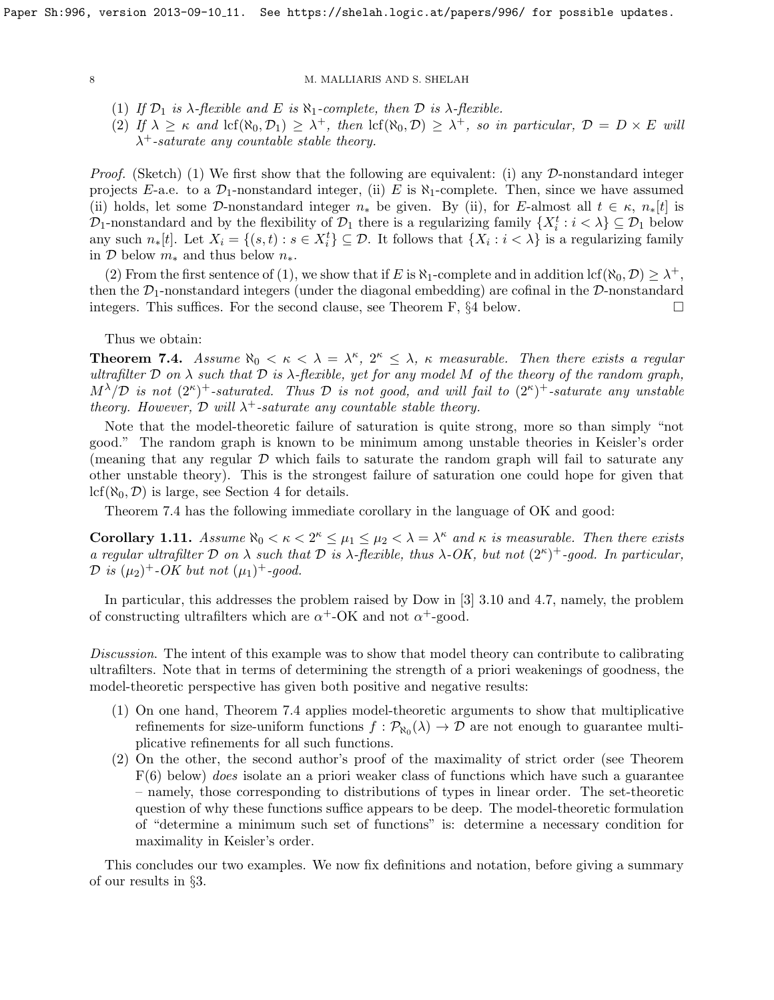- (1) If  $\mathcal{D}_1$  is  $\lambda$ -flexible and E is  $\aleph_1$ -complete, then  $\mathcal D$  is  $\lambda$ -flexible.
- (2) If  $\lambda \geq \kappa$  and  $\text{lcf}(\aleph_0, \mathcal{D}_1) \geq \lambda^+$ , then  $\text{lcf}(\aleph_0, \mathcal{D}) \geq \lambda^+$ , so in particular,  $\mathcal{D} = D \times E$  will  $\lambda^+$ -saturate any countable stable theory.

*Proof.* (Sketch) (1) We first show that the following are equivalent: (i) any  $D$ -nonstandard integer projects E-a.e. to a  $\mathcal{D}_1$ -nonstandard integer, (ii) E is  $\aleph_1$ -complete. Then, since we have assumed (ii) holds, let some D-nonstandard integer  $n_*$  be given. By (ii), for E-almost all  $t \in \kappa$ ,  $n_*[t]$  is  $\mathcal{D}_1$ -nonstandard and by the flexibility of  $\mathcal{D}_1$  there is a regularizing family  $\{X_i^t : i < \lambda\} \subseteq \mathcal{D}_1$  below any such  $n_*[t]$ . Let  $X_i = \{(s,t) : s \in X_i^t\} \subseteq \mathcal{D}$ . It follows that  $\{X_i : i < \lambda\}$  is a regularizing family in  $\mathcal D$  below  $m_*$  and thus below  $n_*$ .

(2) From the first sentence of (1), we show that if E is  $\aleph_1$ -complete and in addition lcf( $\aleph_0$ ,  $\mathcal{D}$ )  $\geq \lambda^+$ , then the  $\mathcal{D}_1$ -nonstandard integers (under the diagonal embedding) are cofinal in the  $\mathcal{D}$ -nonstandard integers. This suffices. For the second clause, see Theorem [F,](#page-12-1)  $\S 4$  $\S 4$  below.

Thus we obtain:

**Theorem [7.4.](#page-19-1)** Assume  $\aleph_0 < \kappa < \lambda = \lambda^{\kappa}, 2^{\kappa} \leq \lambda$ ,  $\kappa$  measurable. Then there exists a regular ultrafilter  $\mathcal D$  on  $\lambda$  such that  $\mathcal D$  is  $\lambda$ -flexible, yet for any model M of the theory of the random graph,  $M^{\lambda}/\mathcal{D}$  is not  $(2^{\kappa})^+$ -saturated. Thus  $\mathcal D$  is not good, and will fail to  $(2^{\kappa})^+$ -saturate any unstable theory. However,  $\mathcal D$  will  $\lambda^+$ -saturate any countable stable theory.

Note that the model-theoretic failure of saturation is quite strong, more so than simply "not good." The random graph is known to be minimum among unstable theories in Keisler's order (meaning that any regular  $\mathcal D$  which fails to saturate the random graph will fail to saturate any other unstable theory). This is the strongest failure of saturation one could hope for given that  $lcf(\aleph_0, \mathcal{D})$  is large, see Section [4](#page-12-0) for details.

Theorem [7.4](#page-19-1) has the following immediate corollary in the language of OK and good:

Corollary 1.11. Assume  $\aleph_0 < \kappa < 2^{\kappa} \leq \mu_1 \leq \mu_2 < \lambda = \lambda^{\kappa}$  and  $\kappa$  is measurable. Then there exists a regular ultrafilter D on  $\lambda$  such that D is  $\lambda$ -flexible, thus  $\lambda$ -OK, but not  $(2^{\kappa})^+$ -good. In particular,  $\mathcal{D}$  is  $(\mu_2)^+$ -OK but not  $(\mu_1)^+$ -good.

In particular, this addresses the problem raised by Dow in [\[3\]](#page-30-11) 3.10 and 4.7, namely, the problem of constructing ultrafilters which are  $\alpha^+$ -OK and not  $\alpha^+$ -good.

Discussion. The intent of this example was to show that model theory can contribute to calibrating ultrafilters. Note that in terms of determining the strength of a priori weakenings of goodness, the model-theoretic perspective has given both positive and negative results:

- (1) On one hand, Theorem [7.4](#page-19-1) applies model-theoretic arguments to show that multiplicative refinements for size-uniform functions  $f: \mathcal{P}_{\aleph_0}(\lambda) \to \mathcal{D}$  are not enough to guarantee multiplicative refinements for all such functions.
- (2) On the other, the second author's proof of the maximality of strict order (see Theorem  $F(6)$  $F(6)$  below) *does* isolate an a priori weaker class of functions which have such a guarantee – namely, those corresponding to distributions of types in linear order. The set-theoretic question of why these functions suffice appears to be deep. The model-theoretic formulation of "determine a minimum such set of functions" is: determine a necessary condition for maximality in Keisler's order.

This concludes our two examples. We now fix definitions and notation, before giving a summary of our results in §[3.](#page-11-0)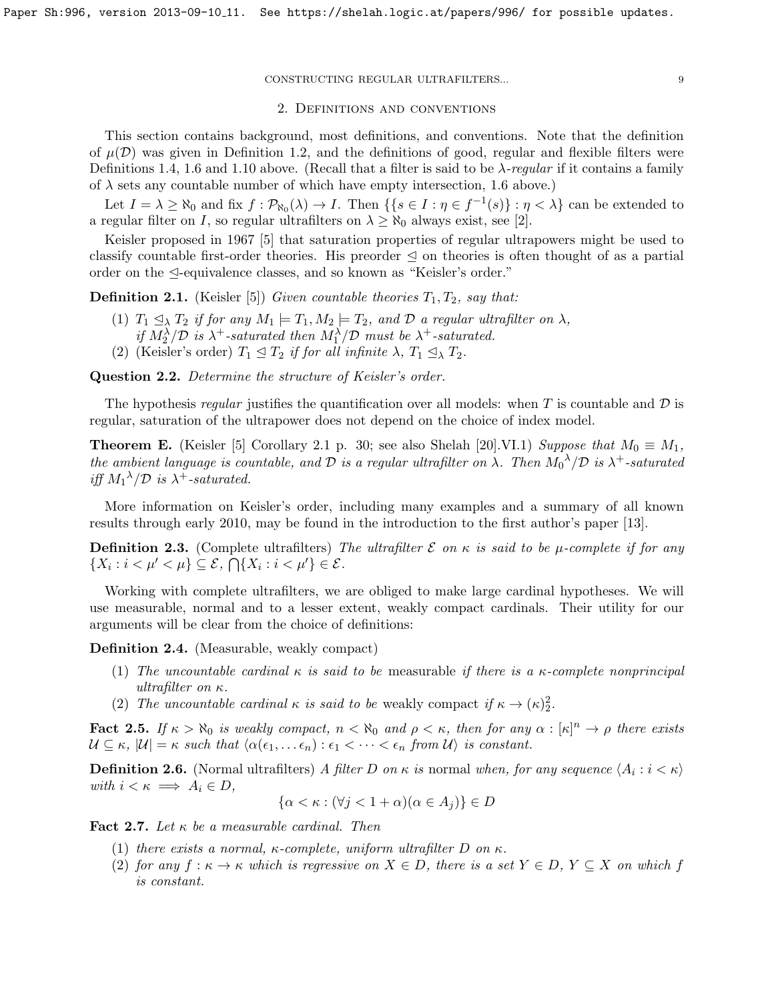#### 2. Definitions and conventions

<span id="page-8-0"></span>This section contains background, most definitions, and conventions. Note that the definition of  $\mu(\mathcal{D})$  was given in Definition [1.2,](#page-3-0) and the definitions of good, regular and flexible filters were Definitions [1.4,](#page-4-1) [1.6](#page-5-1) and [1.10](#page-6-0) above. (Recall that a filter is said to be  $\lambda$ -regular if it contains a family of  $\lambda$  sets any countable number of which have empty intersection, [1.6](#page-5-1) above.)

Let  $I = \lambda \ge \aleph_0$  and fix  $f : \mathcal{P}_{\aleph_0}(\lambda) \to I$ . Then  $\{\{s \in I : \eta \in f^{-1}(s)\} : \eta < \lambda\}$  can be extended to a regular filter on I, so regular ultrafilters on  $\lambda \geq \aleph_0$  always exist, see [\[2\]](#page-30-14).

Keisler proposed in 1967 [\[5\]](#page-30-15) that saturation properties of regular ultrapowers might be used to classify countable first-order theories. His preorder  $\leq$  on theories is often thought of as a partial order on the  $\triangleleft$ -equivalence classes, and so known as "Keisler's order."

<span id="page-8-1"></span>**Definition 2.1.** (Keisler [\[5\]](#page-30-15)) Given countable theories  $T_1, T_2$ , say that:

- (1)  $T_1 \trianglelefteq_{\lambda} T_2$  if for any  $M_1 \models T_1, M_2 \models T_2$ , and  $D$  a regular ultrafilter on  $\lambda$ , if  $M_2^{\lambda}/\mathcal{D}$  is  $\lambda^+$ -saturated then  $M_1^{\lambda}/\mathcal{D}$  must be  $\lambda^+$ -saturated.
- (2) (Keisler's order)  $T_1 \leq T_2$  if for all infinite  $\lambda$ ,  $T_1 \leq_{\lambda} T_2$ .

Question 2.2. Determine the structure of Keisler's order.

The hypothesis regular justifies the quantification over all models: when T is countable and  $\mathcal D$  is regular, saturation of the ultrapower does not depend on the choice of index model.

**Theorem E.** (Keisler [\[5\]](#page-30-15) Corollary 2.1 p. 30; see also Shelah [\[20\]](#page-30-7).VI.1) Suppose that  $M_0 \equiv M_1$ , the ambient language is countable, and D is a regular ultrafilter on  $\lambda$ . Then  $M_0^{\lambda}/\mathcal{D}$  is  $\lambda^+$ -saturated iff  $M_1^{\lambda}/\mathcal{D}$  is  $\lambda^+$ -saturated.

More information on Keisler's order, including many examples and a summary of all known results through early 2010, may be found in the introduction to the first author's paper [\[13\]](#page-30-13).

**Definition 2.3.** (Complete ultrafilters) The ultrafilter  $\mathcal E$  on  $\kappa$  is said to be  $\mu$ -complete if for any  $\{X_i : i < \mu' < \mu\} \subseteq \mathcal{E}, \bigcap \{X_i : i < \mu'\} \in \mathcal{E}.$ 

Working with complete ultrafilters, we are obliged to make large cardinal hypotheses. We will use measurable, normal and to a lesser extent, weakly compact cardinals. Their utility for our arguments will be clear from the choice of definitions:

Definition 2.4. (Measurable, weakly compact)

- (1) The uncountable cardinal  $\kappa$  is said to be measurable if there is a  $\kappa$ -complete nonprincipal ultrafilter on κ.
- (2) The uncountable cardinal  $\kappa$  is said to be weakly compact if  $\kappa \to (\kappa)_2^2$ .

<span id="page-8-4"></span>**Fact 2.5.** If  $\kappa > \aleph_0$  is weakly compact,  $n < \aleph_0$  and  $\rho < \kappa$ , then for any  $\alpha : [\kappa]^n \to \rho$  there exists  $\mathcal{U} \subseteq \kappa$ ,  $|\mathcal{U}| = \kappa$  such that  $\langle \alpha(\epsilon_1, \ldots \epsilon_n) : \epsilon_1 < \cdots < \epsilon_n \text{ from } \mathcal{U} \rangle$  is constant.

<span id="page-8-2"></span>**Definition 2.6.** (Normal ultrafilters) A filter D on  $\kappa$  is normal when, for any sequence  $\langle A_i : i < \kappa \rangle$ with  $i < \kappa \implies A_i \in D$ ,

$$
\{\alpha < \kappa : (\forall j < 1 + \alpha)(\alpha \in A_j)\} \in D
$$

<span id="page-8-3"></span>Fact 2.7. Let  $\kappa$  be a measurable cardinal. Then

- (1) there exists a normal,  $\kappa$ -complete, uniform ultrafilter D on  $\kappa$ .
- (2) for any  $f: \kappa \to \kappa$  which is regressive on  $X \in D$ , there is a set  $Y \in D$ ,  $Y \subseteq X$  on which f is constant.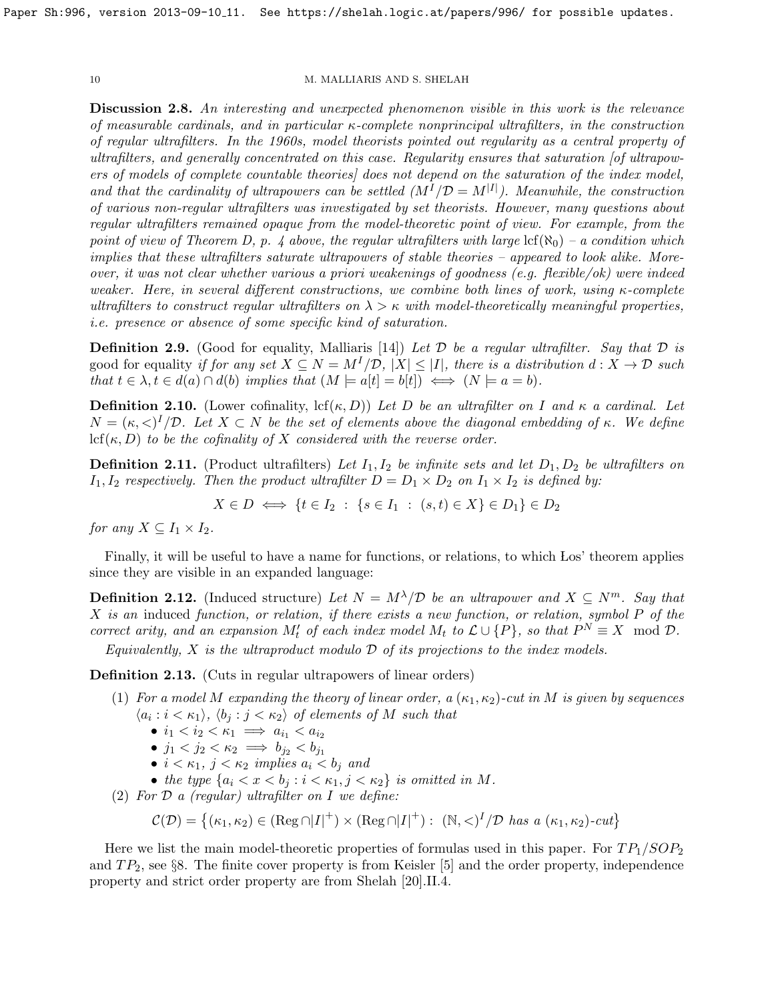<span id="page-9-0"></span>Discussion 2.8. An interesting and unexpected phenomenon visible in this work is the relevance of measurable cardinals, and in particular κ-complete nonprincipal ultrafilters, in the construction of regular ultrafilters. In the 1960s, model theorists pointed out regularity as a central property of ultrafilters, and generally concentrated on this case. Regularity ensures that saturation [of ultrapowers of models of complete countable theories] does not depend on the saturation of the index model, and that the cardinality of ultrapowers can be settled  $(M^I/\mathcal{D}=M^{|I|})$ . Meanwhile, the construction of various non-regular ultrafilters was investigated by set theorists. However, many questions about regular ultrafilters remained opaque from the model-theoretic point of view. For example, from the point of view of Theorem [D,](#page-3-1) p. [4](#page-3-1) above, the regular ultrafilters with large  $\text{lcf}(\aleph_0)$  – a condition which implies that these ultrafilters saturate ultrapowers of stable theories – appeared to look alike. Moreover, it was not clear whether various a priori weakenings of goodness (e.g. flexible/ok) were indeed weaker. Here, in several different constructions, we combine both lines of work, using  $\kappa$ -complete ultrafilters to construct regular ultrafilters on  $\lambda > \kappa$  with model-theoretically meaningful properties, i.e. presence or absence of some specific kind of saturation.

**Definition 2.9.** (Good for equality, Malliaris [\[14\]](#page-30-3)) Let  $\mathcal D$  be a regular ultrafilter. Say that  $\mathcal D$  is good for equality if for any set  $X \subseteq N = M^I/\mathcal{D}$ ,  $|X| \leq |I|$ , there is a distribution  $d: X \to \mathcal{D}$  such that  $t \in \lambda, t \in d(a) \cap d(b)$  implies that  $(M \models a[t] = b[t]) \iff (N \models a = b)$ .

**Definition 2.10.** (Lower cofinality, lcf $(\kappa, D)$ ) Let D be an ultrafilter on I and  $\kappa$  a cardinal. Let  $N = (\kappa, \langle \rangle)^I/\mathcal{D}$ . Let  $X \subset N$  be the set of elements above the diagonal embedding of  $\kappa$ . We define  $\text{lcf}(\kappa, D)$  to be the cofinality of X considered with the reverse order.

<span id="page-9-2"></span>**Definition 2.11.** (Product ultrafilters) Let  $I_1, I_2$  be infinite sets and let  $D_1, D_2$  be ultrafilters on  $I_1, I_2$  respectively. Then the product ultrafilter  $D = D_1 \times D_2$  on  $I_1 \times I_2$  is defined by:

$$
X \in D \iff \{t \in I_2 \; : \; \{s \in I_1 \; : \; (s, t) \in X\} \in D_1\} \in D_2
$$

for any  $X \subseteq I_1 \times I_2$ .

Finally, it will be useful to have a name for functions, or relations, to which Los' theorem applies since they are visible in an expanded language:

**Definition 2.12.** (Induced structure) Let  $N = M^{\lambda}/\mathcal{D}$  be an ultrapower and  $X \subseteq N^m$ . Say that X is an induced function, or relation, if there exists a new function, or relation, symbol P of the correct arity, and an expansion  $M'_t$  of each index model  $M_t$  to  $\mathcal{L} \cup \{P\}$ , so that  $P^N \equiv X \mod \mathcal{D}$ .

Equivalently,  $X$  is the ultraproduct modulo  $D$  of its projections to the index models.

<span id="page-9-1"></span>Definition 2.13. (Cuts in regular ultrapowers of linear orders)

- (1) For a model M expanding the theory of linear order, a  $(\kappa_1, \kappa_2)$ -cut in M is given by sequences  $\langle a_i : i < \kappa_1 \rangle$ ,  $\langle b_j : j < \kappa_2 \rangle$  of elements of M such that
	- $i_1 < i_2 < \kappa_1 \implies a_{i_1} < a_{i_2}$
	- $j_1 < j_2 < \kappa_2 \implies b_{j_2} < b_{j_1}$
	- $i < \kappa_1$ ,  $j < \kappa_2$  implies  $a_i < b_j$  and
	- the type  $\{a_i < x < b_j : i < \kappa_1, j < \kappa_2\}$  is omitted in M.
- (2) For  $\mathcal D$  a (regular) ultrafilter on  $I$  we define:

$$
\mathcal{C}(\mathcal{D}) = \left\{ (\kappa_1, \kappa_2) \in (\text{Reg } \cap |I|^+) \times (\text{Reg } \cap |I|^+) : \ (\mathbb{N}, \langle I \rangle^I / \mathcal{D} \text{ has a } (\kappa_1, \kappa_2) \text{-}cut \right\}
$$

Here we list the main model-theoretic properties of formulas used in this paper. For  $TP_1/SOP_2$ and  $TP_2$ , see §[8.](#page-19-0) The finite cover property is from Keisler [\[5\]](#page-30-15) and the order property, independence property and strict order property are from Shelah [\[20\]](#page-30-7).II.4.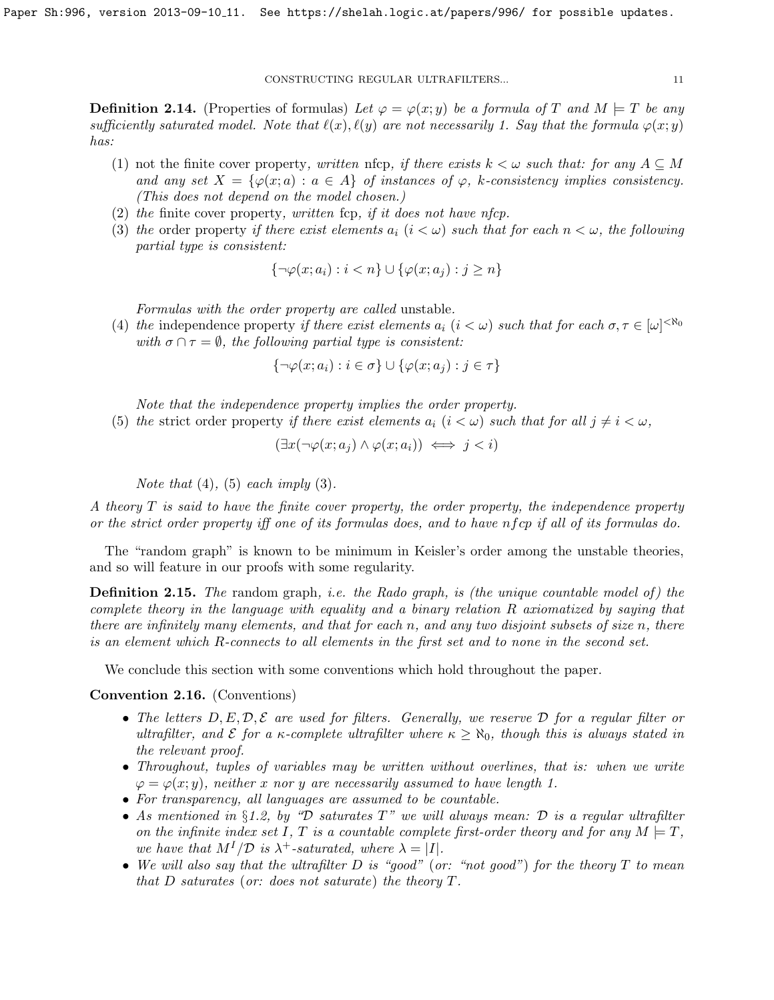<span id="page-10-2"></span>**Definition 2.14.** (Properties of formulas) Let  $\varphi = \varphi(x; y)$  be a formula of T and  $M \models T$  be any sufficiently saturated model. Note that  $\ell(x), \ell(y)$  are not necessarily 1. Say that the formula  $\varphi(x; y)$ has:

- (1) not the finite cover property, written nfcp, if there exists  $k < \omega$  such that: for any  $A \subseteq M$ and any set  $X = \{\varphi(x; a) : a \in A\}$  of instances of  $\varphi$ , k-consistency implies consistency. (This does not depend on the model chosen.)
- (2) the finite cover property, written fcp, if it does not have nfcp.
- (3) the order property if there exist elements  $a_i$  ( $i < \omega$ ) such that for each  $n < \omega$ , the following partial type is consistent:

$$
\{\neg \varphi(x;a_i) : i < n\} \cup \{\varphi(x;a_j) : j \ge n\}
$$

Formulas with the order property are called unstable.

(4) the independence property if there exist elements  $a_i$   $(i < \omega)$  such that for each  $\sigma, \tau \in [\omega]^{< \aleph_0}$ with  $\sigma \cap \tau = \emptyset$ , the following partial type is consistent:

$$
\{\neg \varphi(x; a_i) : i \in \sigma\} \cup \{\varphi(x; a_j) : j \in \tau\}
$$

Note that the independence property implies the order property.

(5) the strict order property if there exist elements  $a_i$  ( $i < \omega$ ) such that for all  $j \neq i < \omega$ ,

$$
(\exists x (\neg \varphi(x; a_j) \land \varphi(x; a_i)) \iff j < i)
$$

Note that  $(4)$ ,  $(5)$  each imply  $(3)$ .

A theory T is said to have the finite cover property, the order property, the independence property or the strict order property iff one of its formulas does, and to have nf cp if all of its formulas do.

The "random graph" is known to be minimum in Keisler's order among the unstable theories, and so will feature in our proofs with some regularity.

<span id="page-10-0"></span>**Definition 2.15.** The random graph, i.e. the Rado graph, is (the unique countable model of) the complete theory in the language with equality and a binary relation R axiomatized by saying that there are infinitely many elements, and that for each n, and any two disjoint subsets of size n, there is an element which R-connects to all elements in the first set and to none in the second set.

We conclude this section with some conventions which hold throughout the paper.

# <span id="page-10-1"></span>Convention 2.16. (Conventions)

- The letters  $D, E, \mathcal{D}, \mathcal{E}$  are used for filters. Generally, we reserve  $\mathcal{D}$  for a regular filter or ultrafilter, and  $\mathcal E$  for a  $\kappa$ -complete ultrafilter where  $\kappa \geq \aleph_0$ , though this is always stated in the relevant proof.
- Throughout, tuples of variables may be written without overlines, that is: when we write  $\varphi = \varphi(x; y)$ , neither x nor y are necessarily assumed to have length 1.
- For transparency, all languages are assumed to be countable.
- As mentioned in §[1.2,](#page-4-0) by "D saturates  $T$ " we will always mean: D is a regular ultrafilter on the infinite index set I, T is a countable complete first-order theory and for any  $M \models T$ , we have that  $M^{I}/\mathcal{D}$  is  $\lambda^{+}$ -saturated, where  $\lambda = |I|$ .
- We will also say that the ultrafilter D is "good" (or: "not good") for the theory  $T$  to mean that  $D$  saturates (or: does not saturate) the theory  $T$ .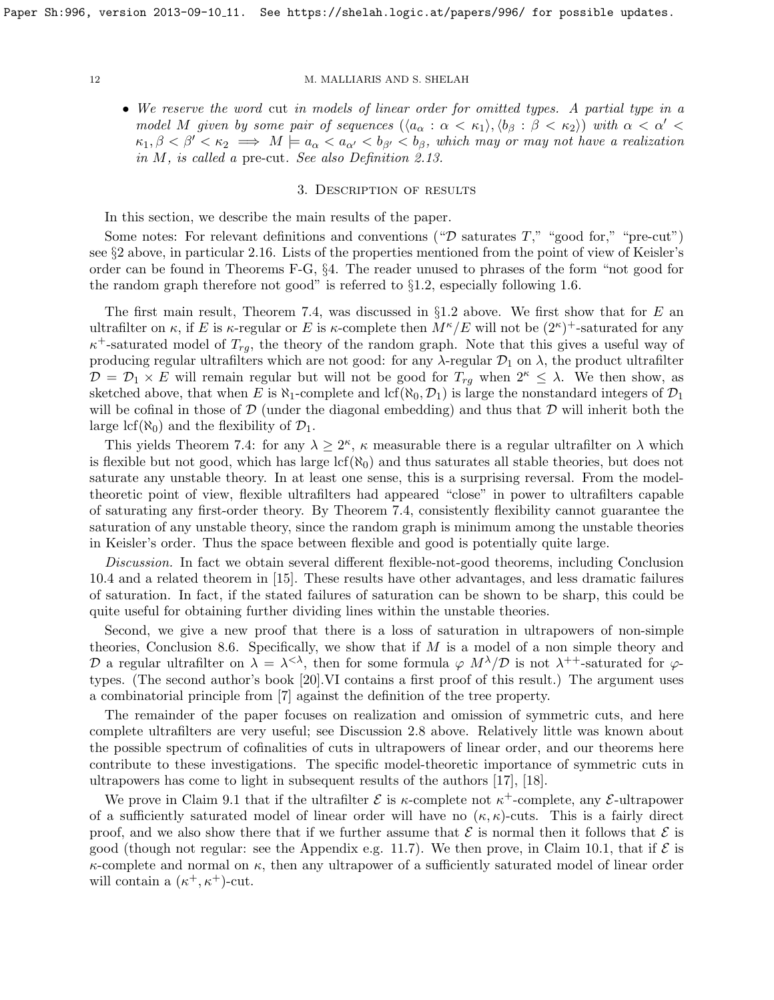• We reserve the word cut in models of linear order for omitted types. A partial type in a model M given by some pair of sequences  $(\langle a_{\alpha} : \alpha < \kappa_1 \rangle, \langle b_{\beta} : \beta < \kappa_2 \rangle)$  with  $\alpha < \alpha' <$  $\kappa_1, \beta < \beta' < \kappa_2 \implies M \models a_{\alpha} < a_{\alpha'} < b_{\beta'} < b_{\beta}$ , which may or may not have a realization in M, is called a pre-cut. See also Definition [2.13.](#page-9-1)

# 3. Description of results

<span id="page-11-0"></span>In this section, we describe the main results of the paper.

Some notes: For relevant definitions and conventions (" $\mathcal D$  saturates T," "good for," "pre-cut") see §[2](#page-8-0) above, in particular [2.16.](#page-10-1) Lists of the properties mentioned from the point of view of Keisler's order can be found in Theorems [F-](#page-12-1)[G,](#page-13-0) §[4.](#page-12-0) The reader unused to phrases of the form "not good for the random graph therefore not good" is referred to  $\S1.2$ , especially following 1.6.

The first main result, Theorem [7.4,](#page-19-1) was discussed in  $\S 1.2$  $\S 1.2$  above. We first show that for E an ultrafilter on  $\kappa$ , if E is  $\kappa$ -regular or E is  $\kappa$ -complete then  $M^{\kappa}/E$  will not be  $(2^{\kappa})^+$ -saturated for any  $\kappa^+$ -saturated model of  $T_{rg}$ , the theory of the random graph. Note that this gives a useful way of producing regular ultrafilters which are not good: for any  $\lambda$ -regular  $\mathcal{D}_1$  on  $\lambda$ , the product ultrafilter  $\mathcal{D} = \mathcal{D}_1 \times E$  will remain regular but will not be good for  $T_{rq}$  when  $2^{\kappa} \leq \lambda$ . We then show, as sketched above, that when E is  $\aleph_1$ -complete and lcf( $\aleph_0, \mathcal{D}_1$ ) is large the nonstandard integers of  $\mathcal{D}_1$ will be cofinal in those of  $\mathcal D$  (under the diagonal embedding) and thus that  $\mathcal D$  will inherit both the large lcf( $\aleph_0$ ) and the flexibility of  $\mathcal{D}_1$ .

This yields Theorem [7.4:](#page-19-1) for any  $\lambda \geq 2^{\kappa}$ ,  $\kappa$  measurable there is a regular ultrafilter on  $\lambda$  which is flexible but not good, which has large  $\text{lcf}(\aleph_0)$  and thus saturates all stable theories, but does not saturate any unstable theory. In at least one sense, this is a surprising reversal. From the modeltheoretic point of view, flexible ultrafilters had appeared "close" in power to ultrafilters capable of saturating any first-order theory. By Theorem [7.4,](#page-19-1) consistently flexibility cannot guarantee the saturation of any unstable theory, since the random graph is minimum among the unstable theories in Keisler's order. Thus the space between flexible and good is potentially quite large.

Discussion. In fact we obtain several different flexible-not-good theorems, including Conclusion [10.4](#page-26-1) and a related theorem in [\[15\]](#page-30-6). These results have other advantages, and less dramatic failures of saturation. In fact, if the stated failures of saturation can be shown to be sharp, this could be quite useful for obtaining further dividing lines within the unstable theories.

Second, we give a new proof that there is a loss of saturation in ultrapowers of non-simple theories, Conclusion [8.6.](#page-21-1) Specifically, we show that if  $M$  is a model of a non simple theory and D a regular ultrafilter on  $\lambda = \lambda^{<\lambda}$ , then for some formula  $\varphi$   $M^{\lambda}/\mathcal{D}$  is not  $\lambda^{++}$ -saturated for  $\varphi$ types. (The second author's book [\[20\]](#page-30-7).VI contains a first proof of this result.) The argument uses a combinatorial principle from [\[7\]](#page-30-16) against the definition of the tree property.

The remainder of the paper focuses on realization and omission of symmetric cuts, and here complete ultrafilters are very useful; see Discussion [2.8](#page-9-0) above. Relatively little was known about the possible spectrum of cofinalities of cuts in ultrapowers of linear order, and our theorems here contribute to these investigations. The specific model-theoretic importance of symmetric cuts in ultrapowers has come to light in subsequent results of the authors [\[17\]](#page-30-5), [\[18\]](#page-30-17).

We prove in Claim [9.1](#page-21-2) that if the ultrafilter  $\mathcal E$  is  $\kappa$ -complete not  $\kappa^+$ -complete, any  $\mathcal E$ -ultrapower of a sufficiently saturated model of linear order will have no  $(\kappa, \kappa)$ -cuts. This is a fairly direct proof, and we also show there that if we further assume that  $\mathcal E$  is normal then it follows that  $\mathcal E$  is good (though not regular: see the Appendix e.g. [11.7\)](#page-28-1). We then prove, in Claim [10.1,](#page-23-1) that if  $\mathcal E$  is  $\kappa$ -complete and normal on  $\kappa$ , then any ultrapower of a sufficiently saturated model of linear order will contain a  $(\kappa^+, \kappa^+)$ -cut.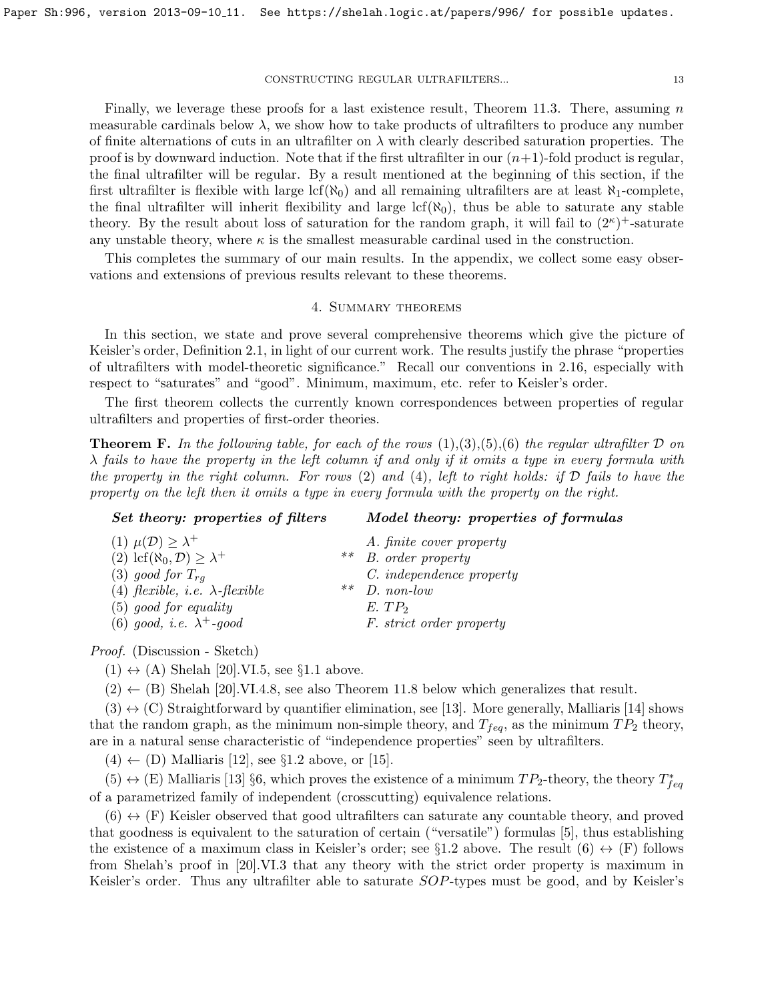Finally, we leverage these proofs for a last existence result, Theorem [11.3.](#page-27-0) There, assuming  $n$ measurable cardinals below  $\lambda$ , we show how to take products of ultrafilters to produce any number of finite alternations of cuts in an ultrafilter on  $\lambda$  with clearly described saturation properties. The proof is by downward induction. Note that if the first ultrafilter in our  $(n+1)$ -fold product is regular, the final ultrafilter will be regular. By a result mentioned at the beginning of this section, if the first ultrafilter is flexible with large lcf( $\aleph_0$ ) and all remaining ultrafilters are at least  $\aleph_1$ -complete, the final ultrafilter will inherit flexibility and large  $lcf(\aleph_0)$ , thus be able to saturate any stable theory. By the result about loss of saturation for the random graph, it will fail to  $(2^{\kappa})^+$ -saturate any unstable theory, where  $\kappa$  is the smallest measurable cardinal used in the construction.

This completes the summary of our main results. In the appendix, we collect some easy observations and extensions of previous results relevant to these theorems.

# 4. Summary theorems

<span id="page-12-0"></span>In this section, we state and prove several comprehensive theorems which give the picture of Keisler's order, Definition [2.1,](#page-8-1) in light of our current work. The results justify the phrase "properties of ultrafilters with model-theoretic significance." Recall our conventions in [2.16,](#page-10-1) especially with respect to "saturates" and "good". Minimum, maximum, etc. refer to Keisler's order.

The first theorem collects the currently known correspondences between properties of regular ultrafilters and properties of first-order theories.

<span id="page-12-1"></span>**Theorem F.** In the following table, for each of the rows  $(1),(3),(5),(6)$  the regular ultrafilter  $\mathcal D$  on  $\lambda$  fails to have the property in the left column if and only if it omits a type in every formula with the property in the right column. For rows  $(2)$  and  $(4)$ , left to right holds: if  $D$  fails to have the property on the left then it omits a type in every formula with the property on the right.

# Set theory: properties of filters Model theory: properties of formulas

| (1) $\mu(\mathcal{D}) \geq \lambda^+$               |    | A. finite cover property |
|-----------------------------------------------------|----|--------------------------|
| (2) lcf( $\aleph_0, \mathcal{D}$ ) $\geq \lambda^+$ |    | ** $B. order property$   |
| (3) good for $T_{rq}$                               |    | C. independence property |
| (4) flexible, <i>i.e.</i> $\lambda$ -flexible       | ** | $D.$ non-low             |
| $(5)$ good for equality                             |    | $E.$ $TP2$               |
| (6) good, i.e. $\lambda^+$ -good                    |    | F. strict order property |

Proof. (Discussion - Sketch)

 $(1) \leftrightarrow (A)$  Shelah [\[20\]](#page-30-7).VI.5, see §[1.1](#page-2-3) above.

 $(2) \leftarrow (B)$  Shelah [\[20\]](#page-30-7).VI.4.8, see also Theorem [11.8](#page-29-0) below which generalizes that result.

 $(3) \leftrightarrow (C)$  Straightforward by quantifier elimination, see [\[13\]](#page-30-13). More generally, Malliaris [\[14\]](#page-30-3) shows that the random graph, as the minimum non-simple theory, and  $T_{feq}$ , as the minimum  $TP_2$  theory, are in a natural sense characteristic of "independence properties" seen by ultrafilters.

 $(4) \leftarrow (D)$  Malliaris [\[12\]](#page-30-2), see §[1.2](#page-4-0) above, or [\[15\]](#page-30-6).

 $(5) \leftrightarrow (E)$  Malliaris [\[13\]](#page-30-13) §6, which proves the existence of a minimum  $TP_2$ -theory, the theory  $T_{feq}^*$ of a parametrized family of independent (crosscutting) equivalence relations.

 $(6) \leftrightarrow (F)$  Keisler observed that good ultrafilters can saturate any countable theory, and proved that goodness is equivalent to the saturation of certain ("versatile") formulas [\[5\]](#page-30-15), thus establishing the existence of a maximum class in Keisler's order; see §[1.2](#page-4-0) above. The result  $(6) \leftrightarrow (F)$  follows from Shelah's proof in [\[20\]](#page-30-7).VI.3 that any theory with the strict order property is maximum in Keisler's order. Thus any ultrafilter able to saturate SOP-types must be good, and by Keisler's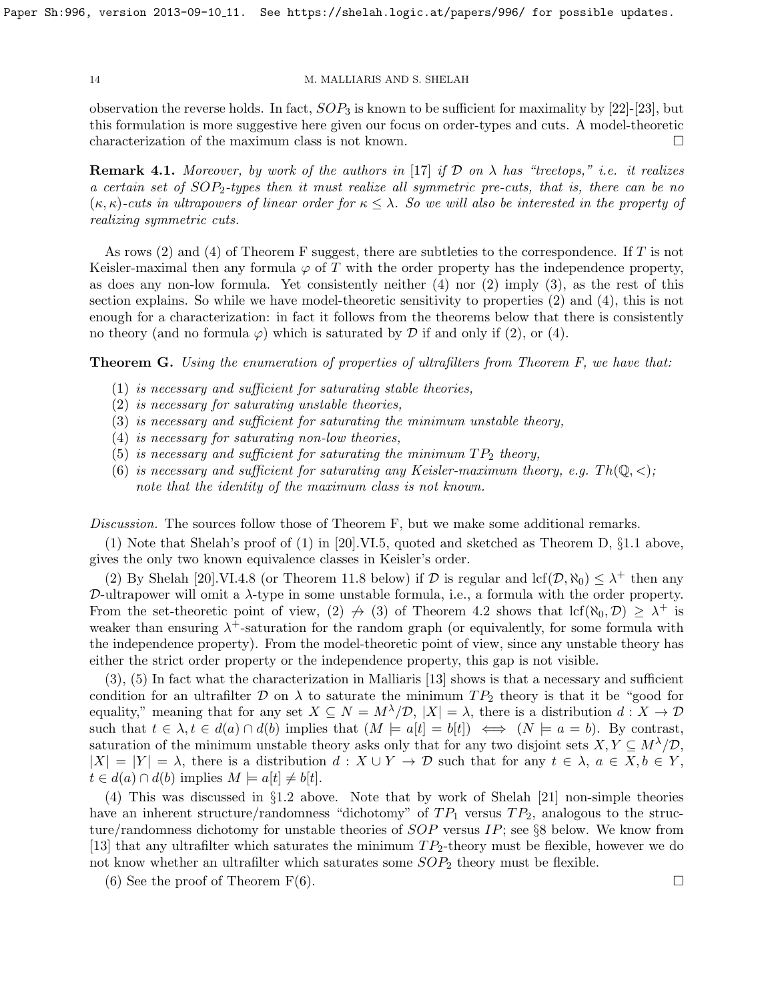observation the reverse holds. In fact,  $SOP_3$  is known to be sufficient for maximality by [\[22\]](#page-30-1)-[\[23\]](#page-30-18), but this formulation is more suggestive here given our focus on order-types and cuts. A model-theoretic characterization of the maximum class is not known.

**Remark 4.1.** Moreover, by work of the authors in [\[17\]](#page-30-5) if  $D$  on  $\lambda$  has "treetops," i.e. it realizes a certain set of  $SOP_2$ -types then it must realize all symmetric pre-cuts, that is, there can be no  $(\kappa, \kappa)$ -cuts in ultrapowers of linear order for  $\kappa \leq \lambda$ . So we will also be interested in the property of realizing symmetric cuts.

As rows (2) and (4) of Theorem [F](#page-12-1) suggest, there are subtleties to the correspondence. If T is not Keisler-maximal then any formula  $\varphi$  of T with the order property has the independence property, as does any non-low formula. Yet consistently neither (4) nor (2) imply (3), as the rest of this section explains. So while we have model-theoretic sensitivity to properties (2) and (4), this is not enough for a characterization: in fact it follows from the theorems below that there is consistently no theory (and no formula  $\varphi$ ) which is saturated by  $\mathcal D$  if and only if (2), or (4).

<span id="page-13-0"></span>**Theorem G.** Using the enumeration of properties of ultrafilters from Theorem [F,](#page-12-1) we have that:

- (1) is necessary and sufficient for saturating stable theories,
- (2) is necessary for saturating unstable theories,
- (3) is necessary and sufficient for saturating the minimum unstable theory,
- (4) is necessary for saturating non-low theories,
- (5) is necessary and sufficient for saturating the minimum  $TP_2$  theory,
- (6) is necessary and sufficient for saturating any Keisler-maximum theory, e.g. Th $(\mathbb{Q}, \leq)$ ; note that the identity of the maximum class is not known.

Discussion. The sources follow those of Theorem [F,](#page-12-1) but we make some additional remarks.

(1) Note that Shelah's proof of (1) in [\[20\]](#page-30-7).VI.5, quoted and sketched as Theorem [D,](#page-3-1) §[1.1](#page-2-3) above, gives the only two known equivalence classes in Keisler's order.

(2) By Shelah [\[20\]](#page-30-7).VI.4.8 (or Theorem [11.8](#page-29-0) below) if  $D$  is regular and  $\text{lcf}(\mathcal{D}, \aleph_0) \leq \lambda^+$  then any D-ultrapower will omit a  $\lambda$ -type in some unstable formula, i.e., a formula with the order property. From the set-theoretic point of view, (2)  $\rightarrow$  (3) of Theorem [4.2](#page-14-2) shows that  $lcf(\aleph_0, \mathcal{D}) \geq \lambda^+$  is weaker than ensuring  $\lambda^+$ -saturation for the random graph (or equivalently, for some formula with the independence property). From the model-theoretic point of view, since any unstable theory has either the strict order property or the independence property, this gap is not visible.

(3), (5) In fact what the characterization in Malliaris [\[13\]](#page-30-13) shows is that a necessary and sufficient condition for an ultrafilter D on  $\lambda$  to saturate the minimum  $TP_2$  theory is that it be "good for equality," meaning that for any set  $X \subseteq N = M^{\lambda}/\mathcal{D}$ ,  $|X| = \lambda$ , there is a distribution  $d: X \to \mathcal{D}$ such that  $t \in \lambda, t \in d(a) \cap d(b)$  implies that  $(M \models a[t] = b[t]) \iff (N \models a = b)$ . By contrast, saturation of the minimum unstable theory asks only that for any two disjoint sets  $X, Y \subseteq M^{\lambda}/\mathcal{D}$ ,  $|X| = |Y| = \lambda$ , there is a distribution  $d: X \cup Y \to \mathcal{D}$  such that for any  $t \in \lambda$ ,  $a \in X, b \in Y$ ,  $t \in d(a) \cap d(b)$  implies  $M \models a[t] \neq b[t]$ .

(4) This was discussed in §[1.2](#page-4-0) above. Note that by work of Shelah [\[21\]](#page-30-19) non-simple theories have an inherent structure/randomness "dichotomy" of  $TP_1$  versus  $TP_2$ , analogous to the structure/randomness dichotomy for unstable theories of  $SOP$  versus  $IP$ ; see §[8](#page-19-0) below. We know from [\[13\]](#page-30-13) that any ultrafilter which saturates the minimum  $TP_2$ -theory must be flexible, however we do not know whether an ultrafilter which saturates some  $SOP_2$  theory must be flexible.

(6) See the proof of Theorem [F\(](#page-12-1)6).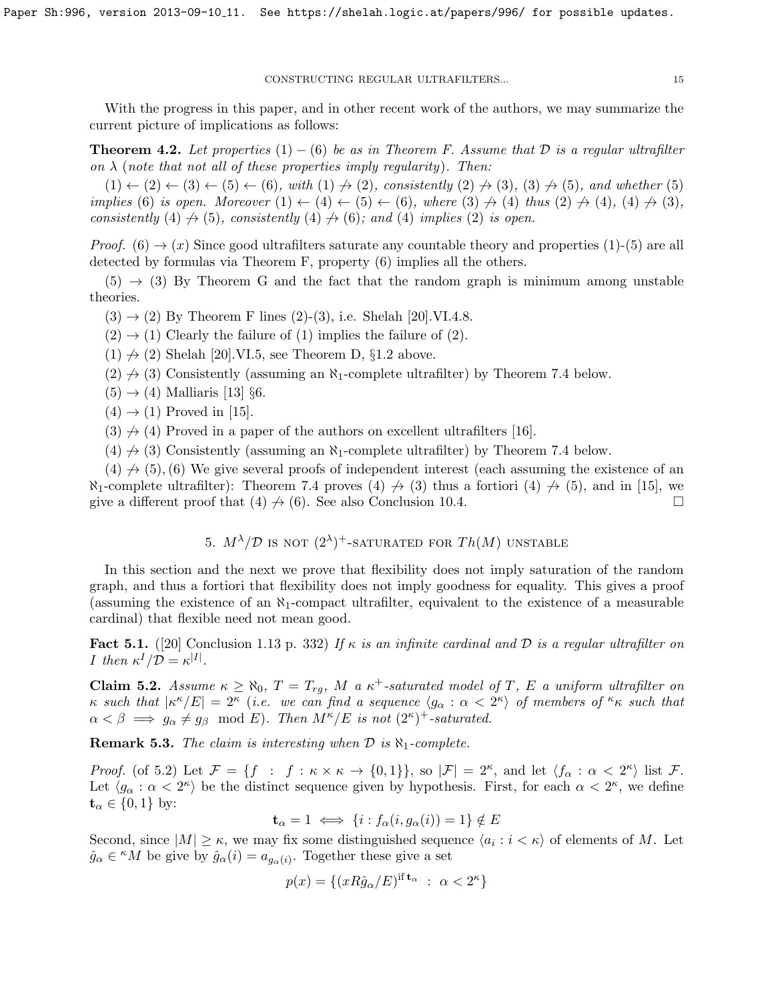With the progress in this paper, and in other recent work of the authors, we may summarize the current picture of implications as follows:

<span id="page-14-2"></span>**Theorem 4.2.** Let properties (1) – (6) be as in Theorem [F.](#page-12-1) Assume that D is a regular ultrafilter on  $\lambda$  (note that not all of these properties imply regularity). Then:

 $(1) \leftarrow (2) \leftarrow (3) \leftarrow (5) \leftarrow (6)$ , with  $(1) \nrightarrow (2)$ , consistently  $(2) \nrightarrow (3)$ ,  $(3) \nrightarrow (5)$ , and whether (5) implies (6) is open. Moreover  $(1) \leftarrow (4) \leftarrow (5) \leftarrow (6)$ , where  $(3) \nrightarrow (4)$  thus  $(2) \nrightarrow (4)$ ,  $(4) \nrightarrow (3)$ , consistently (4)  $\rightarrow$  (5), consistently (4)  $\rightarrow$  (6); and (4) implies (2) is open.

*Proof.* (6)  $\rightarrow$  (x) Since good ultrafilters saturate any countable theory and properties (1)-(5) are all detected by formulas via Theorem [F,](#page-12-1) property (6) implies all the others.

 $(5) \rightarrow (3)$  By Theorem [G](#page-13-0) and the fact that the random graph is minimum among unstable theories.

 $(3) \rightarrow (2)$  By Theorem [F](#page-12-1) lines  $(2)-(3)$ , i.e. Shelah [\[20\]](#page-30-7).VI.4.8.

 $(2) \rightarrow (1)$  Clearly the failure of  $(1)$  implies the failure of  $(2)$ .

 $(1) \nrightarrow (2)$  Shelah [\[20\]](#page-30-7).VI.5, see Theorem [D,](#page-3-1) §[1.2](#page-4-0) above.

- $(2) \nrightarrow (3)$  Consistently (assuming an  $\aleph_1$ -complete ultrafilter) by Theorem [7.4](#page-19-1) below.
- $(5) \rightarrow (4)$  Malliaris [\[13\]](#page-30-13) §6.
- $(4) \rightarrow (1)$  Proved in [\[15\]](#page-30-6).
- $(3) \nrightarrow (4)$  Proved in a paper of the authors on excellent ultrafilters [\[16\]](#page-30-4).
- $(4) \nrightarrow (3)$  Consistently (assuming an  $\aleph_1$ -complete ultrafilter) by Theorem [7.4](#page-19-1) below.

 $(4) \nrightarrow (5)$ , (6) We give several proofs of independent interest (each assuming the existence of an  $\aleph_1$ -complete ultrafilter): Theorem [7.4](#page-19-1) proves (4)  $\neq$  (3) thus a fortiori (4)  $\neq$  (5), and in [\[15\]](#page-30-6), we give a different proof that  $(4) \nrightarrow (6)$ . See also Conclusion [10.4.](#page-26-1)

5. 
$$
M^{\lambda}/\mathcal{D}
$$
 is not  $(2^{\lambda})^+$ -saturation for  $Th(M)$  unstable

<span id="page-14-0"></span>In this section and the next we prove that flexibility does not imply saturation of the random graph, and thus a fortiori that flexibility does not imply goodness for equality. This gives a proof (assuming the existence of an  $\aleph_1$ -compact ultrafilter, equivalent to the existence of a measurable cardinal) that flexible need not mean good.

<span id="page-14-3"></span>Fact 5.1. ([\[20\]](#page-30-7) Conclusion 1.13 p. 332) If  $\kappa$  is an infinite cardinal and  $\mathcal D$  is a regular ultrafilter on *I* then  $\kappa^I/\mathcal{D} = \kappa^{|I|}$ .

<span id="page-14-1"></span>**Claim 5.2.** Assume  $\kappa \ge \aleph_0$ ,  $T = T_{rg}$ , M a  $\kappa^+$ -saturated model of T, E a uniform ultrafilter on  $\kappa$  such that  $|\kappa^{\kappa}/E| = 2^{\kappa}$  (i.e. we can find a sequence  $\langle g_{\alpha} : \alpha < 2^{\kappa} \rangle$  of members of  $\kappa$  such that  $\alpha < \beta \implies g_{\alpha} \neq g_{\beta} \mod E$ . Then  $M^{\kappa}/E$  is not  $(2^{\kappa})^+$ -saturated.

**Remark 5.3.** The claim is interesting when  $\mathcal{D}$  is  $\aleph_1$ -complete.

Proof. (of [5.2\)](#page-14-1) Let  $\mathcal{F} = \{f : f : \kappa \times \kappa \to \{0,1\}\}\$ , so  $|\mathcal{F}| = 2^{\kappa}$ , and let  $\langle f_{\alpha} : \alpha < 2^{\kappa} \rangle$  list  $\mathcal{F}$ . Let  $\langle g_{\alpha} : \alpha < 2^{\kappa} \rangle$  be the distinct sequence given by hypothesis. First, for each  $\alpha < 2^{\kappa}$ , we define  $\mathbf{t}_{\alpha} \in \{0,1\}$  by:

$$
\mathbf{t}_{\alpha} = 1 \iff \{i : f_{\alpha}(i, g_{\alpha}(i)) = 1\} \notin E
$$

Second, since  $|M| \geq \kappa$ , we may fix some distinguished sequence  $\langle a_i : i < \kappa \rangle$  of elements of M. Let  $\hat{g}_{\alpha} \in {}^{\kappa}M$  be give by  $\hat{g}_{\alpha}(i) = a_{g_{\alpha}(i)}$ . Together these give a set

$$
p(x) = \{(xR\hat{g}_{\alpha}/E)^{\text{if } \mathbf{t}_{\alpha} : \alpha < 2^{\kappa}\}\
$$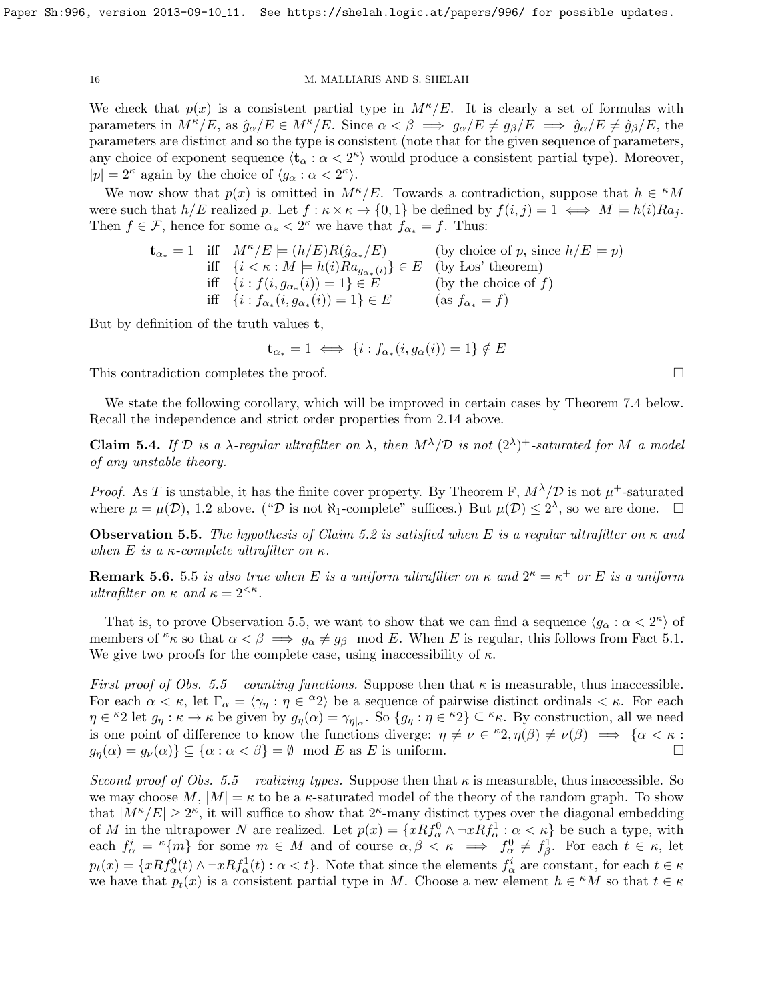We check that  $p(x)$  is a consistent partial type in  $M^{\kappa}/E$ . It is clearly a set of formulas with parameters in  $M^{\kappa}/E$ , as  $\hat{g}_{\alpha}/E \in M^{\kappa}/E$ . Since  $\alpha < \beta \implies g_{\alpha}/E \neq g_{\beta}/E \implies \hat{g}_{\alpha}/E \neq \hat{g}_{\beta}/E$ , the parameters are distinct and so the type is consistent (note that for the given sequence of parameters, any choice of exponent sequence  $\langle \mathbf{t}_{\alpha} : \alpha < 2^{\kappa} \rangle$  would produce a consistent partial type). Moreover,  $|p| = 2^{\kappa}$  again by the choice of  $\langle g_{\alpha} : \alpha < 2^{\kappa} \rangle$ .

We now show that  $p(x)$  is omitted in  $M^{\kappa}/E$ . Towards a contradiction, suppose that  $h \in {}^{\kappa}M$ were such that  $h/E$  realized p. Let  $f : \kappa \times \kappa \to \{0,1\}$  be defined by  $f(i, j) = 1 \iff M \models h(i)Ra_j$ . Then  $f \in \mathcal{F}$ , hence for some  $\alpha_* < 2^{\kappa}$  we have that  $f_{\alpha_*} = f$ . Thus:

$$
\mathbf{t}_{\alpha*} = 1 \quad \text{iff} \quad M^{\kappa}/E \models (h/E)R(\hat{g}_{\alpha*}/E) \quad \text{(by choice of } p \text{, since } h/E \models p) \n\text{iff} \quad \{i < \kappa : M \models h(i)Ra_{g_{\alpha*}(i)}\} \in E \quad \text{(by Los' theorem)} \n\text{iff} \quad \{i : f(i, g_{\alpha*}(i)) = 1\} \in E \quad \text{(by the choice of } f) \n\text{iff} \quad \{i : f_{\alpha*}(i, g_{\alpha*}(i)) = 1\} \in E \quad \text{(as } f_{\alpha*} = f)
$$

But by definition of the truth values t,

$$
\mathbf{t}_{\alpha*} = 1 \iff \{i : f_{\alpha*}(i, g_{\alpha}(i)) = 1\} \notin E
$$

This contradiction completes the proof.

We state the following corollary, which will be improved in certain cases by Theorem [7.4](#page-19-1) below. Recall the independence and strict order properties from [2.14](#page-10-2) above.

**Claim 5.4.** If D is a  $\lambda$ -regular ultrafilter on  $\lambda$ , then  $M^{\lambda}/D$  is not  $(2^{\lambda})^+$ -saturated for M a model of any unstable theory.

*Proof.* As T is unstable, it has the finite cover property. By Theorem [F,](#page-12-1)  $M^{\lambda}/\mathcal{D}$  is not  $\mu^{+}$ -saturated where  $\mu = \mu(\mathcal{D})$ , [1.2](#page-3-0) above. (" $\mathcal{D}$  is not  $\aleph_1$ -complete" suffices.) But  $\mu(\mathcal{D}) \leq 2^{\lambda}$ , so we are done.

<span id="page-15-0"></span>**Observation 5.5.** The hypothesis of Claim [5.2](#page-14-1) is satisfied when E is a regular ultrafilter on  $\kappa$  and when E is a  $\kappa$ -complete ultrafilter on  $\kappa$ .

**Remark [5](#page-15-0).6.** 5.5 is also true when E is a uniform ultrafilter on  $\kappa$  and  $2^{\kappa} = \kappa^+$  or E is a uniform ultrafilter on  $\kappa$  and  $\kappa = 2^{<\kappa}$ .

That is, to prove Observation [5.5,](#page-15-0) we want to show that we can find a sequence  $\langle g_{\alpha} : \alpha < 2^{\kappa} \rangle$  of members of  $\kappa \kappa$  so that  $\alpha < \beta \implies g_\alpha \neq g_\beta \mod E$ . When E is regular, this follows from Fact [5.1.](#page-14-3) We give two proofs for the complete case, using inaccessibility of  $\kappa$ .

First proof of Obs. [5.5](#page-15-0) – counting functions. Suppose then that  $\kappa$  is measurable, thus inaccessible. For each  $\alpha < \kappa$ , let  $\Gamma_{\alpha} = \langle \gamma_{\eta} : \eta \in {}^{\alpha}2 \rangle$  be a sequence of pairwise distinct ordinals  $\langle \kappa \rangle$ . For each  $\eta \in {}^{\kappa}2$  let  $g_{\eta} : \kappa \to \kappa$  be given by  $g_{\eta}(\alpha) = \gamma_{\eta|\alpha}$ . So  $\{g_{\eta} : \eta \in {}^{\kappa}2\} \subseteq {}^{\kappa}\kappa$ . By construction, all we need is one point of difference to know the functions diverge:  $\eta \neq \nu \in {}^{\kappa}2, \eta(\beta) \neq \nu(\beta) \implies {\alpha < \kappa :}$  $g_n(\alpha) = g_\nu(\alpha) \} \subseteq {\alpha : \alpha < \beta} = \emptyset \mod E$  as E is uniform.

Second proof of Obs. [5.5](#page-15-0) – realizing types. Suppose then that  $\kappa$  is measurable, thus inaccessible. So we may choose M,  $|M| = \kappa$  to be a  $\kappa$ -saturated model of the theory of the random graph. To show that  $|M^{\kappa}/E| \geq 2^{\kappa}$ , it will suffice to show that  $2^{\kappa}$ -many distinct types over the diagonal embedding of M in the ultrapower N are realized. Let  $p(x) = \{xRf_{\alpha}^0 \wedge \neg xRf_{\alpha}^1 : \alpha < \kappa\}$  be such a type, with each  $f^i_\alpha = \kappa \{m\}$  for some  $m \in M$  and of course  $\alpha, \beta \leq \kappa \implies f^0_\alpha \neq f^1_\beta$ . For each  $t \in \kappa$ , let  $p_t(x) = \{xRf_\alpha^0(t) \wedge \neg xRf_\alpha^1(t) : \alpha < t\}.$  Note that since the elements  $f_\alpha^i$  are constant, for each  $t \in \kappa$ we have that  $p_t(x)$  is a consistent partial type in M. Choose a new element  $h \in {}^{\kappa}M$  so that  $t \in \kappa$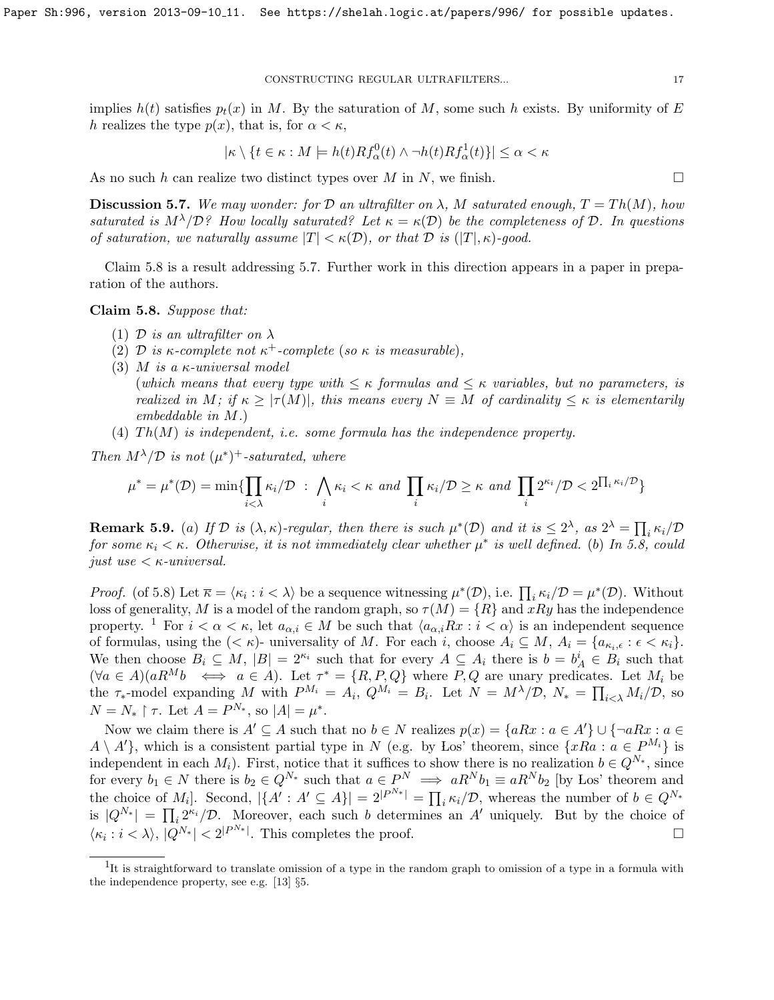implies  $h(t)$  satisfies  $p_t(x)$  in M. By the saturation of M, some such h exists. By uniformity of E h realizes the type  $p(x)$ , that is, for  $\alpha < \kappa$ ,

$$
|\kappa \setminus \{t \in \kappa : M \models h(t)Rf_{\alpha}^{0}(t) \wedge \neg h(t)Rf_{\alpha}^{1}(t)\}| \leq \alpha < \kappa
$$

As no such h can realize two distinct types over M in N, we finish.  $\square$ 

<span id="page-16-1"></span>**Discussion 5.7.** We may wonder: for D an ultrafilter on  $\lambda$ , M saturated enough,  $T = Th(M)$ , how saturated is  $M^{\lambda}/D$ ? How locally saturated? Let  $\kappa = \kappa(D)$  be the completeness of D. In questions of saturation, we naturally assume  $|T| < \kappa(\mathcal{D})$ , or that  $\mathcal{D}$  is  $(|T|, \kappa)$ -good.

Claim [5.8](#page-16-0) is a result addressing [5.7.](#page-16-1) Further work in this direction appears in a paper in preparation of the authors.

<span id="page-16-0"></span>Claim 5.8. Suppose that:

- (1) D is an ultrafilter on  $\lambda$
- (2) D is  $\kappa$ -complete not  $\kappa^+$ -complete (so  $\kappa$  is measurable),
- (3) M is a  $\kappa$ -universal model

(which means that every type with  $\leq \kappa$  formulas and  $\leq \kappa$  variables, but no parameters, is realized in M; if  $\kappa \geq |\tau(M)|$ , this means every  $N \equiv M$  of cardinality  $\leq \kappa$  is elementarily embeddable in M.)

(4)  $Th(M)$  is independent, i.e. some formula has the independence property.

Then  $M^{\lambda}/\mathcal{D}$  is not  $(\mu^*)^+$ -saturated, where

$$
\mu^* = \mu^*(\mathcal{D}) = \min\{\prod_{i<\lambda}\kappa_i/\mathcal{D} \ : \ \bigwedge_i\kappa_i<\kappa \text{ and }\prod_i\kappa_i/\mathcal{D}\geq \kappa \text{ and }\prod_i2^{\kappa_i}/\mathcal{D}< 2^{\prod_i\kappa_i/\mathcal{D}}\}
$$

**Remark 5.9.** (a) If  $D$  is  $(\lambda, \kappa)$ -regular, then there is such  $\mu^*(D)$  and it is  $\leq 2^{\lambda}$ , as  $2^{\lambda} = \prod_i \kappa_i/D$ for some  $\kappa_i < \kappa$ . Otherwise, it is not immediately clear whether  $\mu^*$  is well defined. (b) In [5.8,](#page-16-0) could just use  $\lt \kappa$ -universal.

*Proof.* (of [5.8\)](#page-16-0) Let  $\overline{\kappa} = \langle \kappa_i : i \langle \lambda \rangle$  be a sequence witnessing  $\mu^*(\mathcal{D})$ , i.e.  $\prod_i \kappa_i / \mathcal{D} = \mu^*(\mathcal{D})$ . Without loss of generality, M is a model of the random graph, so  $\tau(M) = \{R\}$  and  $xRy$  has the independence property. <sup>[1](#page-16-2)</sup> For  $i < \alpha < \kappa$ , let  $a_{\alpha,i} \in M$  be such that  $\langle a_{\alpha,i}Rx : i < \alpha \rangle$  is an independent sequence of formulas, using the  $( $\kappa$ )$ - universality of M. For each i, choose  $A_i \subseteq M$ ,  $A_i = \{a_{\kappa_i,\epsilon} : \epsilon < \kappa_i\}$ . We then choose  $B_i \subseteq M$ ,  $|B| = 2^{\kappa_i}$  such that for every  $A \subseteq A_i$  there is  $b = b_A^i \in B_i$  such that  $(\forall a \in A)(aR^Mb \iff a \in A)$ . Let  $\tau^* = \{R, P, Q\}$  where  $P, Q$  are unary predicates. Let  $M_i$  be the  $\tau_*$ -model expanding M with  $P^{M_i} = A_i$ ,  $Q^{M_i} = B_i$ . Let  $N = M^{\lambda}/\mathcal{D}$ ,  $N_* = \prod_{i \leq \lambda} M_i/\mathcal{D}$ , so  $N = N_* \upharpoonright \tau$ . Let  $A = P^{N_*}$ , so  $|A| = \mu^*$ .

Now we claim there is  $A' \subseteq A$  such that no  $b \in N$  realizes  $p(x) = \{aRx : a \in A'\} \cup \{\neg aRx : a \in A\}$  $A \setminus A'$ , which is a consistent partial type in N (e.g. by Los' theorem, since  $\{xRa : a \in P^{M_i}\}\$ is independent in each  $M_i$ ). First, notice that it suffices to show there is no realization  $b \in Q^{N_*}$ , since for every  $b_1 \in N$  there is  $b_2 \in Q^{N_*}$  such that  $a \in P^N \implies aR^N b_1 \equiv aR^N b_2$  [by Los' theorem and the choice of  $M_i$ ]. Second,  $|\{A': A' \subseteq A\}| = 2^{|P^{N*}|} = \prod_i \kappa_i/\mathcal{D}$ , whereas the number of  $b \in Q^{N*}$ is  $|Q^{N_*}| = \prod_i 2^{\kappa_i}/\mathcal{D}$ . Moreover, each such b determines an A' uniquely. But by the choice of  $\langle \kappa_i : i \langle \lambda \rangle, |Q^{N_*}| \langle 2|^{P^{N_*}}$ . This completes the proof.

<span id="page-16-2"></span><sup>&</sup>lt;sup>1</sup>It is straightforward to translate omission of a type in the random graph to omission of a type in a formula with the independence property, see e.g. [\[13\]](#page-30-13) §5.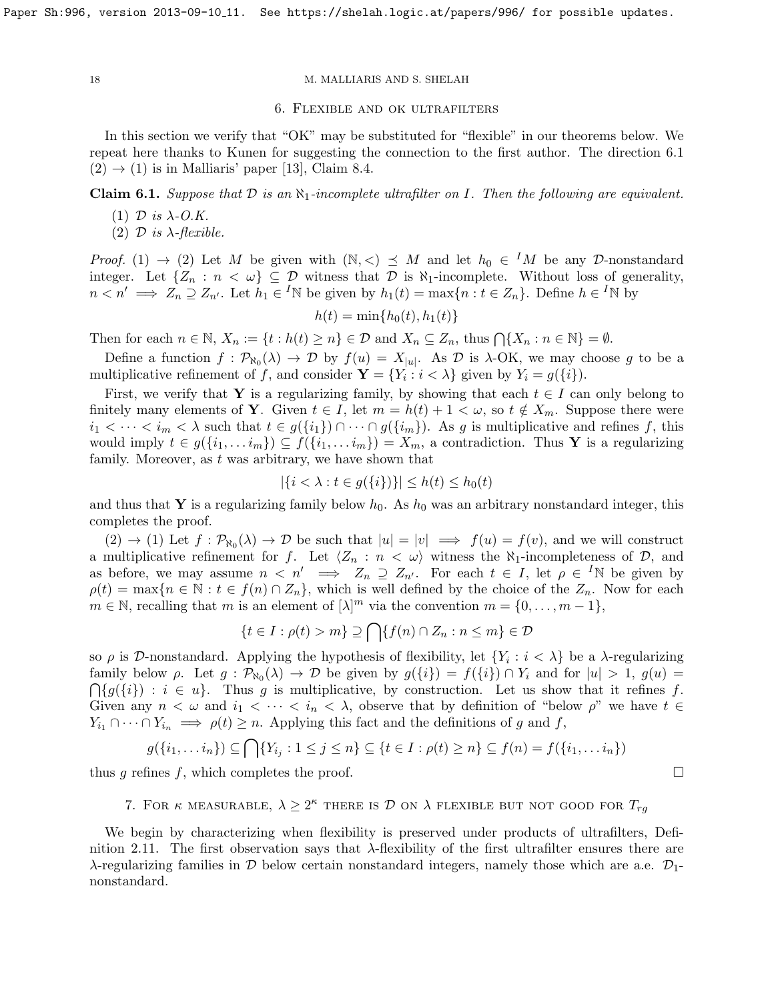<span id="page-17-0"></span>

# 6. Flexible and ok ultrafilters

In this section we verify that "OK" may be substituted for "flexible" in our theorems below. We repeat here thanks to Kunen for suggesting the connection to the first author. The direction [6.1](#page-17-2)  $(2) \rightarrow (1)$  is in Malliaris' paper [\[13\]](#page-30-13), Claim 8.4.

# <span id="page-17-2"></span>Claim 6.1. Suppose that  $D$  is an  $\aleph_1$ -incomplete ultrafilter on I. Then the following are equivalent.

- (1)  $\mathcal{D}$  is  $\lambda$ -O.K.
- (2)  $\mathcal{D}$  is  $\lambda$ -flexible.

*Proof.* (1)  $\rightarrow$  (2) Let M be given with  $(N, <) \preceq M$  and let  $h_0 \in M$  be any D-nonstandard integer. Let  $\{Z_n : n < \omega\} \subseteq \mathcal{D}$  witness that  $\mathcal{D}$  is  $\aleph_1$ -incomplete. Without loss of generality,  $n < n' \implies Z_n \supseteq Z_{n'}$ . Let  $h_1 \in {}^I\mathbb{N}$  be given by  $h_1(t) = \max\{n : t \in Z_n\}$ . Define  $h \in {}^I\mathbb{N}$  by

$$
h(t) = \min\{h_0(t), h_1(t)\}
$$

Then for each  $n \in \mathbb{N}$ ,  $X_n := \{t : h(t) \geq n\} \in \mathcal{D}$  and  $X_n \subseteq Z_n$ , thus  $\bigcap \{X_n : n \in \mathbb{N}\} = \emptyset$ .

Define a function  $f: \mathcal{P}_{\aleph_0}(\lambda) \to \mathcal{D}$  by  $f(u) = X_{|u|}$ . As  $\mathcal{D}$  is  $\lambda$ -OK, we may choose g to be a multiplicative refinement of f, and consider  $\mathbf{Y} = \{Y_i : i < \lambda\}$  given by  $Y_i = g(\{i\}).$ 

First, we verify that Y is a regularizing family, by showing that each  $t \in I$  can only belong to finitely many elements of **Y**. Given  $t \in I$ , let  $m = h(t) + 1 < \omega$ , so  $t \notin X_m$ . Suppose there were  $i_1 < \cdots < i_m < \lambda$  such that  $t \in g(\{i_1\}) \cap \cdots \cap g(\{i_m\})$ . As g is multiplicative and refines f, this would imply  $t \in g(\{i_1, \ldots i_m\}) \subseteq f(\{i_1, \ldots i_m\}) = X_m$ , a contradiction. Thus Y is a regularizing family. Moreover, as  $t$  was arbitrary, we have shown that

$$
|\{i < \lambda : t \in g(\{i\})\}| \le h(t) \le h_0(t)
$$

and thus that Y is a regularizing family below  $h_0$ . As  $h_0$  was an arbitrary nonstandard integer, this completes the proof.

 $(2) \rightarrow (1)$  Let  $f : \mathcal{P}_{\aleph_0}(\lambda) \rightarrow \mathcal{D}$  be such that  $|u| = |v| \implies f(u) = f(v)$ , and we will construct a multiplicative refinement for f. Let  $\langle Z_n : n \langle \omega \rangle$  witness the  $\aleph_1$ -incompleteness of  $\mathcal{D}$ , and as before, we may assume  $n \langle n' \implies Z_n \supseteq Z_{n'}$ . For each  $t \in I$ , let  $\rho \in {}^I\mathbb{N}$  be given by  $\rho(t) = \max\{n \in \mathbb{N} : t \in f(n) \cap Z_n\}$ , which is well defined by the choice of the  $Z_n$ . Now for each  $m \in \mathbb{N}$ , recalling that m is an element of  $[\lambda]^m$  via the convention  $m = \{0, \ldots, m-1\},\$ 

$$
\{t \in I : \rho(t) > m\} \supseteq \bigcap \{f(n) \cap Z_n : n \le m\} \in \mathcal{D}
$$

so  $\rho$  is D-nonstandard. Applying the hypothesis of flexibility, let  $\{Y_i : i < \lambda\}$  be a  $\lambda$ -regularizing family below  $\rho$ . Let  $g : \mathcal{P}_{\aleph_0}(\lambda) \to \mathcal{D}$  be given by  $g(\{i\}) = f(\{i\}) \cap Y_i$  and for  $|u| > 1$ ,  $g(u) =$  $\bigcap \{g(\{i\}) : i \in u\}.$  Thus g is multiplicative, by construction. Let us show that it refines f. Given any  $n < \omega$  and  $i_1 < \cdots < i_n < \lambda$ , observe that by definition of "below  $\rho$ " we have  $t \in$  $Y_{i_1} \cap \cdots \cap Y_{i_n} \implies \rho(t) \geq n$ . Applying this fact and the definitions of g and f,

$$
g(\lbrace i_1,\ldots i_n \rbrace) \subseteq \bigcap \lbrace Y_{i_j} : 1 \leq j \leq n \rbrace \subseteq \lbrace t \in I : \rho(t) \geq n \rbrace \subseteq f(n) = f(\lbrace i_1,\ldots i_n \rbrace)
$$

<span id="page-17-1"></span>thus g refines f, which completes the proof.  $\square$ 

# 7. FOR  $\kappa$  measurable,  $\lambda \geq 2^{\kappa}$  there is  $\mathcal D$  on  $\lambda$  flexible but not good for  $T_{rg}$

We begin by characterizing when flexibility is preserved under products of ultrafilters, Defi-nition [2.11.](#page-9-2) The first observation says that  $\lambda$ -flexibility of the first ultrafilter ensures there are  $\lambda$ -regularizing families in D below certain nonstandard integers, namely those which are a.e.  $\mathcal{D}_1$ nonstandard.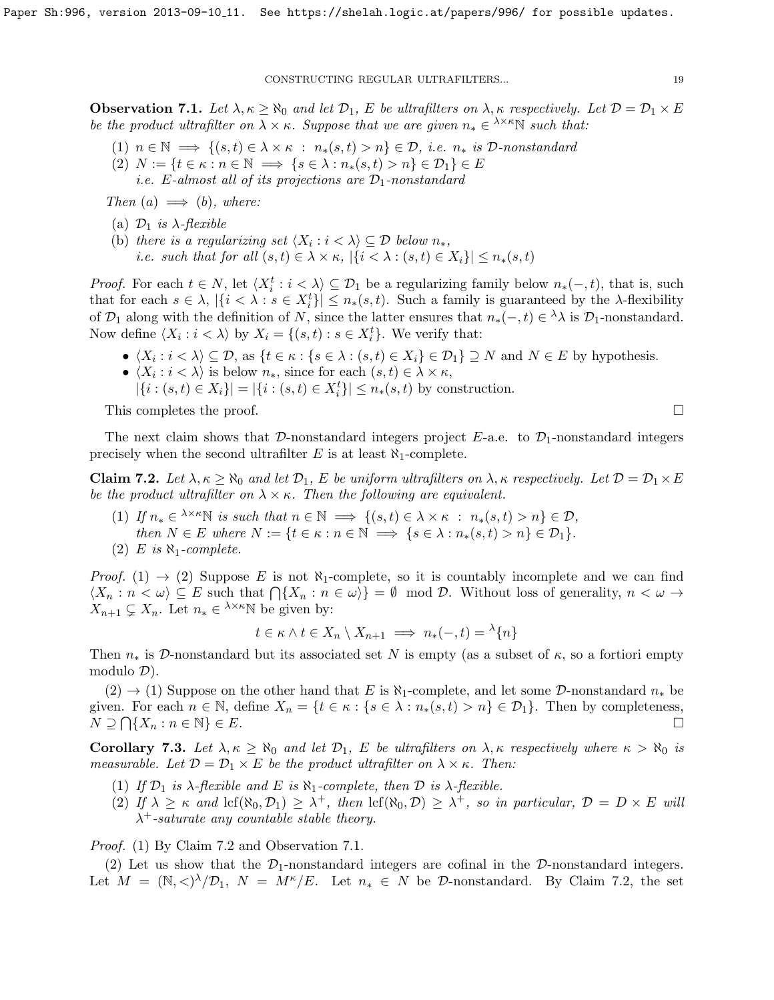<span id="page-18-2"></span>**Observation 7.1.** Let  $\lambda, \kappa \ge \aleph_0$  and let  $\mathcal{D}_1$ , E be ultrafilters on  $\lambda, \kappa$  respectively. Let  $\mathcal{D} = \mathcal{D}_1 \times E$ be the product ultrafilter on  $\lambda \times \kappa$ . Suppose that we are given  $n_* \in \lambda^{\times} \kappa \mathbb{N}$  such that:

- (1)  $n \in \mathbb{N} \implies \{(s,t) \in \lambda \times \kappa : n_*(s,t) > n\} \in \mathcal{D}, i.e. n_* \text{ is } \mathcal{D}\text{-nonstandard}$
- (2)  $N := \{t \in \kappa : n \in \mathbb{N} \implies \{s \in \lambda : n_*(s,t) > n\} \in \mathcal{D}_1\} \in E$ 
	- *i.e.* E-almost all of its projections are  $\mathcal{D}_1$ -nonstandard

Then  $(a) \implies (b)$ , where:

- (a)  $\mathcal{D}_1$  is  $\lambda$ -flexible
- (b) there is a regularizing set  $\langle X_i : i \rangle \subseteq \mathcal{D}$  below  $n_*,$ i.e. such that for all  $(s,t) \in \lambda \times \kappa$ ,  $|\{i \langle \lambda : (s,t) \in X_i\}| \leq n_*(s,t)$

*Proof.* For each  $t \in N$ , let  $\langle X_i^t : i \langle \lambda \rangle \subseteq \mathcal{D}_1$  be a regularizing family below  $n_*(-, t)$ , that is, such that for each  $s \in \lambda$ ,  $|\{i \leq \lambda : s \in X_i^t\}| \leq n_*(s,t)$ . Such a family is guaranteed by the  $\lambda$ -flexibility of  $\mathcal{D}_1$  along with the definition of N, since the latter ensures that  $n_*(-, t) \in \lambda \lambda$  is  $\mathcal{D}_1$ -nonstandard. Now define  $\langle X_i : i < \lambda \rangle$  by  $X_i = \{(s, t) : s \in X_i^t\}$ . We verify that:

- $\langle X_i : i \langle \lambda \rangle \subseteq \mathcal{D}$ , as  $\{t \in \kappa : \{s \in \lambda : (s, t) \in X_i\} \in \mathcal{D}_1\} \supseteq N$  and  $N \in E$  by hypothesis.
- $\langle X_i : i \langle \lambda \rangle$  is below  $n_*,$  since for each  $(s, t) \in \lambda \times \kappa$ ,
- $|\{i : (s,t) \in X_i\}| = |\{i : (s,t) \in X_i^t\}| \le n_*(s,t)$  by construction.

This completes the proof.  $\Box$ 

The next claim shows that D-nonstandard integers project E-a.e. to  $\mathcal{D}_1$ -nonstandard integers precisely when the second ultrafilter E is at least  $\aleph_1$ -complete.

<span id="page-18-1"></span>Claim 7.2. Let  $\lambda, \kappa \ge \aleph_0$  and let  $\mathcal{D}_1$ , E be uniform ultrafilters on  $\lambda, \kappa$  respectively. Let  $\mathcal{D} = \mathcal{D}_1 \times E$ be the product ultrafilter on  $\lambda \times \kappa$ . Then the following are equivalent.

- (1) If  $n_* \in \lambda^{\times} \mathbb{N}$  is such that  $n \in \mathbb{N} \implies \{(s,t) \in \lambda \times \kappa : n_*(s,t) > n\} \in \mathcal{D}$ , then  $N \in E$  where  $N := \{t \in \kappa : n \in \mathbb{N} \implies \{s \in \lambda : n_*(s, t) > n\} \in \mathcal{D}_1\}.$
- (2) E is  $\aleph_1$ -complete.

*Proof.* (1)  $\rightarrow$  (2) Suppose E is not  $\aleph_1$ -complete, so it is countably incomplete and we can find  $\langle X_n : n < \omega \rangle \subseteq E$  such that  $\bigcap \{X_n : n \in \omega\} = \emptyset \mod \mathcal{D}$ . Without loss of generality,  $n < \omega \rightarrow \emptyset$  $X_{n+1} \subsetneq X_n$ . Let  $n_* \in \lambda^{\times} \mathbb{N}$  be given by:

$$
t \in \kappa \wedge t \in X_n \setminus X_{n+1} \implies n_*(-, t) = {}^{\lambda}{n}
$$

Then  $n_*$  is D-nonstandard but its associated set N is empty (as a subset of  $\kappa$ , so a fortiori empty modulo  $\mathcal{D}$ ).

 $(2) \rightarrow (1)$  Suppose on the other hand that E is  $\aleph_1$ -complete, and let some D-nonstandard  $n_*$  be given. For each  $n \in \mathbb{N}$ , define  $X_n = \{t \in \kappa : \{s \in \lambda : n_*(s,t) > n\} \in \mathcal{D}_1\}$ . Then by completeness,  $N \supseteq \bigcap \{X_n : n \in \mathbb{N}\} \in E.$ 

<span id="page-18-0"></span>Corollary 7.3. Let  $\lambda, \kappa \ge \aleph_0$  and let  $\mathcal{D}_1$ , E be ultrafilters on  $\lambda, \kappa$  respectively where  $\kappa > \aleph_0$  is measurable. Let  $\mathcal{D} = \mathcal{D}_1 \times E$  be the product ultrafilter on  $\lambda \times \kappa$ . Then:

- (1) If  $\mathcal{D}_1$  is  $\lambda$ -flexible and E is  $\aleph_1$ -complete, then  $\mathcal D$  is  $\lambda$ -flexible.
- (2) If  $\lambda \geq \kappa$  and  $\text{lcf}(\aleph_0, \mathcal{D}_1) \geq \lambda^+$ , then  $\text{lcf}(\aleph_0, \mathcal{D}) \geq \lambda^+$ , so in particular,  $\mathcal{D} = D \times E$  will  $\lambda^+$ -saturate any countable stable theory.

Proof. (1) By Claim [7.2](#page-18-1) and Observation [7.1.](#page-18-2)

(2) Let us show that the  $\mathcal{D}_1$ -nonstandard integers are cofinal in the  $\mathcal{D}_1$ -nonstandard integers. Let  $M = (\mathbb{N}, \langle \rangle)^{\lambda}/\mathcal{D}_1$ ,  $N = M^{\kappa}/E$ . Let  $n_* \in N$  be  $\mathcal{D}$ -nonstandard. By Claim [7.2,](#page-18-1) the set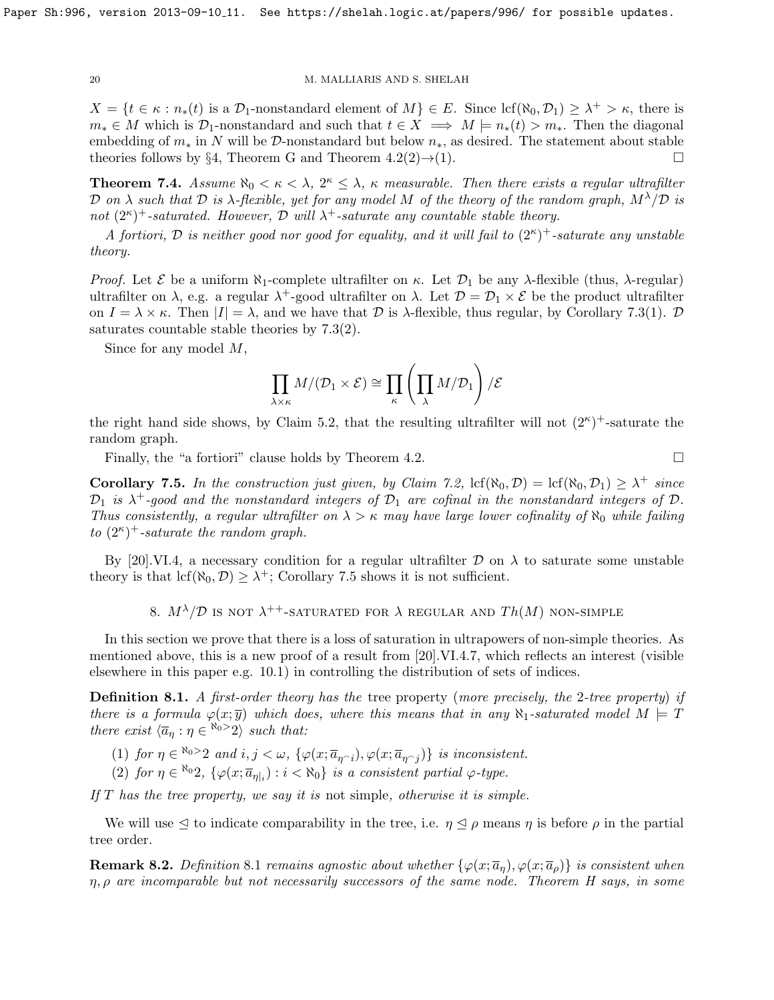$X = \{t \in \kappa : n_*(t)$  is a  $\mathcal{D}_1$ -nonstandard element of  $M \} \in E$ . Since  $\text{lcf}(\aleph_0, \mathcal{D}_1) \geq \lambda^+ > \kappa$ , there is  $m_* \in M$  which is  $\mathcal{D}_1$ -nonstandard and such that  $t \in X \implies M \models n_*(t) > m_*$ . Then the diagonal embedding of  $m_*$  in N will be D-nonstandard but below  $n_*$ , as desired. The statement about stable theories follows by §[4,](#page-12-0) Theorem [G](#page-13-0) and Theorem  $4.2(2) \rightarrow (1)$ .

<span id="page-19-1"></span>**Theorem 7.4.** Assume  $\aleph_0 < \kappa < \lambda$ ,  $2^{\kappa} \leq \lambda$ ,  $\kappa$  measurable. Then there exists a regular ultrafilter D on  $\lambda$  such that D is  $\lambda$ -flexible, yet for any model M of the theory of the random graph,  $M^{\lambda}/\mathcal{D}$  is not  $(2^{\kappa})^+$ -saturated. However, D will  $\lambda^+$ -saturate any countable stable theory.

A fortiori, D is neither good nor good for equality, and it will fail to  $(2^{\kappa})^+$ -saturate any unstable theory.

Proof. Let  $\mathcal E$  be a uniform  $\aleph_1$ -complete ultrafilter on  $\kappa$ . Let  $\mathcal D_1$  be any  $\lambda$ -flexible (thus,  $\lambda$ -regular) ultrafilter on  $\lambda$ , e.g. a regular  $\lambda^+$ -good ultrafilter on  $\lambda$ . Let  $\mathcal{D} = \mathcal{D}_1 \times \mathcal{E}$  be the product ultrafilter on  $I = \lambda \times \kappa$ . Then  $|I| = \lambda$ , and we have that  $\mathcal D$  is  $\lambda$ -flexible, thus regular, by Corollary [7.3\(](#page-18-0)1).  $\mathcal D$ saturates countable stable theories by [7.3\(](#page-18-0)2).

Since for any model M,

$$
\prod_{\lambda \times \kappa} M/(\mathcal{D}_1 \times \mathcal{E}) \cong \prod_{\kappa} \left( \prod_{\lambda} M/\mathcal{D}_1 \right) / \mathcal{E}
$$

the right hand side shows, by Claim [5.2,](#page-14-1) that the resulting ultrafilter will not  $(2^{\kappa})^+$ -saturate the random graph.

Finally, the "a fortiori" clause holds by Theorem [4.2.](#page-14-2)

<span id="page-19-2"></span>**Corollary 7.5.** In the construction just given, by Claim [7.2,](#page-18-1)  $\text{lcf}(\aleph_0, \mathcal{D}) = \text{lcf}(\aleph_0, \mathcal{D}_1) \geq \lambda^+$  since  $\mathcal{D}_1$  is  $\lambda^+$ -good and the nonstandard integers of  $\mathcal{D}_1$  are cofinal in the nonstandard integers of  $\mathcal{D}$ . Thus consistently, a regular ultrafilter on  $\lambda > \kappa$  may have large lower cofinality of  $\aleph_0$  while failing to  $(2^{\kappa})^+$ -saturate the random graph.

By [\[20\]](#page-30-7).VI.4, a necessary condition for a regular ultrafilter  $\mathcal D$  on  $\lambda$  to saturate some unstable theory is that  $\text{lcf}(\aleph_0, \mathcal{D}) \geq \lambda^+$ ; Corollary [7.5](#page-19-2) shows it is not sufficient.

8.  $M^{\lambda}/\mathcal{D}$  is not  $\lambda^{++}$ -saturated for  $\lambda$  regular and  $Th(M)$  non-simple

<span id="page-19-0"></span>In this section we prove that there is a loss of saturation in ultrapowers of non-simple theories. As mentioned above, this is a new proof of a result from [\[20\]](#page-30-7).VI.4.7, which reflects an interest (visible elsewhere in this paper e.g. [10.1\)](#page-23-1) in controlling the distribution of sets of indices.

<span id="page-19-3"></span>Definition 8.1. A first-order theory has the tree property (more precisely, the 2-tree property) if there is a formula  $\varphi(x; \overline{y})$  which does, where this means that in any  $\aleph_1$ -saturated model  $M \models T$ there exist  $\langle \overline{a}_\eta : \eta \in \mathbb{R}^0 \rangle$  such that:

- (1) for  $\eta \in \mathbb{N}^0$  and  $i, j < \omega$ ,  $\{\varphi(x; \overline{a}_{\eta \cap i}), \varphi(x; \overline{a}_{\eta \cap j})\}$  is inconsistent.
- (2) for  $\eta \in \aleph_0 2$ ,  $\{\varphi(x; \overline{a}_{\eta|_i}) : i < \aleph_0\}$  is a consistent partial  $\varphi$ -type.

If  $T$  has the tree property, we say it is not simple, otherwise it is simple.

We will use  $\leq$  to indicate comparability in the tree, i.e.  $\eta \leq \rho$  means  $\eta$  is before  $\rho$  in the partial tree order.

**Remark [8](#page-19-3).2.** Definition 8.1 remains agnostic about whether  $\{\varphi(x; \overline{a}_n), \varphi(x; \overline{a}_p)\}\$ is consistent when  $\eta$ ,  $\rho$  are incomparable but not necessarily successors of the same node. Theorem [H](#page-20-0) says, in some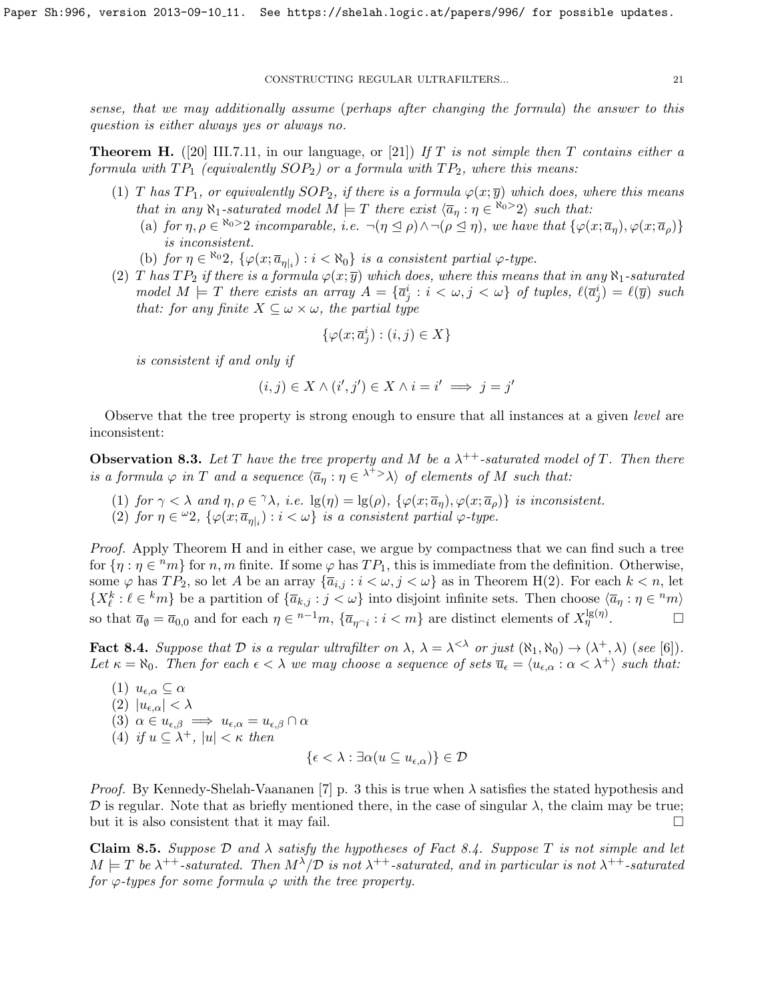sense, that we may additionally assume (perhaps after changing the formula) the answer to this question is either always yes or always no.

<span id="page-20-0"></span>**Theorem H.** ([\[20\]](#page-30-7) III.7.11, in our language, or [\[21\]](#page-30-19)) If T is not simple then T contains either a formula with  $TP_1$  (equivalently  $SOP_2$ ) or a formula with  $TP_2$ , where this means:

- (1) T has  $TP_1$ , or equivalently  $SOP_2$ , if there is a formula  $\varphi(x; \overline{y})$  which does, where this means that in any  $\aleph_1$ -saturated model  $M \models T$  there exist  $\langle \overline{a}_\eta : \eta \in \aleph_0 > 2 \rangle$  such that:
	- (a) for  $\eta, \rho \in \mathbb{R}^{\infty}$  incomparable, i.e.  $\neg(\eta \leq \rho) \wedge \neg(\rho \leq \eta)$ , we have that  $\{\varphi(x; \overline{a}_{\eta}), \varphi(x; \overline{a}_{\rho})\}$ is inconsistent.
	- (b) for  $\eta \in \aleph_0 2$ ,  $\{\varphi(x; \overline{a}_{\eta|_i}) : i < \aleph_0\}$  is a consistent partial  $\varphi$ -type.
- (2) T has  $TP_2$  if there is a formula  $\varphi(x; \overline{y})$  which does, where this means that in any  $\aleph_1$ -saturated model  $M \models T$  there exists an array  $A = {\overline{a_j}} : i < \omega, j < \omega$  of tuples,  $\ell(\overline{a_j}) = \ell(\overline{y})$  such that: for any finite  $X \subseteq \omega \times \omega$ , the partial type

$$
\{\varphi(x; \overline{a}_j^i) : (i,j) \in X\}
$$

is consistent if and only if

$$
(i,j) \in X \land (i',j') \in X \land i = i' \implies j = j'
$$

Observe that the tree property is strong enough to ensure that all instances at a given *level* are inconsistent:

<span id="page-20-2"></span>**Observation 8.3.** Let T have the tree property and M be a  $\lambda^{++}$ -saturated model of T. Then there is a formula  $\varphi$  in T and a sequence  $\langle \overline{a}_\eta : \eta \in \lambda^{+} \rangle$  of elements of M such that:

(1) for  $\gamma < \lambda$  and  $\eta, \rho \in \gamma \lambda$ , i.e.  $\lg(\eta) = \lg(\rho)$ ,  $\{\varphi(x; \overline{a}_{\eta}), \varphi(x; \overline{a}_{\rho})\}$  is inconsistent.

(2) for  $\eta \in {}^{\omega}2$ ,  $\{\varphi(x; \overline{a}_{\eta|_i}) : i < \omega\}$  is a consistent partial  $\varphi$ -type.

Proof. Apply Theorem [H](#page-20-0) and in either case, we argue by compactness that we can find such a tree for  $\{\eta : \eta \in {}^nm\}$  for n, m finite. If some  $\varphi$  has  $TP_1$ , this is immediate from the definition. Otherwise, some  $\varphi$  has  $TP_2$ , so let A be an array  $\{\overline{a}_{i,j} : i < \omega, j < \omega\}$  as in Theorem [H\(](#page-20-0)2). For each  $k < n$ , let  $\{X_{\ell}^{k} : \ell \in {}^{k}m\}$  be a partition of  $\{\overline{a}_{k,j} : j < \omega\}$  into disjoint infinite sets. Then choose  $\langle \overline{a}_{\eta} : \eta \in {}^{n}m\rangle$ so that  $\overline{a}_{\emptyset} = \overline{a}_{0,0}$  and for each  $\eta \in {}^{n-1}m$ ,  $\{\overline{a}_{\eta \cap i} : i < m\}$  are distinct elements of  $X_{\eta}^{\lg(\eta)}$ .

<span id="page-20-1"></span>**Fact 8.4.** Suppose that  $D$  is a regular ultrafilter on  $\lambda$ ,  $\lambda = \lambda^{<\lambda}$  or just  $(\aleph_1, \aleph_0) \rightarrow (\lambda^+, \lambda)$  (see [\[6\]](#page-30-20)). Let  $\kappa = \aleph_0$ . Then for each  $\epsilon < \lambda$  we may choose a sequence of sets  $\overline{u}_{\epsilon} = \langle u_{\epsilon,\alpha} : \alpha < \lambda^+ \rangle$  such that:

(1) 
$$
u_{\epsilon,\alpha} \subseteq \alpha
$$
  
\n(2)  $|u_{\epsilon,\alpha}| < \lambda$   
\n(3)  $\alpha \in u_{\epsilon,\beta} \implies u_{\epsilon,\alpha} = u_{\epsilon,\beta} \cap \alpha$   
\n(4) if  $u \subseteq \lambda^+$ ,  $|u| < \kappa$  then  
\n{ $\epsilon < \lambda : \exists \alpha (u \subseteq u_{\epsilon,\alpha})$ }  $\in \mathcal{D}$ 

*Proof.* By Kennedy-Shelah-Vaananen [\[7\]](#page-30-16) p. 3 this is true when  $\lambda$  satisfies the stated hypothesis and D is regular. Note that as briefly mentioned there, in the case of singular  $\lambda$ , the claim may be true; but it is also consistent that it may fail.  $\Box$ 

**Claim 8.5.** Suppose  $\mathcal{D}$  and  $\lambda$  satisfy the hypotheses of Fact [8.4.](#page-20-1) Suppose T is not simple and let  $M \models T$  be  $\lambda^{++}$ -saturated. Then  $M^{\lambda}/\mathcal{D}$  is not  $\lambda^{++}$ -saturated, and in particular is not  $\lambda^{++}$ -saturated for  $\varphi$ -types for some formula  $\varphi$  with the tree property.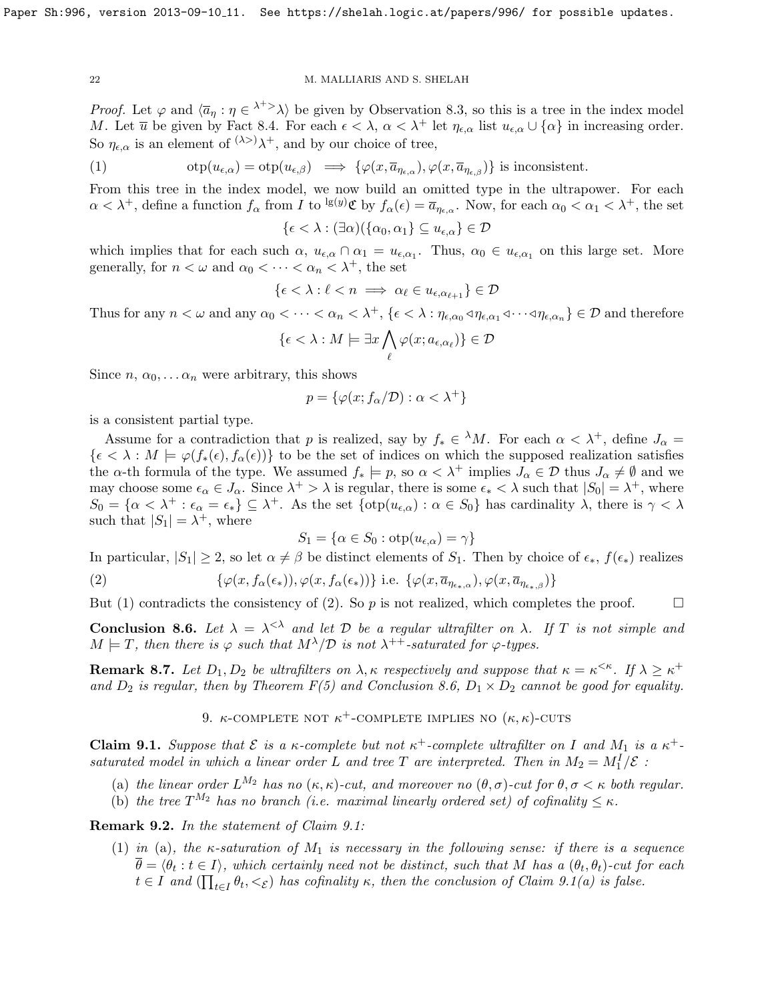*Proof.* Let  $\varphi$  and  $\langle \overline{a}_\eta : \eta \in \lambda^{+} \rangle$  be given by Observation [8.3,](#page-20-2) so this is a tree in the index model M. Let  $\overline{u}$  be given by Fact [8.4.](#page-20-1) For each  $\epsilon < \lambda$ ,  $\alpha < \lambda^+$  let  $\eta_{\epsilon,\alpha}$  list  $u_{\epsilon,\alpha} \cup {\alpha}$  in increasing order. So  $\eta_{\epsilon,\alpha}$  is an element of  $(\lambda >)$  $\lambda$ <sup>+</sup>, and by our choice of tree,

<span id="page-21-3"></span>(1) 
$$
\text{otp}(u_{\epsilon,\alpha}) = \text{otp}(u_{\epsilon,\beta}) \implies \{\varphi(x,\overline{a}_{\eta_{\epsilon,\alpha}}), \varphi(x,\overline{a}_{\eta_{\epsilon,\beta}})\}\text{ is inconsistent.}
$$

From this tree in the index model, we now build an omitted type in the ultrapower. For each  $\alpha < \lambda^+$ , define a function  $f_\alpha$  from I to <sup>lg(y)</sup>C by  $f_\alpha(\epsilon) = \overline{a}_{\eta_{\epsilon,\alpha}}$ . Now, for each  $\alpha_0 < \alpha_1 < \lambda^+$ , the set

$$
\{\epsilon < \lambda : (\exists \alpha)(\{\alpha_0, \alpha_1\} \subseteq u_{\epsilon, \alpha}\} \in \mathcal{D}
$$

which implies that for each such  $\alpha$ ,  $u_{\epsilon,\alpha} \cap \alpha_1 = u_{\epsilon,\alpha_1}$ . Thus,  $\alpha_0 \in u_{\epsilon,\alpha_1}$  on this large set. More generally, for  $n < \omega$  and  $\alpha_0 < \cdots < \alpha_n < \lambda^+$ , the set

$$
\{\epsilon < \lambda : \ell < n \implies \alpha_{\ell} \in u_{\epsilon, \alpha_{\ell+1}}\} \in \mathcal{D}
$$

Thus for any  $n < \omega$  and any  $\alpha_0 < \cdots < \alpha_n < \lambda^+$ ,  $\{\epsilon < \lambda : \eta_{\epsilon,\alpha_0} \triangleleft \eta_{\epsilon,\alpha_1} \triangleleft \cdots \triangleleft \eta_{\epsilon,\alpha_n}\} \in \mathcal{D}$  and therefore

$$
\{\epsilon < \lambda : M \models \exists x \bigwedge_{\ell} \varphi(x; a_{\epsilon, \alpha_{\ell}})\} \in \mathcal{D}
$$

Since  $n, \alpha_0, \ldots, \alpha_n$  were arbitrary, this shows

$$
p = \{ \varphi(x; f_{\alpha}/\mathcal{D}) : \alpha < \lambda^{+} \}
$$

is a consistent partial type.

Assume for a contradiction that p is realized, say by  $f_* \in {}^{\lambda}M$ . For each  $\alpha < \lambda^+$ , define  $J_{\alpha} =$  $\{\epsilon < \lambda : M \models \varphi(f_*(\epsilon), f_\alpha(\epsilon))\}$  to be the set of indices on which the supposed realization satisfies the  $\alpha$ -th formula of the type. We assumed  $f_* \models p$ , so  $\alpha < \lambda^+$  implies  $J_\alpha \in \mathcal{D}$  thus  $J_\alpha \neq \emptyset$  and we may choose some  $\epsilon_{\alpha} \in J_{\alpha}$ . Since  $\lambda^+ > \lambda$  is regular, there is some  $\epsilon_* < \lambda$  such that  $|S_0| = \lambda^+$ , where  $S_0 = \{ \alpha < \lambda^+ : \epsilon_\alpha = \epsilon_* \} \subseteq \lambda^+$ . As the set  $\{ \text{otp}(u_{\epsilon,\alpha}) : \alpha \in S_0 \}$  has cardinality  $\lambda$ , there is  $\gamma < \lambda$ such that  $|S_1| = \lambda^+$ , where

<span id="page-21-4"></span>
$$
S_1 = \{ \alpha \in S_0 : \text{otp}(u_{\epsilon,\alpha}) = \gamma \}
$$

In particular,  $|S_1| \geq 2$ , so let  $\alpha \neq \beta$  be distinct elements of  $S_1$ . Then by choice of  $\epsilon_*, f(\epsilon_*)$  realizes

(2) 
$$
\{\varphi(x, f_{\alpha}(\epsilon_{*})), \varphi(x, f_{\alpha}(\epsilon_{*}))\} \text{ i.e. } \{\varphi(x, \overline{a}_{\eta_{\epsilon_{*},\alpha}}), \varphi(x, \overline{a}_{\eta_{\epsilon_{*},\beta}})\}
$$

But [\(1\)](#page-21-3) contradicts the consistency of [\(2\)](#page-21-4). So p is not realized, which completes the proof.  $\Box$ 

<span id="page-21-1"></span>**Conclusion 8.6.** Let  $\lambda = \lambda^{<\lambda}$  and let D be a regular ultrafilter on  $\lambda$ . If T is not simple and  $M \models T$ , then there is  $\varphi$  such that  $M^{\lambda}/\mathcal{D}$  is not  $\lambda^{++}$ -saturated for  $\varphi$ -types.

**Remark 8.7.** Let  $D_1, D_2$  be ultrafilters on  $\lambda, \kappa$  respectively and suppose that  $\kappa = \kappa^{\leq \kappa}$ . If  $\lambda \geq \kappa^+$ and  $D_2$  is regular, then by Theorem  $F(5)$  and Conclusion [8.6,](#page-21-1)  $D_1 \times D_2$  cannot be good for equality.

9. *κ*-complete not  $\kappa^+$ -complete implies no  $(\kappa, \kappa)$ -cuts

<span id="page-21-2"></span><span id="page-21-0"></span>**Claim 9.1.** Suppose that  $\mathcal{E}$  is a  $\kappa$ -complete but not  $\kappa^+$ -complete ultrafilter on I and  $M_1$  is a  $\kappa^+$ saturated model in which a linear order L and tree T are interpreted. Then in  $M_2 = M_1^I / \mathcal{E}$ :

- (a) the linear order  $L^{M_2}$  has no  $(\kappa, \kappa)$ -cut, and moreover no  $(\theta, \sigma)$ -cut for  $\theta, \sigma < \kappa$  both regular.
- (b) the tree  $T^{M_2}$  has no branch (i.e. maximal linearly ordered set) of cofinality  $\leq \kappa$ .

Remark 9.2. In the statement of Claim [9.1:](#page-21-2)

(1) in (a), the  $\kappa$ -saturation of  $M_1$  is necessary in the following sense: if there is a sequence  $\theta = \langle \theta_t : t \in I \rangle$ , which certainly need not be distinct, such that M has a  $(\theta_t, \theta_t)$ -cut for each  $t \in I$  and  $(\prod_{t \in I} \theta_t, \lt_{\mathcal{E}})$  has cofinality  $\kappa$ , then the conclusion of Claim [9.1\(](#page-21-2)a) is false.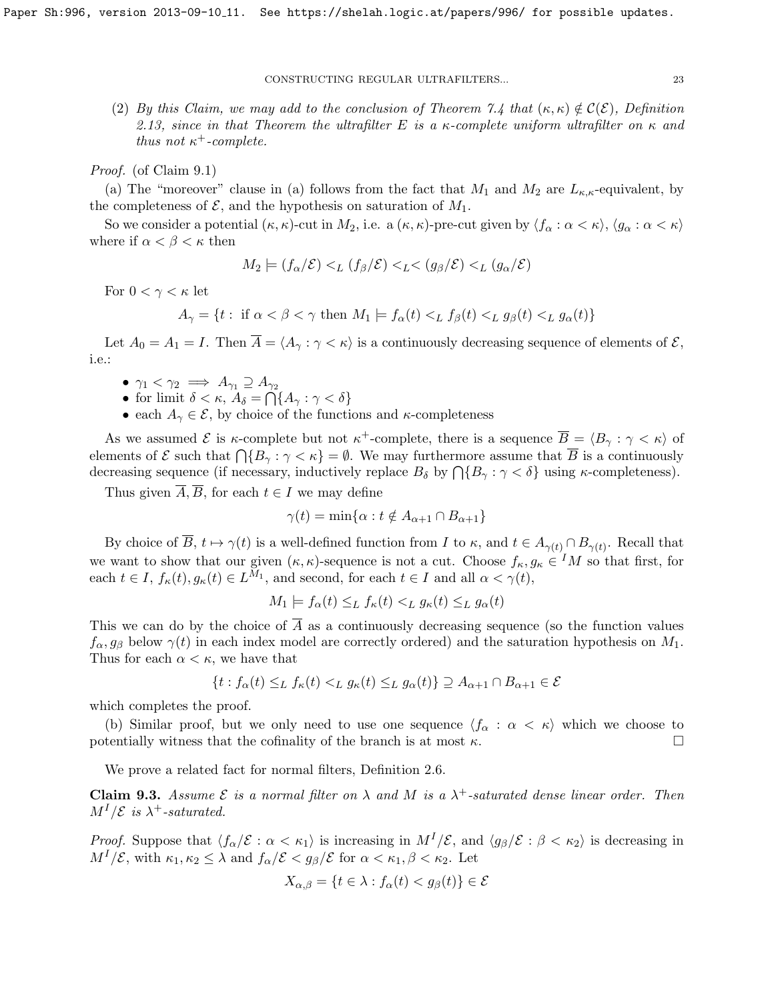(2) By this Claim, we may add to the conclusion of Theorem [7.4](#page-19-1) that  $(\kappa, \kappa) \notin C(\mathcal{E})$ , Definition [2.13,](#page-9-1) since in that Theorem the ultrafilter E is a  $\kappa$ -complete uniform ultrafilter on  $\kappa$  and thus not  $\kappa^+$ -complete.

Proof. (of Claim [9.1\)](#page-21-2)

(a) The "moreover" clause in (a) follows from the fact that  $M_1$  and  $M_2$  are  $L_{\kappa,\kappa}$ -equivalent, by the completeness of  $\mathcal{E}$ , and the hypothesis on saturation of  $M_1$ .

So we consider a potential  $(\kappa, \kappa)$ -cut in  $M_2$ , i.e. a  $(\kappa, \kappa)$ -pre-cut given by  $\langle f_\alpha : \alpha < \kappa \rangle$ ,  $\langle g_\alpha : \alpha < \kappa \rangle$ where if  $\alpha < \beta < \kappa$  then

$$
M_2 \models (f_\alpha/\mathcal{E}) <_{L} (f_\beta/\mathcal{E}) <_{L} < (g_\beta/\mathcal{E}) <_{L} (g_\alpha/\mathcal{E})
$$

For  $0 < \gamma < \kappa$  let

$$
A_{\gamma} = \{ t : \text{ if } \alpha < \beta < \gamma \text{ then } M_1 \models f_{\alpha}(t) <_{L} f_{\beta}(t) <_{L} g_{\beta}(t) <_{L} g_{\alpha}(t) \}
$$

Let  $A_0 = A_1 = I$ . Then  $\overline{A} = \langle A_{\gamma} : \gamma < \kappa \rangle$  is a continuously decreasing sequence of elements of  $\mathcal{E},$ i.e.:

- $\gamma_1 < \gamma_2 \implies A_{\gamma_1} \supseteq A_{\gamma_2}$
- for limit  $\delta < \kappa$ ,  $A_{\delta} = \bigcap \{A_{\gamma} : \gamma < \delta\}$
- each  $A_{\gamma} \in \mathcal{E}$ , by choice of the functions and  $\kappa$ -completeness

As we assumed  $\mathcal E$  is  $\kappa$ -complete but not  $\kappa^+$ -complete, there is a sequence  $\overline{B} = \langle B_\gamma : \gamma < \kappa \rangle$  of elements of  $\mathcal E$  such that  $\bigcap \{B_\gamma : \gamma < \kappa\} = \emptyset$ . We may furthermore assume that  $\overline B$  is a continuously decreasing sequence (if necessary, inductively replace  $B_{\delta}$  by  $\bigcap \{B_{\gamma} : \gamma < \delta\}$  using  $\kappa$ -completeness).

Thus given  $\overline{A}, \overline{B}$ , for each  $t \in I$  we may define

$$
\gamma(t) = \min\{\alpha : t \notin A_{\alpha+1} \cap B_{\alpha+1}\}\
$$

By choice of  $\overline{B}$ ,  $t \mapsto \gamma(t)$  is a well-defined function from I to  $\kappa$ , and  $t \in A_{\gamma(t)} \cap B_{\gamma(t)}$ . Recall that we want to show that our given  $(\kappa, \kappa)$ -sequence is not a cut. Choose  $f_{\kappa}, g_{\kappa} \in M$  so that first, for each  $t \in I$ ,  $f_{\kappa}(t)$ ,  $g_{\kappa}(t) \in L^{M_1}$ , and second, for each  $t \in I$  and all  $\alpha < \gamma(t)$ ,

$$
M_1 \models f_\alpha(t) \leq_L f_\kappa(t) <_L g_\kappa(t) \leq_L g_\alpha(t)
$$

This we can do by the choice of  $\overline{A}$  as a continuously decreasing sequence (so the function values  $f_{\alpha}, g_{\beta}$  below  $\gamma(t)$  in each index model are correctly ordered) and the saturation hypothesis on  $M_1$ . Thus for each  $\alpha < \kappa$ , we have that

$$
\{t : f_{\alpha}(t) \leq_{L} f_{\kappa}(t) <_{L} g_{\kappa}(t) \leq_{L} g_{\alpha}(t)\} \supseteq A_{\alpha+1} \cap B_{\alpha+1} \in \mathcal{E}
$$

which completes the proof.

(b) Similar proof, but we only need to use one sequence  $\langle f_\alpha : \alpha < \kappa \rangle$  which we choose to potentially witness that the cofinality of the branch is at most  $\kappa$ .

We prove a related fact for normal filters, Definition [2.6.](#page-8-2)

<span id="page-22-0"></span>**Claim 9.3.** Assume  $\mathcal{E}$  is a normal filter on  $\lambda$  and M is a  $\lambda^+$ -saturated dense linear order. Then  $M^I/\mathcal{E}$  is  $\lambda^+$ -saturated.

*Proof.* Suppose that  $\langle f_\alpha/\mathcal{E} : \alpha < \kappa_1 \rangle$  is increasing in  $M^I/\mathcal{E}$ , and  $\langle g_\beta/\mathcal{E} : \beta < \kappa_2 \rangle$  is decreasing in  $M^I/\mathcal{E}$ , with  $\kappa_1, \kappa_2 \leq \lambda$  and  $f_\alpha/\mathcal{E} < g_\beta/\mathcal{E}$  for  $\alpha < \kappa_1, \beta < \kappa_2$ . Let

$$
X_{\alpha,\beta} = \{ t \in \lambda : f_{\alpha}(t) < g_{\beta}(t) \} \in \mathcal{E}
$$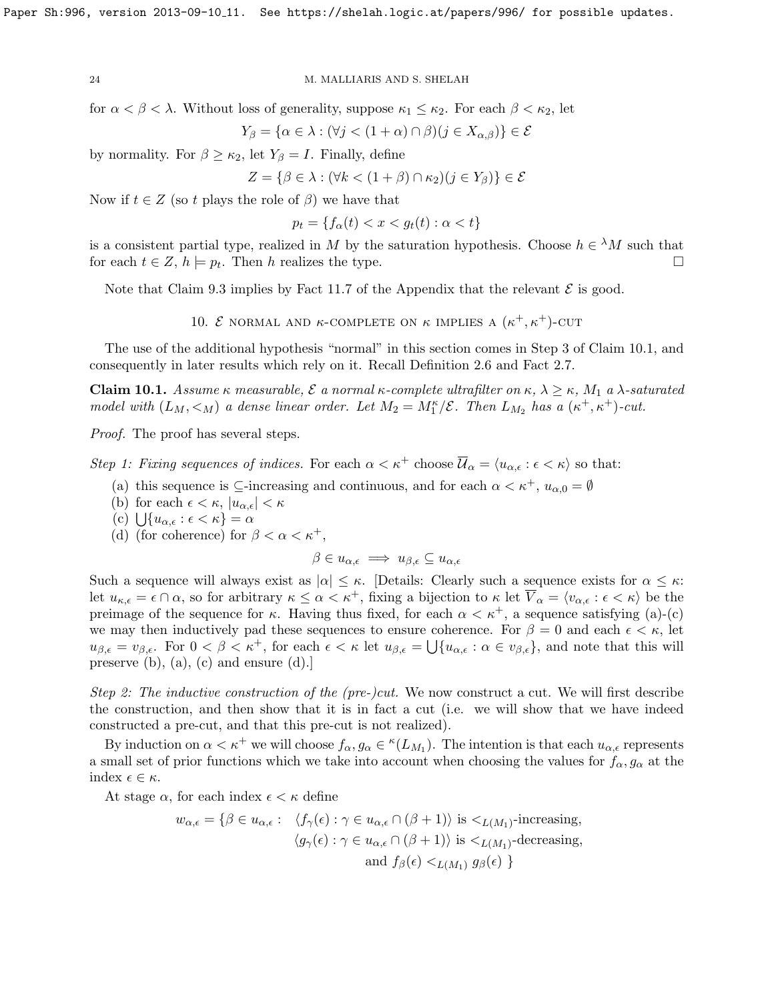for  $\alpha < \beta < \lambda$ . Without loss of generality, suppose  $\kappa_1 \leq \kappa_2$ . For each  $\beta < \kappa_2$ , let

$$
Y_{\beta} = \{ \alpha \in \lambda : (\forall j < (1 + \alpha) \cap \beta)(j \in X_{\alpha, \beta}) \} \in \mathcal{E}
$$

by normality. For  $\beta \geq \kappa_2$ , let  $Y_\beta = I$ . Finally, define

$$
Z = \{ \beta \in \lambda : (\forall k < (1 + \beta) \cap \kappa_2)(j \in Y_\beta) \} \in \mathcal{E}
$$

Now if  $t \in Z$  (so t plays the role of  $\beta$ ) we have that

 $p_t = \{f_\alpha(t) < x < q_t(t) : \alpha < t\}$ 

is a consistent partial type, realized in M by the saturation hypothesis. Choose  $h \in {}^{\lambda}M$  such that for each  $t \in Z$ ,  $h \models p_t$ . Then h realizes the type.

<span id="page-23-0"></span>Note that Claim [9.3](#page-22-0) implies by Fact [11.7](#page-28-1) of the Appendix that the relevant  $\mathcal E$  is good.

10. *E* NORMAL AND  $\kappa$ -COMPLETE ON  $\kappa$  IMPLIES A  $(\kappa^+, \kappa^+)$ -CUT

The use of the additional hypothesis "normal" in this section comes in Step 3 of Claim [10.1,](#page-23-1) and consequently in later results which rely on it. Recall Definition [2.6](#page-8-2) and Fact [2.7.](#page-8-3)

<span id="page-23-1"></span>**Claim 10.1.** Assume  $\kappa$  measurable,  $\mathcal{E}$  a normal  $\kappa$ -complete ultrafilter on  $\kappa$ ,  $\lambda \geq \kappa$ ,  $M_1$  a  $\lambda$ -saturated model with  $(L_M, <_M)$  a dense linear order. Let  $M_2 = M_1^{\kappa}/\mathcal{E}$ . Then  $L_{M_2}$  has a  $(\kappa^+, \kappa^+)$ -cut.

Proof. The proof has several steps.

Step 1: Fixing sequences of indices. For each  $\alpha < \kappa^+$  choose  $\overline{\mathcal{U}}_{\alpha} = \langle u_{\alpha,\epsilon} : \epsilon < \kappa \rangle$  so that:

- (a) this sequence is  $\subseteq$ -increasing and continuous, and for each  $\alpha < \kappa^+$ ,  $u_{\alpha,0} = \emptyset$
- (b) for each  $\epsilon < \kappa$ ,  $|u_{\alpha,\epsilon}| < \kappa$
- (c)  $\bigcup \{u_{\alpha,\epsilon} : \epsilon < \kappa\} = \alpha$
- (d) (for coherence) for  $\beta < \alpha < \kappa^+$ ,

$$
\beta \in u_{\alpha,\epsilon} \implies u_{\beta,\epsilon} \subseteq u_{\alpha,\epsilon}
$$

Such a sequence will always exist as  $|\alpha| \leq \kappa$ . [Details: Clearly such a sequence exists for  $\alpha \leq \kappa$ : let  $u_{\kappa,\epsilon} = \epsilon \cap \alpha$ , so for arbitrary  $\kappa \leq \alpha < \kappa^+$ , fixing a bijection to  $\kappa$  let  $\overline{V}_{\alpha} = \langle v_{\alpha,\epsilon} : \epsilon < \kappa \rangle$  be the preimage of the sequence for  $\kappa$ . Having thus fixed, for each  $\alpha < \kappa^+$ , a sequence satisfying (a)-(c) we may then inductively pad these sequences to ensure coherence. For  $\beta = 0$  and each  $\epsilon < \kappa$ , let  $u_{\beta,\epsilon} = v_{\beta,\epsilon}$ . For  $0 < \beta < \kappa^+$ , for each  $\epsilon < \kappa$  let  $u_{\beta,\epsilon} = \bigcup \{u_{\alpha,\epsilon} : \alpha \in v_{\beta,\epsilon}\}\)$ , and note that this will preserve (b), (a), (c) and ensure (d).]

Step 2: The inductive construction of the (pre-)cut. We now construct a cut. We will first describe the construction, and then show that it is in fact a cut (i.e. we will show that we have indeed constructed a pre-cut, and that this pre-cut is not realized).

By induction on  $\alpha < \kappa^+$  we will choose  $f_\alpha, g_\alpha \in {}^{\kappa}(L_{M_1})$ . The intention is that each  $u_{\alpha,\epsilon}$  represents a small set of prior functions which we take into account when choosing the values for  $f_{\alpha}, g_{\alpha}$  at the index  $\epsilon \in \kappa$ .

At stage  $\alpha$ , for each index  $\epsilon < \kappa$  define

$$
w_{\alpha,\epsilon} = \{ \beta \in u_{\alpha,\epsilon} : \langle f_{\gamma}(\epsilon) : \gamma \in u_{\alpha,\epsilon} \cap (\beta + 1) \rangle \text{ is } <_{L(M_1)}\text{-increasing,}
$$
  

$$
\langle g_{\gamma}(\epsilon) : \gamma \in u_{\alpha,\epsilon} \cap (\beta + 1) \rangle \text{ is } <_{L(M_1)}\text{-decreasing,}
$$
  
and  $f_{\beta}(\epsilon) <_{L(M_1)} g_{\beta}(\epsilon) \}$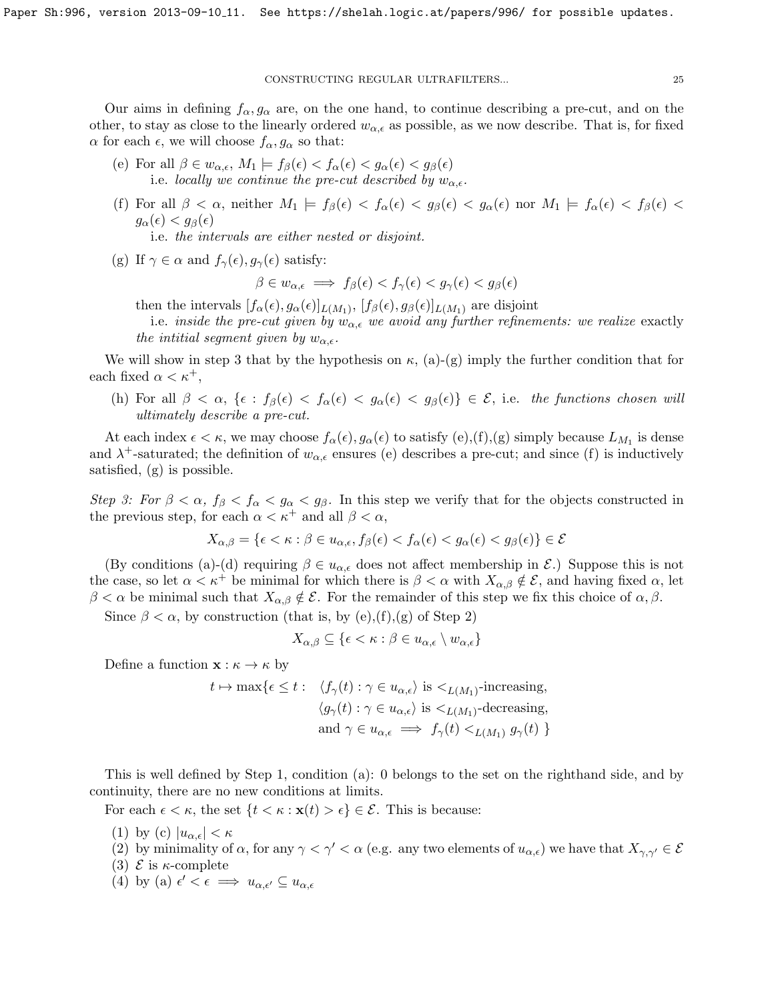Our aims in defining  $f_{\alpha}, g_{\alpha}$  are, on the one hand, to continue describing a pre-cut, and on the other, to stay as close to the linearly ordered  $w_{\alpha,\epsilon}$  as possible, as we now describe. That is, for fixed  $\alpha$  for each  $\epsilon$ , we will choose  $f_{\alpha}, g_{\alpha}$  so that:

- (e) For all  $\beta \in w_{\alpha,\epsilon}$ ,  $M_1 \models f_{\beta}(\epsilon) < f_{\alpha}(\epsilon) < g_{\alpha}(\epsilon) < g_{\beta}(\epsilon)$ i.e. locally we continue the pre-cut described by  $w_{\alpha,\epsilon}$ .
- (f) For all  $\beta < \alpha$ , neither  $M_1 \models f_\beta(\epsilon) < f_\alpha(\epsilon) < g_\beta(\epsilon) < g_\alpha(\epsilon)$  nor  $M_1 \models f_\alpha(\epsilon) < f_\beta(\epsilon) < g_\beta(\epsilon)$  $g_{\alpha}(\epsilon) < g_{\beta}(\epsilon)$

i.e. the intervals are either nested or disjoint.

(g) If  $\gamma \in \alpha$  and  $f_{\gamma}(\epsilon), g_{\gamma}(\epsilon)$  satisfy:

 $\beta \in w_{\alpha,\epsilon} \implies f_{\beta}(\epsilon) < f_{\gamma}(\epsilon) < g_{\gamma}(\epsilon) < g_{\beta}(\epsilon)$ 

then the intervals  $[f_\alpha(\epsilon), g_\alpha(\epsilon)]_{L(M_1)}$ ,  $[f_\beta(\epsilon), g_\beta(\epsilon)]_{L(M_1)}$  are disjoint

i.e. inside the pre-cut given by  $w_{\alpha,\epsilon}$  we avoid any further refinements: we realize exactly the intitial segment given by  $w_{\alpha,\epsilon}$ .

We will show in step 3 that by the hypothesis on  $\kappa$ , (a)-(g) imply the further condition that for each fixed  $\alpha < \kappa^+$ ,

(h) For all  $\beta < \alpha$ ,  $\{\epsilon : f_{\beta}(\epsilon) < f_{\alpha}(\epsilon) < g_{\alpha}(\epsilon) < g_{\beta}(\epsilon)\}\in \mathcal{E}$ , i.e. the functions chosen will ultimately describe a pre-cut.

At each index  $\epsilon < \kappa$ , we may choose  $f_{\alpha}(\epsilon), g_{\alpha}(\epsilon)$  to satisfy  $(e), (f), (g)$  simply because  $L_{M_1}$  is dense and  $\lambda^+$ -saturated; the definition of  $w_{\alpha,\epsilon}$  ensures (e) describes a pre-cut; and since (f) is inductively satisfied, (g) is possible.

Step 3: For  $\beta < \alpha$ ,  $f_{\beta} < f_{\alpha} < g_{\alpha} < g_{\beta}$ . In this step we verify that for the objects constructed in the previous step, for each  $\alpha < \kappa^+$  and all  $\beta < \alpha$ ,

$$
X_{\alpha,\beta} = \{ \epsilon < \kappa : \beta \in u_{\alpha,\epsilon}, f_{\beta}(\epsilon) < f_{\alpha}(\epsilon) < g_{\alpha}(\epsilon) < g_{\beta}(\epsilon) \} \in \mathcal{E}
$$

(By conditions (a)-(d) requiring  $\beta \in u_{\alpha,\epsilon}$  does not affect membership in  $\mathcal{E}$ .) Suppose this is not the case, so let  $\alpha < \kappa^+$  be minimal for which there is  $\beta < \alpha$  with  $X_{\alpha,\beta} \notin \mathcal{E}$ , and having fixed  $\alpha$ , let  $\beta < \alpha$  be minimal such that  $X_{\alpha,\beta} \notin \mathcal{E}$ . For the remainder of this step we fix this choice of  $\alpha,\beta$ .

Since  $\beta < \alpha$ , by construction (that is, by (e),(f),(g) of Step 2)

$$
X_{\alpha,\beta} \subseteq \{ \epsilon < \kappa : \beta \in u_{\alpha,\epsilon} \setminus w_{\alpha,\epsilon} \}
$$

Define a function  $\mathbf{x} : \kappa \to \kappa$  by

$$
t \mapsto \max\{\epsilon \le t: \langle f_\gamma(t) : \gamma \in u_{\alpha,\epsilon}\rangle \text{ is } <_{L(M_1)}\text{-increasing},
$$
  

$$
\langle g_\gamma(t) : \gamma \in u_{\alpha,\epsilon}\rangle \text{ is } <_{L(M_1)}\text{-decreasing},
$$
  
and 
$$
\gamma \in u_{\alpha,\epsilon} \implies f_\gamma(t) <_{L(M_1)} g_\gamma(t)\}
$$

This is well defined by Step 1, condition (a): 0 belongs to the set on the righthand side, and by continuity, there are no new conditions at limits.

For each  $\epsilon < \kappa$ , the set  $\{t < \kappa : \mathbf{x}(t) > \epsilon\} \in \mathcal{E}$ . This is because:

- (1) by (c)  $|u_{\alpha,\epsilon}| < \kappa$
- (2) by minimality of  $\alpha$ , for any  $\gamma < \gamma' < \alpha$  (e.g. any two elements of  $u_{\alpha,\epsilon}$ ) we have that  $X_{\gamma,\gamma'} \in \mathcal{E}$
- (3)  $\mathcal E$  is  $\kappa$ -complete
- (4) by (a)  $\epsilon' < \epsilon \implies u_{\alpha,\epsilon'} \subseteq u_{\alpha,\epsilon}$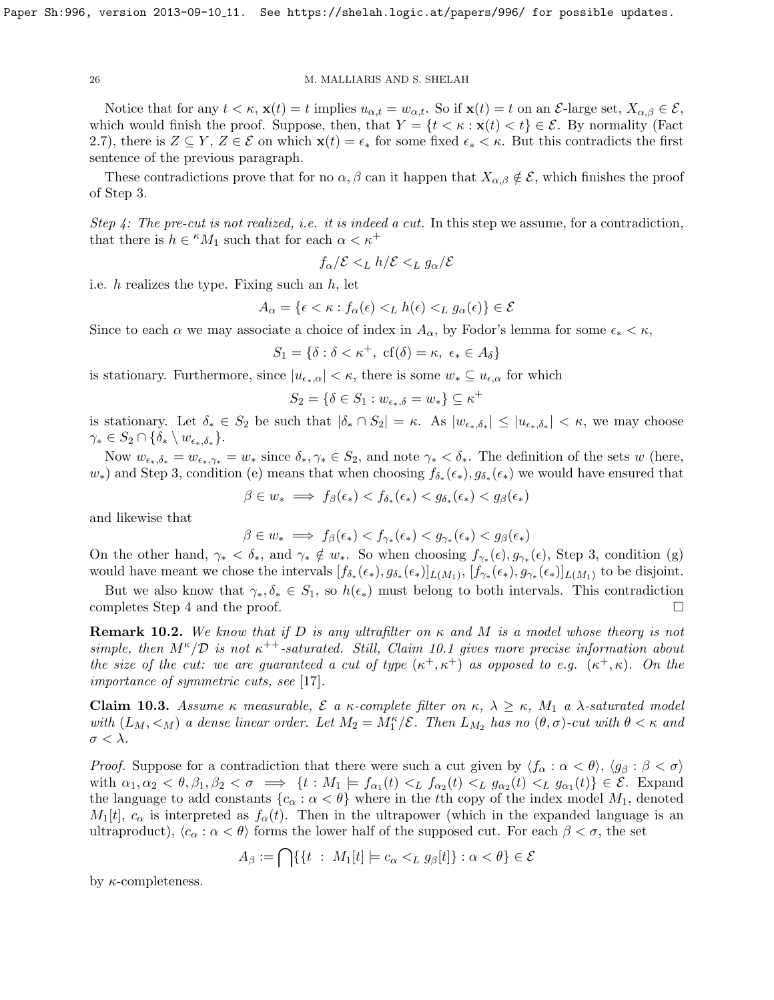Notice that for any  $t < \kappa$ ,  $\mathbf{x}(t) = t$  implies  $u_{\alpha,t} = w_{\alpha,t}$ . So if  $\mathbf{x}(t) = t$  on an  $\mathcal{E}$ -large set,  $X_{\alpha,\beta} \in \mathcal{E}$ , which would finish the proof. Suppose, then, that  $Y = \{t < \kappa : \mathbf{x}(t) < t\} \in \mathcal{E}$ . By normality (Fact [2.7\)](#page-8-3), there is  $Z \subseteq Y$ ,  $Z \in \mathcal{E}$  on which  $\mathbf{x}(t) = \epsilon_*$  for some fixed  $\epsilon_* < \kappa$ . But this contradicts the first sentence of the previous paragraph.

These contradictions prove that for no  $\alpha, \beta$  can it happen that  $X_{\alpha, \beta} \notin \mathcal{E}$ , which finishes the proof of Step 3.

Step 4: The pre-cut is not realized, i.e. it is indeed a cut. In this step we assume, for a contradiction, that there is  $h \in {}^{\kappa}M_1$  such that for each  $\alpha < \kappa^+$ 

$$
f_\alpha/\mathcal{E}<_L h/\mathcal{E}<_L g_\alpha/\mathcal{E}
$$

i.e.  $h$  realizes the type. Fixing such an  $h$ , let

$$
A_{\alpha} = \{ \epsilon < \kappa : f_{\alpha}(\epsilon) <_{L} h(\epsilon) <_{L} g_{\alpha}(\epsilon) \} \in \mathcal{E}
$$

Since to each  $\alpha$  we may associate a choice of index in  $A_{\alpha}$ , by Fodor's lemma for some  $\epsilon_* < \kappa$ ,

$$
S_1 = \{ \delta : \delta < \kappa^+, \text{ cf}(\delta) = \kappa, \ \epsilon_* \in A_\delta \}
$$

is stationary. Furthermore, since  $|u_{\epsilon_{*},\alpha}| < \kappa$ , there is some  $w_{*} \subseteq u_{\epsilon,\alpha}$  for which

$$
S_2 = \{ \delta \in S_1 : w_{\epsilon_*,\delta} = w_* \} \subseteq \kappa^+
$$

is stationary. Let  $\delta_* \in S_2$  be such that  $|\delta_* \cap S_2| = \kappa$ . As  $|w_{\epsilon_*,\delta_*}| \leq |u_{\epsilon_*,\delta_*}| < \kappa$ , we may choose  $\gamma_* \in S_2 \cap \{\delta_* \setminus w_{\epsilon_*,\delta_*}\}.$ 

Now  $w_{\epsilon_*,\delta_*} = w_{\epsilon_*,\gamma_*} = w_*$  since  $\delta_*,\gamma_* \in S_2$ , and note  $\gamma_* < \delta_*$ . The definition of the sets w (here,  $w_*$ ) and Step 3, condition (e) means that when choosing  $f_{\delta_*}(\epsilon_*)$ ,  $g_{\delta_*}(\epsilon_*)$  we would have ensured that

$$
\beta \in w_* \implies f_\beta(\epsilon_*) < f_{\delta_*}(\epsilon_*) < g_{\delta_*}(\epsilon_*) < g_\beta(\epsilon_*)
$$

and likewise that

$$
\beta \in w_* \implies f_\beta(\epsilon_*) < f_{\gamma_*}(\epsilon_*) < g_{\gamma_*}(\epsilon_*) < g_\beta(\epsilon_*)
$$

On the other hand,  $\gamma_* < \delta_*$ , and  $\gamma_* \notin w_*$ . So when choosing  $f_{\gamma_*}(\epsilon), g_{\gamma_*}(\epsilon)$ , Step 3, condition (g) would have meant we chose the intervals  $[f_{\delta_*}(\epsilon_*), g_{\delta_*}(\epsilon_*)]_{L(M_1)}$ ,  $[f_{\gamma_*}(\epsilon_*), g_{\gamma_*}(\epsilon_*)]_{L(M_1)}$  to be disjoint.

But we also know that  $\gamma_*, \delta_* \in S_1$ , so  $h(\epsilon_*)$  must belong to both intervals. This contradiction completes Step 4 and the proof.  $\Box$ 

**Remark 10.2.** We know that if D is any ultrafilter on  $\kappa$  and M is a model whose theory is not simple, then  $M^{\kappa}/\mathcal{D}$  is not  $\kappa^{++}$ -saturated. Still, Claim [10.1](#page-23-1) gives more precise information about the size of the cut: we are guaranteed a cut of type  $(\kappa^+, \kappa^+)$  as opposed to e.g.  $(\kappa^+, \kappa)$ . On the importance of symmetric cuts, see [\[17\]](#page-30-5).

Claim 10.3. Assume κ measurable,  $\mathcal E$  a κ-complete filter on κ,  $\lambda \geq \kappa$ ,  $M_1$  a  $\lambda$ -saturated model with  $(L_M, <_M)$  a dense linear order. Let  $M_2 = M_1^{\kappa}/\mathcal{E}$ . Then  $L_{M_2}$  has no  $(\theta, \sigma)$ -cut with  $\theta < \kappa$  and  $\sigma < \lambda$ .

*Proof.* Suppose for a contradiction that there were such a cut given by  $\langle f_\alpha : \alpha < \theta \rangle$ ,  $\langle g_\beta : \beta < \sigma \rangle$ with  $\alpha_1, \alpha_2 < \theta, \beta_1, \beta_2 < \sigma \implies \{t : M_1 \models f_{\alpha_1}(t) <_L f_{\alpha_2}(t) <_L g_{\alpha_2}(t) <_L g_{\alpha_1}(t)\} \in \mathcal{E}$ . Expand the language to add constants  ${c_{\alpha} : \alpha < \theta}$  where in the tth copy of the index model  $M_1$ , denoted  $M_1[t], c_\alpha$  is interpreted as  $f_\alpha(t)$ . Then in the ultrapower (which in the expanded language is an ultraproduct),  $\langle c_{\alpha} : \alpha < \theta \rangle$  forms the lower half of the supposed cut. For each  $\beta < \sigma$ , the set

$$
A_{\beta} := \bigcap \{ \{ t \ : \ M_1[t] \models c_{\alpha} <_{L} g_{\beta}[t] \} : \alpha < \theta \} \in \mathcal{E}
$$

by  $\kappa$ -completeness.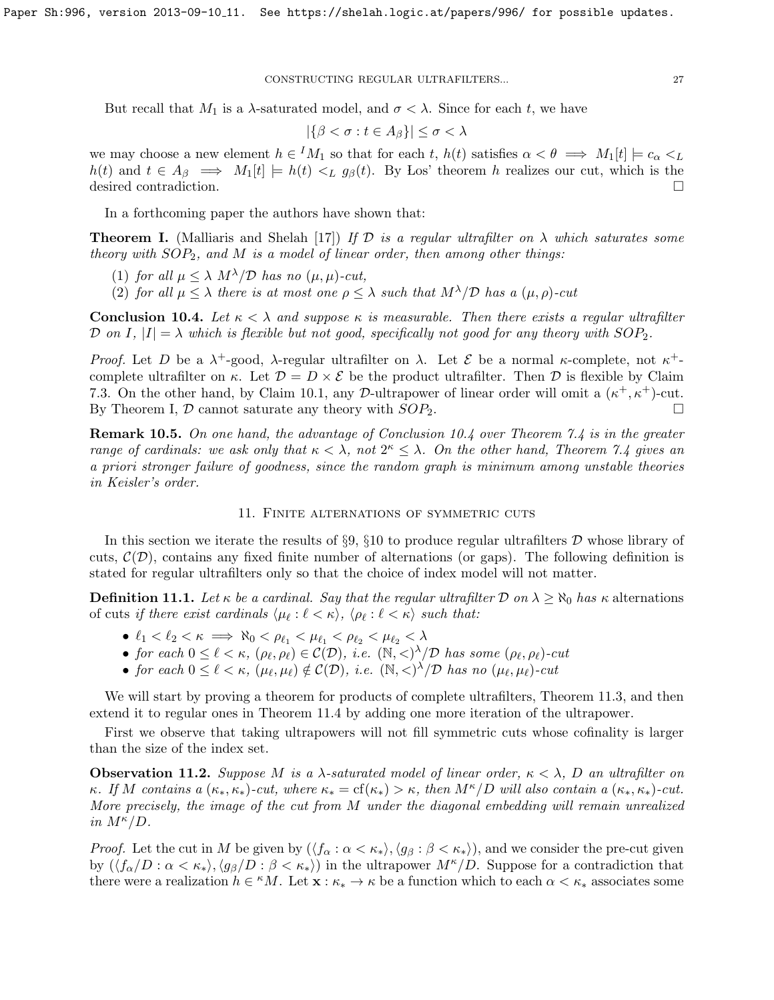But recall that  $M_1$  is a  $\lambda$ -saturated model, and  $\sigma < \lambda$ . Since for each t, we have

$$
|\{\beta < \sigma : t \in A_{\beta}\}| \le \sigma < \lambda
$$

we may choose a new element  $h \in M_1$  so that for each t,  $h(t)$  satisfies  $\alpha < \theta \implies M_1[t] \models c_{\alpha} < L_1$  $h(t)$  and  $t \in A_\beta \implies M_1[t] \models h(t) <_L g_\beta(t)$ . By Los' theorem h realizes our cut, which is the desired contradiction.

In a forthcoming paper the authors have shown that:

<span id="page-26-2"></span>**Theorem I.** (Malliaris and Shelah [\[17\]](#page-30-5)) If  $\mathcal{D}$  is a regular ultrafilter on  $\lambda$  which saturates some theory with  $SOP_2$ , and M is a model of linear order, then among other things:

(1) for all  $\mu \leq \lambda M^{\lambda}/\mathcal{D}$  has no  $(\mu, \mu)$ -cut,

(2) for all  $\mu < \lambda$  there is at most one  $\rho < \lambda$  such that  $M^{\lambda}/\mathcal{D}$  has a  $(\mu, \rho)$ -cut

<span id="page-26-1"></span>**Conclusion 10.4.** Let  $\kappa < \lambda$  and suppose  $\kappa$  is measurable. Then there exists a regular ultrafilter D on I,  $|I| = \lambda$  which is flexible but not good, specifically not good for any theory with  $SOP_2$ .

Proof. Let D be a  $\lambda^+$ -good,  $\lambda$ -regular ultrafilter on  $\lambda$ . Let E be a normal  $\kappa$ -complete, not  $\kappa^+$ complete ultrafilter on  $\kappa$ . Let  $\mathcal{D} = D \times \mathcal{E}$  be the product ultrafilter. Then  $\mathcal D$  is flexible by Claim [7.3.](#page-18-0) On the other hand, by Claim [10.1,](#page-23-1) any D-ultrapower of linear order will omit a  $(\kappa^+, \kappa^+)$ -cut. By Theorem [I,](#page-26-2)  $\mathcal D$  cannot saturate any theory with  $SOP_2$ .

**Remark 10.5.** On one hand, the advantage of Conclusion [10.4](#page-26-1) over Theorem [7.4](#page-19-1) is in the greater range of cardinals: we ask only that  $\kappa < \lambda$ , not  $2^{\kappa} \leq \lambda$ . On the other hand, Theorem [7.4](#page-19-1) gives an a priori stronger failure of goodness, since the random graph is minimum among unstable theories in Keisler's order.

# 11. Finite alternations of symmetric cuts

<span id="page-26-0"></span>In this section we iterate the results of  $\S 9, \S 10$  $\S 9, \S 10$  $\S 9, \S 10$  $\S 9, \S 10$  to produce regular ultrafilters  $D$  whose library of cuts,  $\mathcal{C}(\mathcal{D})$ , contains any fixed finite number of alternations (or gaps). The following definition is stated for regular ultrafilters only so that the choice of index model will not matter.

**Definition 11.1.** Let  $\kappa$  be a cardinal. Say that the regular ultrafilter D on  $\lambda \ge \aleph_0$  has  $\kappa$  alternations of cuts if there exist cardinals  $\langle \mu_\ell : \ell \langle \kappa \rangle, \langle \rho_\ell : \ell \langle \kappa \rangle$  such that:

- $\ell_1 < \ell_2 < \kappa \implies \aleph_0 < \rho_{\ell_1} < \mu_{\ell_1} < \rho_{\ell_2} < \mu_{\ell_2} < \lambda$
- for each  $0 \leq \ell < \kappa$ ,  $(\rho_{\ell}, \rho_{\ell}) \in C(\mathcal{D})$ , i.e.  $(\mathbb{N}, <)^{\lambda}/\mathcal{D}$  has some  $(\rho_{\ell}, \rho_{\ell})$ -cut
- for each  $0 \leq \ell < \kappa$ ,  $(\mu_{\ell}, \mu_{\ell}) \notin C(\mathcal{D})$ , i.e.  $(\mathbb{N}, <)^{\lambda}/\mathcal{D}$  has no  $(\mu_{\ell}, \mu_{\ell})$ -cut

We will start by proving a theorem for products of complete ultrafilters, Theorem [11.3,](#page-27-0) and then extend it to regular ones in Theorem [11.4](#page-27-1) by adding one more iteration of the ultrapower.

First we observe that taking ultrapowers will not fill symmetric cuts whose cofinality is larger than the size of the index set.

<span id="page-26-3"></span>**Observation 11.2.** Suppose M is a  $\lambda$ -saturated model of linear order,  $\kappa < \lambda$ , D an ultrafilter on κ. If M contains a  $(\kappa_*, \kappa_*)$ -cut, where  $\kappa_* = \text{cf}(\kappa_*) > \kappa$ , then  $M^{\kappa}/D$  will also contain a  $(\kappa_*, \kappa_*)$ -cut. More precisely, the image of the cut from M under the diagonal embedding will remain unrealized in  $M^{\kappa}/D$ .

*Proof.* Let the cut in M be given by  $(\langle f_\alpha : \alpha < \kappa_* \rangle, \langle g_\beta : \beta < \kappa_* \rangle)$ , and we consider the pre-cut given by  $(\langle f_\alpha/D : \alpha < \kappa_* \rangle, \langle g_\beta/D : \beta < \kappa_* \rangle)$  in the ultrapower  $M^{\kappa}/D$ . Suppose for a contradiction that there were a realization  $h \in {}^{\kappa}M$ . Let  $\mathbf{x} : \kappa_* \to \kappa$  be a function which to each  $\alpha < \kappa_*$  associates some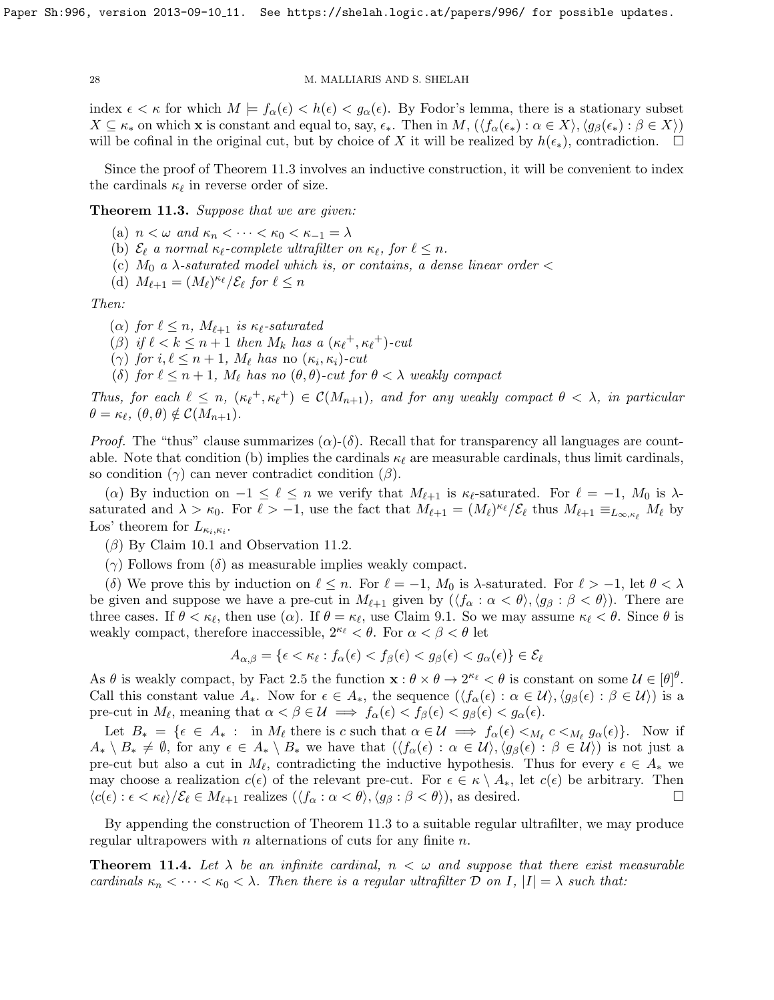index  $\epsilon < \kappa$  for which  $M \models f_\alpha(\epsilon) < h(\epsilon) < g_\alpha(\epsilon)$ . By Fodor's lemma, there is a stationary subset  $X \subseteq \kappa_*$  on which **x** is constant and equal to, say,  $\epsilon_*$ . Then in  $M$ ,  $(\langle f_\alpha(\epsilon_*) : \alpha \in X \rangle, \langle g_\beta(\epsilon_*) : \beta \in X \rangle)$ will be cofinal in the original cut, but by choice of X it will be realized by  $h(\epsilon_*)$ , contradiction.  $\Box$ 

Since the proof of Theorem [11.3](#page-27-0) involves an inductive construction, it will be convenient to index the cardinals  $\kappa_{\ell}$  in reverse order of size.

<span id="page-27-0"></span>**Theorem 11.3.** Suppose that we are given:

- (a)  $n < \omega$  and  $\kappa_n < \cdots < \kappa_0 < \kappa_{-1} = \lambda$
- (b)  $\mathcal{E}_{\ell}$  a normal  $\kappa_{\ell}$ -complete ultrafilter on  $\kappa_{\ell}$ , for  $\ell \leq n$ .
- (c)  $M_0$  a  $\lambda$ -saturated model which is, or contains, a dense linear order  $\lt$
- (d)  $M_{\ell+1} = (M_{\ell})^{\kappa_{\ell}}/\mathcal{E}_{\ell}$  for  $\ell \leq n$

Then:

- ( $\alpha$ ) for  $\ell \leq n$ ,  $M_{\ell+1}$  is  $\kappa_{\ell}$ -saturated
- ( $\beta$ ) if  $\ell < k \leq n + 1$  then  $M_k$  has a  $(\kappa_{\ell}^+, \kappa_{\ell}^+)$ -cut
- ( $\gamma$ ) for  $i, \ell \leq n+1$ ,  $M_{\ell}$  has no  $(\kappa_i, \kappa_i)$ -cut
- (δ) for  $\ell \leq n + 1$ ,  $M_{\ell}$  has no  $(\theta, \theta)$ -cut for  $\theta < \lambda$  weakly compact

Thus, for each  $\ell \leq n$ ,  $(\kappa_{\ell}^+, \kappa_{\ell}^+) \in C(M_{n+1})$ , and for any weakly compact  $\theta < \lambda$ , in particular  $\theta = \kappa_{\ell}, (\theta, \theta) \notin C(M_{n+1}).$ 

*Proof.* The "thus" clause summarizes  $(\alpha)$ -(δ). Recall that for transparency all languages are countable. Note that condition (b) implies the cardinals  $\kappa_{\ell}$  are measurable cardinals, thus limit cardinals, so condition  $(\gamma)$  can never contradict condition  $(\beta)$ .

(a) By induction on  $-1 \leq \ell \leq n$  we verify that  $M_{\ell+1}$  is  $\kappa_{\ell}$ -saturated. For  $\ell = -1$ ,  $M_0$  is  $\lambda$ saturated and  $\lambda > \kappa_0$ . For  $\ell > -1$ , use the fact that  $M_{\ell+1} = (M_{\ell})^{\kappa_{\ell}}/\mathcal{E}_{\ell}$  thus  $M_{\ell+1} \equiv_{L_{\infty,\kappa_{\ell}}} M_{\ell}$  by Los' theorem for  $L_{\kappa_i,\kappa_i}$ .

- $(\beta)$  By Claim [10.1](#page-23-1) and Observation [11.2.](#page-26-3)
- (γ) Follows from (δ) as measurable implies weakly compact.

(δ) We prove this by induction on  $\ell \leq n$ . For  $\ell = -1$ ,  $M_0$  is  $\lambda$ -saturated. For  $\ell > -1$ , let  $\theta < \lambda$ be given and suppose we have a pre-cut in  $M_{\ell+1}$  given by  $(\langle f_\alpha : \alpha < \theta \rangle, \langle g_\beta : \beta < \theta \rangle)$ . There are three cases. If  $\theta < \kappa_{\ell}$ , then use  $(\alpha)$ . If  $\theta = \kappa_{\ell}$ , use Claim [9.1.](#page-21-2) So we may assume  $\kappa_{\ell} < \theta$ . Since  $\theta$  is weakly compact, therefore inaccessible,  $2^{\kappa_{\ell}} < \theta$ . For  $\alpha < \beta < \theta$  let

$$
A_{\alpha,\beta} = \{ \epsilon < \kappa_\ell : f_\alpha(\epsilon) < f_\beta(\epsilon) < g_\beta(\epsilon) < g_\alpha(\epsilon) \} \in \mathcal{E}_\ell
$$

As  $\theta$  is weakly compact, by Fact [2.5](#page-8-4) the function  $\mathbf{x} : \theta \times \theta \to 2^{\kappa_{\ell}} < \theta$  is constant on some  $\mathcal{U} \in [\theta]^{\theta}$ . Call this constant value  $A_*$ . Now for  $\epsilon \in A_*$ , the sequence  $(\langle f_\alpha(\epsilon) : \alpha \in \mathcal{U} \rangle, \langle g_\beta(\epsilon) : \beta \in \mathcal{U} \rangle)$  is a pre-cut in  $M_{\ell}$ , meaning that  $\alpha < \beta \in \mathcal{U} \implies f_{\alpha}(\epsilon) < f_{\beta}(\epsilon) < g_{\beta}(\epsilon) < g_{\alpha}(\epsilon)$ .

Let  $B_* = \{ \epsilon \in A_* : \text{ in } M_\ell \text{ there is } c \text{ such that } \alpha \in \mathcal{U} \implies f_\alpha(\epsilon) <_{M_\ell} c <_{M_\ell} g_\alpha(\epsilon) \}.$  Now if  $A_* \setminus B_* \neq \emptyset$ , for any  $\epsilon \in A_* \setminus B_*$  we have that  $(\langle f_\alpha(\epsilon) : \alpha \in \mathcal{U} \rangle, \langle g_\beta(\epsilon) : \beta \in \mathcal{U} \rangle)$  is not just a pre-cut but also a cut in  $M_{\ell}$ , contradicting the inductive hypothesis. Thus for every  $\epsilon \in A_*$  we may choose a realization  $c(\epsilon)$  of the relevant pre-cut. For  $\epsilon \in \kappa \setminus A_*,$  let  $c(\epsilon)$  be arbitrary. Then  $\langle c(\epsilon): \epsilon < \kappa_{\ell} \rangle / \mathcal{E}_{\ell} \in M_{\ell+1}$  realizes  $(\langle f_{\alpha} : \alpha < \theta \rangle, \langle g_{\beta} : \beta < \theta \rangle)$ , as desired.

By appending the construction of Theorem [11.3](#page-27-0) to a suitable regular ultrafilter, we may produce regular ultrapowers with  $n$  alternations of cuts for any finite  $n$ .

<span id="page-27-1"></span>**Theorem 11.4.** Let  $\lambda$  be an infinite cardinal,  $n < \omega$  and suppose that there exist measurable cardinals  $\kappa_n < \cdots < \kappa_0 < \lambda$ . Then there is a regular ultrafilter D on I,  $|I| = \lambda$  such that: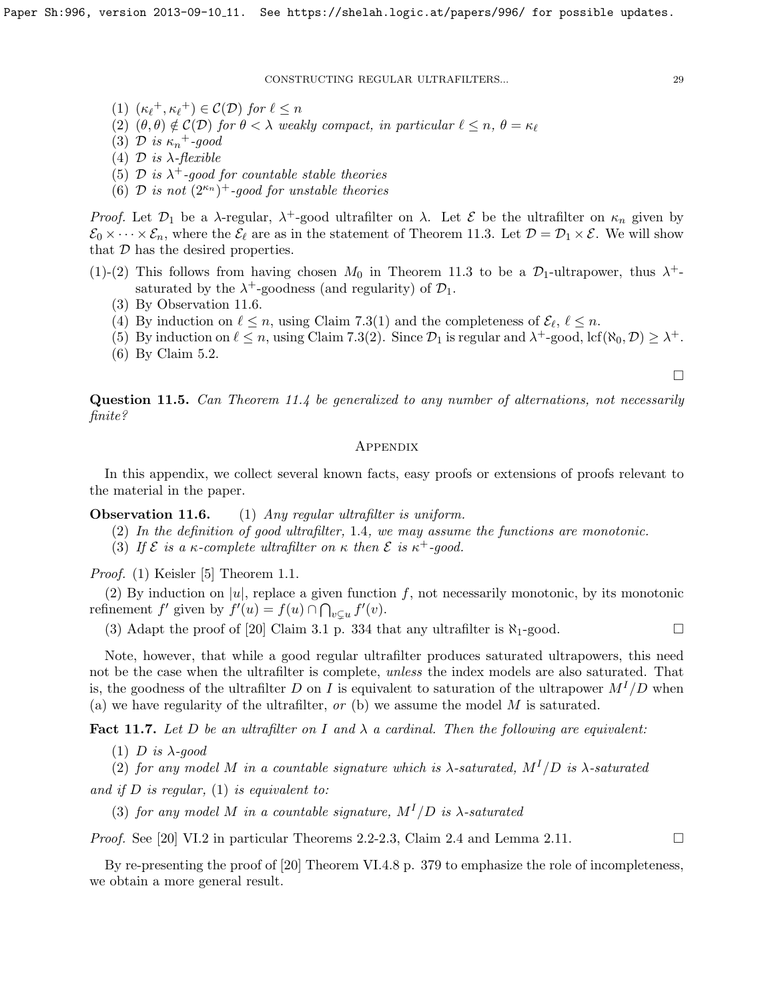(1)  $(\kappa_{\ell}^+, \kappa_{\ell}^+) \in C(\mathcal{D})$  for  $\ell \leq n$ 

- (2)  $(\theta, \theta) \notin C(\mathcal{D})$  for  $\theta < \lambda$  weakly compact, in particular  $\ell \leq n, \theta = \kappa_{\ell}$
- (3) D is  $\kappa_n$ <sup>+</sup>-good
- (4)  $\mathcal D$  is  $\lambda$ -flexible
- (5)  $\mathcal{D}$  is  $\lambda^{+}$ -good for countable stable theories
- (6) D is not  $(2^{\kappa_n})^+$ -good for unstable theories

Proof. Let  $\mathcal{D}_1$  be a  $\lambda$ -regular,  $\lambda^+$ -good ultrafilter on  $\lambda$ . Let  $\mathcal E$  be the ultrafilter on  $\kappa_n$  given by  $\mathcal{E}_0 \times \cdots \times \mathcal{E}_n$ , where the  $\mathcal{E}_\ell$  are as in the statement of Theorem [11.3.](#page-27-0) Let  $\mathcal{D} = \mathcal{D}_1 \times \mathcal{E}$ . We will show that  $D$  has the desired properties.

- (1)-(2) This follows from having chosen  $M_0$  in Theorem [11.3](#page-27-0) to be a  $\mathcal{D}_1$ -ultrapower, thus  $\lambda^+$ saturated by the  $\lambda^+$ -goodness (and regularity) of  $\mathcal{D}_1$ .
	- (3) By Observation [11.6.](#page-0-1)
	- (4) By induction on  $\ell \leq n$ , using Claim [7.3\(](#page-18-0)1) and the completeness of  $\mathcal{E}_{\ell}, \ell \leq n$ .
	- (5) By induction on  $\ell \leq n$ , using Claim [7.3\(](#page-18-0)2). Since  $\mathcal{D}_1$  is regular and  $\lambda^+$ -good, lcf( $\aleph_0$ ,  $\mathcal{D}$ )  $\geq \lambda^+$ .
	- (6) By Claim [5.2.](#page-14-1)

 $\Box$ 

Question 11.5. Can Theorem [11.4](#page-27-1) be generalized to any number of alternations, not necessarily finite?

## <span id="page-28-0"></span>**APPENDIX**

In this appendix, we collect several known facts, easy proofs or extensions of proofs relevant to the material in the paper.

**Observation 11.6.** (1) Any regular ultrafilter is uniform.

- (2) In the definition of good ultrafilter, [1](#page-4-1).4, we may assume the functions are monotonic.
- (3) If  $\mathcal E$  is a  $\kappa$ -complete ultrafilter on  $\kappa$  then  $\mathcal E$  is  $\kappa^+$ -good.

Proof. (1) Keisler [\[5\]](#page-30-15) Theorem 1.1.

(2) By induction on |u|, replace a given function f, not necessarily monotonic, by its monotonic refinement  $f'$  given by  $f'(u) = f(u) \cap \bigcap_{v \subsetneq u} f'(v)$ .

(3) Adapt the proof of [\[20\]](#page-30-7) Claim 3.1 p. 334 that any ultrafilter is  $\aleph_1$ -good.

Note, however, that while a good regular ultrafilter produces saturated ultrapowers, this need not be the case when the ultrafilter is complete, *unless* the index models are also saturated. That is, the goodness of the ultrafilter D on I is equivalent to saturation of the ultrapower  $M^{1}/D$  when (a) we have regularity of the ultrafilter,  $or$  (b) we assume the model  $M$  is saturated.

<span id="page-28-1"></span>**Fact 11.7.** Let D be an ultrafilter on I and  $\lambda$  a cardinal. Then the following are equivalent:

(1) D is  $\lambda$ -good

(2) for any model M in a countable signature which is  $\lambda$ -saturated,  $M^{I}/D$  is  $\lambda$ -saturated

and if  $D$  is regular, (1) is equivalent to:

(3) for any model M in a countable signature,  $M^{I}/D$  is  $\lambda$ -saturated

*Proof.* See [\[20\]](#page-30-7) VI.2 in particular Theorems 2.2-2.3, Claim 2.4 and Lemma 2.11.

By re-presenting the proof of [\[20\]](#page-30-7) Theorem VI.4.8 p. 379 to emphasize the role of incompleteness, we obtain a more general result.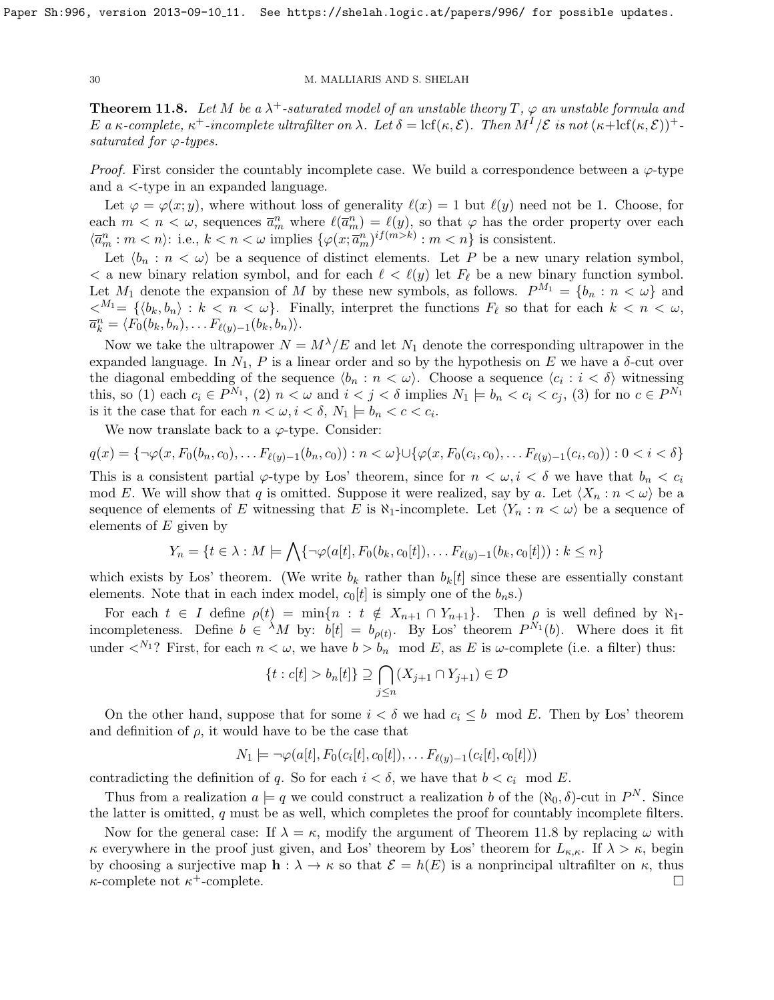<span id="page-29-0"></span>**Theorem 11.8.** Let M be a  $\lambda^+$ -saturated model of an unstable theory T,  $\varphi$  an unstable formula and E a κ-complete,  $\kappa^+$ -incomplete ultrafilter on  $\lambda$ . Let  $\delta = \text{lcf}(\kappa, \mathcal{E})$ . Then  $M^I/\mathcal{E}$  is not  $(\kappa + \text{lcf}(\kappa, \mathcal{E}))^+$ saturated for  $\varphi$ -types.

*Proof.* First consider the countably incomplete case. We build a correspondence between a  $\varphi$ -type and a <-type in an expanded language.

Let  $\varphi = \varphi(x; y)$ , where without loss of generality  $\ell(x) = 1$  but  $\ell(y)$  need not be 1. Choose, for each  $m < n < \omega$ , sequences  $\overline{a}_m^n$  where  $\ell(\overline{a}_m^n) = \ell(y)$ , so that  $\varphi$  has the order property over each  $\langle \overline{a}_m^n : m < n \rangle$ : i.e.,  $k < n < \omega$  implies  $\{ \varphi(x; \overline{a}_m^n)^{if(m > k)} : m < n \}$  is consistent.

Let  $\langle b_n : n \langle \omega \rangle$  be a sequence of distinct elements. Let P be a new unary relation symbol,  $\lt$  a new binary relation symbol, and for each  $\ell \lt \ell(y)$  let  $F_\ell$  be a new binary function symbol. Let  $M_1$  denote the expansion of M by these new symbols, as follows.  $P^{M_1} = \{b_n : n < \omega\}$  and  $\langle A^{M_1} = \{ \langle b_k, b_n \rangle : k < n < \omega \}.$  Finally, interpret the functions  $F_\ell$  so that for each  $k < n < \omega$ ,  $\overline{a}_k^n = \langle F_0(b_k, b_n), \ldots F_{\ell(y)-1}(b_k, b_n) \rangle.$ 

Now we take the ultrapower  $N = M^{\lambda}/E$  and let  $N_1$  denote the corresponding ultrapower in the expanded language. In  $N_1$ , P is a linear order and so by the hypothesis on E we have a  $\delta$ -cut over the diagonal embedding of the sequence  $\langle b_n : n < \omega \rangle$ . Choose a sequence  $\langle c_i : i < \delta \rangle$  witnessing this, so (1) each  $c_i \in P^{N_1}$ , (2)  $n < \omega$  and  $i < j < \delta$  implies  $N_1 \models b_n < c_i < c_j$ , (3) for no  $c \in P^{N_1}$ is it the case that for each  $n < \omega, i < \delta, N_1 \models b_n < c < c_i$ .

We now translate back to a  $\varphi$ -type. Consider:

$$
q(x) = \{ \neg \varphi(x, F_0(b_n, c_0), \dots F_{\ell(y)-1}(b_n, c_0)) : n < \omega \} \cup \{ \varphi(x, F_0(c_i, c_0), \dots F_{\ell(y)-1}(c_i, c_0)) : 0 < i < \delta \}
$$

This is a consistent partial  $\varphi$ -type by Los' theorem, since for  $n < \omega, i < \delta$  we have that  $b_n < c_i$ mod E. We will show that q is omitted. Suppose it were realized, say by a. Let  $\langle X_n : n < \omega \rangle$  be a sequence of elements of E witnessing that E is  $\aleph_1$ -incomplete. Let  $\langle Y_n : n < \omega \rangle$  be a sequence of elements of  $E$  given by

$$
Y_n = \{t \in \lambda : M \models \bigwedge \{\neg \varphi(a[t], F_0(b_k, c_0[t]), \dots F_{\ell(y)-1}(b_k, c_0[t])): k \leq n\}
$$

which exists by Los' theorem. (We write  $b_k$  rather than  $b_k[t]$  since these are essentially constant elements. Note that in each index model,  $c_0[t]$  is simply one of the  $b_n$ s.)

For each  $t \in I$  define  $\rho(t) = \min\{n : t \notin X_{n+1} \cap Y_{n+1}\}.$  Then  $\rho$  is well defined by  $\aleph_1$ incompleteness. Define  $b \in {}^{\lambda}M$  by:  $b[t] = b_{\rho(t)}$ . By Los' theorem  $P^{N_1}(b)$ . Where does it fit under  $\langle N_1 \rangle$  First, for each  $n \langle \omega, w \rangle$  have  $b > b_n \mod E$ , as E is  $\omega$ -complete (i.e. a filter) thus:

$$
\{t : c[t] > b_n[t]\} \supseteq \bigcap_{j \le n} (X_{j+1} \cap Y_{j+1}) \in \mathcal{D}
$$

On the other hand, suppose that for some  $i < \delta$  we had  $c_i \leq b \mod E$ . Then by Los' theorem and definition of  $\rho$ , it would have to be the case that

$$
N_1 \models \neg \varphi(a[t], F_0(c_i[t], c_0[t]), \dots F_{\ell(y)-1}(c_i[t], c_0[t]))
$$

contradicting the definition of q. So for each  $i < \delta$ , we have that  $b < c_i$  mod E.

Thus from a realization  $a \models q$  we could construct a realization b of the  $(\aleph_0, \delta)$ -cut in  $P^N$ . Since the latter is omitted,  $q$  must be as well, which completes the proof for countably incomplete filters.

Now for the general case: If  $\lambda = \kappa$ , modify the argument of Theorem [11.8](#page-29-0) by replacing  $\omega$  with  $\kappa$  everywhere in the proof just given, and Los' theorem by Los' theorem for  $L_{\kappa,\kappa}$ . If  $\lambda > \kappa$ , begin by choosing a surjective map  $h : \lambda \to \kappa$  so that  $\mathcal{E} = h(E)$  is a nonprincipal ultrafilter on  $\kappa$ , thus  $\kappa$ -complete not  $\kappa^+$ -complete.